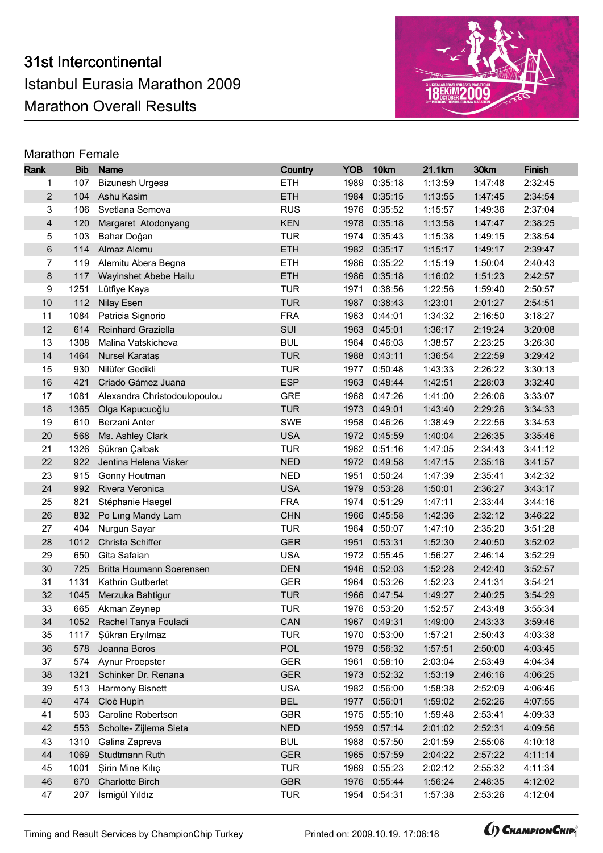

| Rank                    | <b>Bib</b>  | <b>Name</b>                              | Country                  | <b>YOB</b>   | 10km               | 21.1km             | 30km               | <b>Finish</b>      |
|-------------------------|-------------|------------------------------------------|--------------------------|--------------|--------------------|--------------------|--------------------|--------------------|
| 1                       | 107         | <b>Bizunesh Urgesa</b>                   | <b>ETH</b>               | 1989         | 0:35:18            | 1:13:59            | 1:47:48            | 2:32:45            |
| $\overline{c}$          | 104         | Ashu Kasim                               | <b>ETH</b>               | 1984         | 0:35:15            | 1:13:55            | 1:47:45            | 2:34:54            |
| 3                       | 106         | Svetlana Semova                          | <b>RUS</b>               | 1976         | 0:35:52            | 1:15:57            | 1:49:36            | 2:37:04            |
| $\overline{\mathbf{4}}$ | 120         | Margaret Atodonyang                      | <b>KEN</b>               | 1978         | 0:35:18            | 1:13:58            | 1:47:47            | 2:38:25            |
| 5                       | 103         | Bahar Doğan                              | <b>TUR</b>               | 1974         | 0:35:43            | 1:15:38            | 1:49:15            | 2:38:54            |
| 6                       | 114         | Almaz Alemu                              | <b>ETH</b>               | 1982         | 0:35:17            | 1:15:17            | 1:49:17            | 2:39:47            |
| 7                       | 119         | Alemitu Abera Begna                      | <b>ETH</b>               | 1986         | 0:35:22            | 1:15:19            | 1:50:04            | 2:40:43            |
| 8                       | 117         | Wayinshet Abebe Hailu                    | <b>ETH</b>               | 1986         | 0:35:18            | 1:16:02            | 1:51:23            | 2:42:57            |
| 9                       | 1251        | Lütfiye Kaya                             | <b>TUR</b>               | 1971         | 0:38:56            | 1:22:56            | 1:59:40            | 2:50:57            |
| 10                      | 112         | <b>Nilay Esen</b>                        | <b>TUR</b>               | 1987         | 0:38:43            | 1:23:01            | 2:01:27            | 2:54:51            |
| 11                      | 1084        | Patricia Signorio                        | <b>FRA</b>               | 1963         | 0:44:01            | 1:34:32            | 2:16:50            | 3:18:27            |
| 12                      | 614         | Reinhard Graziella                       | SUI                      | 1963         | 0:45:01            | 1:36:17            | 2:19:24            | 3:20:08            |
| 13                      | 1308        | Malina Vatskicheva                       | <b>BUL</b>               | 1964         | 0:46:03            | 1:38:57            | 2:23:25            | 3:26:30            |
| 14                      | 1464        | Nursel Karataş                           | <b>TUR</b>               | 1988         | 0:43:11            | 1:36:54            | 2:22:59            | 3:29:42            |
| 15                      | 930         | Nilüfer Gedikli                          | <b>TUR</b>               | 1977         | 0:50:48            | 1:43:33            | 2:26:22            | 3:30:13            |
| 16                      | 421         | Criado Gámez Juana                       | <b>ESP</b>               | 1963         | 0:48:44            | 1:42:51            | 2:28:03            | 3:32:40            |
| 17                      | 1081        | Alexandra Christodoulopoulou             | <b>GRE</b>               | 1968         | 0:47:26            | 1:41:00            | 2:26:06            | 3:33:07            |
| 18                      | 1365        | Olga Kapucuoğlu                          | <b>TUR</b>               | 1973         | 0:49:01            | 1:43:40            | 2:29:26            | 3:34:33            |
| 19                      | 610         | Berzani Anter                            | <b>SWE</b>               | 1958         | 0:46:26            | 1:38:49            | 2:22:56            | 3:34:53            |
| 20                      | 568         | Ms. Ashley Clark                         | <b>USA</b>               | 1972         | 0:45:59            | 1:40:04            | 2:26:35            | 3:35:46            |
| 21                      | 1326        | Şükran Çalbak                            | <b>TUR</b>               | 1962         | 0:51:16            | 1:47:05            | 2:34:43            | 3:41:12            |
| 22                      | 922         | Jentina Helena Visker                    | <b>NED</b>               |              | 1972 0:49:58       | 1:47:15            | 2:35:16            | 3:41:57            |
| 23                      | 915         | Gonny Houtman                            | <b>NED</b>               | 1951         | 0:50:24            | 1:47:39            | 2:35:41            | 3:42:32            |
| 24                      | 992         | Rivera Veronica                          | <b>USA</b>               | 1979         | 0:53:28            | 1:50:01            | 2:36:27            | 3:43:17            |
| 25                      | 821         | Stéphanie Haegel                         | <b>FRA</b>               | 1974         | 0:51:29            | 1:47:11            | 2:33:44            | 3:44:16            |
| 26                      | 832         | Po Ling Mandy Lam                        | <b>CHN</b>               | 1966         | 0:45:58            | 1:42:36            | 2:32:12            | 3:46:22            |
| 27                      | 404         | Nurgun Sayar                             | <b>TUR</b>               | 1964         | 0:50:07            | 1:47:10            | 2:35:20            | 3:51:28            |
| 28                      | 1012        | Christa Schiffer                         | <b>GER</b>               | 1951         | 0:53:31            | 1:52:30            | 2:40:50            | 3:52:02            |
| 29                      | 650         | Gita Safaian                             | <b>USA</b>               | 1972         | 0:55:45            | 1:56:27            | 2:46:14            | 3:52:29            |
| 30                      | 725         | Britta Houmann Soerensen                 | <b>DEN</b>               | 1946         | 0:52:03            | 1:52:28            | 2:42:40            | 3:52:57            |
| 31                      | 1131        | Kathrin Gutberlet                        | <b>GER</b>               | 1964         | 0:53:26            | 1:52:23            | 2:41:31            | 3:54:21            |
| 32                      | 1045        | Merzuka Bahtigur                         | <b>TUR</b>               |              | 1966 0:47:54       | 1:49:27            | 2:40:25            | 3:54:29            |
| 33                      |             | 665 Akman Zeynep                         | <b>TUR</b>               |              | 1976 0:53:20       | 1:52:57            | 2:43:48            | 3:55:34            |
| 34                      |             | 1052 Rachel Tanya Fouladi                | CAN                      |              | 1967 0:49:31       | 1:49:00            | 2:43:33            | 3:59:46            |
| 35                      | 1117        | Şükran Eryılmaz                          | <b>TUR</b>               | 1970         | 0:53:00            | 1:57:21            | 2:50:43            | 4:03:38            |
| 36                      | 578         | Joanna Boros                             | <b>POL</b>               | 1979         | 0:56:32            | 1:57:51            | 2:50:00            | 4:03:45            |
| 37                      | 574<br>1321 | Aynur Proepster                          | <b>GER</b>               | 1961         | 0:58:10            | 2:03:04            | 2:53:49            | 4:04:34<br>4:06:25 |
| 38<br>39                | 513         | Schinker Dr. Renana<br>Harmony Bisnett   | <b>GER</b><br><b>USA</b> | 1973<br>1982 | 0:52:32            | 1:53:19<br>1:58:38 | 2:46:16<br>2:52:09 |                    |
|                         |             |                                          | <b>BEL</b>               |              | 0:56:00            |                    |                    | 4:06:46            |
| 40<br>41                | 474<br>503  | Cloé Hupin<br>Caroline Robertson         | <b>GBR</b>               | 1977<br>1975 | 0:56:01<br>0:55:10 | 1:59:02<br>1:59:48 | 2:52:26<br>2:53:41 | 4:07:55<br>4:09:33 |
| 42                      | 553         |                                          | <b>NED</b>               | 1959         |                    |                    |                    |                    |
| 43                      | 1310        | Scholte- Zijlema Sieta<br>Galina Zapreva | <b>BUL</b>               | 1988         | 0:57:14<br>0:57:50 | 2:01:02<br>2:01:59 | 2:52:31<br>2:55:06 | 4:09:56<br>4:10:18 |
| 44                      | 1069        | Studtmann Ruth                           | <b>GER</b>               | 1965         | 0:57:59            | 2:04:22            | 2:57:22            | 4:11:14            |
| 45                      | 1001        | Şirin Mine Kılıç                         | <b>TUR</b>               | 1969         | 0:55:23            | 2:02:12            | 2:55:32            | 4:11:34            |
| 46                      | 670         | <b>Charlotte Birch</b>                   | <b>GBR</b>               | 1976         | 0:55:44            | 1:56:24            | 2:48:35            | 4:12:02            |
| 47                      | 207         | İsmigül Yıldız                           | <b>TUR</b>               | 1954         | 0:54:31            | 1:57:38            | 2:53:26            | 4:12:04            |
|                         |             |                                          |                          |              |                    |                    |                    |                    |

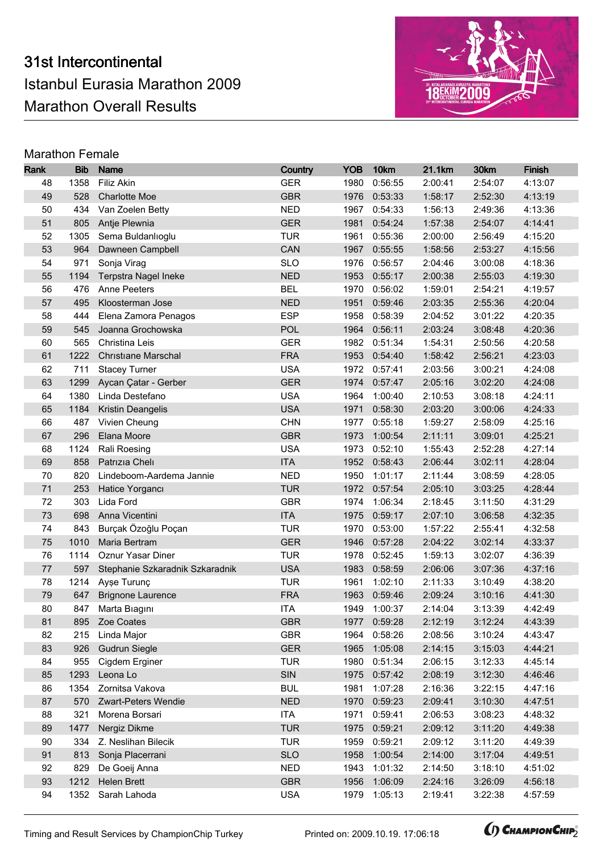

| Rank     | <b>Bib</b> | <b>Name</b>                         | Country                  | <b>YOB</b>   | 10km                    | 21.1km             | 30km                        | <b>Finish</b> |
|----------|------------|-------------------------------------|--------------------------|--------------|-------------------------|--------------------|-----------------------------|---------------|
| 48       | 1358       | Filiz Akin                          | <b>GER</b>               | 1980         | 0:56:55                 | 2:00:41            | 2:54:07                     | 4:13:07       |
| 49       | 528        | <b>Charlotte Moe</b>                | <b>GBR</b>               | 1976         | 0:53:33                 | 1:58:17            | 2:52:30                     | 4:13:19       |
| 50       | 434        | Van Zoelen Betty                    | <b>NED</b>               | 1967         | 0:54:33                 | 1:56:13            | 2:49:36                     | 4:13:36       |
| 51       | 805        | Antje Plewnia                       | <b>GER</b>               | 1981         | 0:54:24                 | 1:57:38            | 2:54:07                     | 4:14:41       |
| 52       | 1305       | Sema Buldanlıoglu                   | <b>TUR</b>               | 1961         | 0:55:36                 | 2:00:00            | 2:56:49                     | 4:15:20       |
| 53       | 964        | Dawneen Campbell                    | CAN                      |              | 1967 0:55:55            | 1:58:56            | 2:53:27                     | 4:15:56       |
| 54       | 971        | Sonja Virag                         | <b>SLO</b>               | 1976         | 0:56:57                 | 2:04:46            | 3:00:08                     | 4:18:36       |
| 55       | 1194       | <b>Terpstra Nagel Ineke</b>         | <b>NED</b>               | 1953         | 0:55:17                 | 2:00:38            | 2:55:03                     | 4:19:30       |
| 56       | 476        | Anne Peeters                        | <b>BEL</b>               | 1970         | 0:56:02                 | 1:59:01            | 2:54:21                     | 4:19:57       |
| 57       | 495        | Kloosterman Jose                    | <b>NED</b>               | 1951         | 0:59:46                 | 2:03:35            | 2:55:36                     | 4:20:04       |
| 58       | 444        | Elena Zamora Penagos                | <b>ESP</b>               | 1958         | 0:58:39                 | 2:04:52            | 3:01:22                     | 4:20:35       |
| 59       | 545        | Joanna Grochowska                   | <b>POL</b>               | 1964         | 0:56:11                 | 2:03:24            | 3:08:48                     | 4:20:36       |
| 60       | 565        | Christina Leis                      | <b>GER</b>               | 1982         | 0:51:34                 | 1:54:31            | 2:50:56                     | 4:20:58       |
| 61       | 1222       | <b>Christiane Marschal</b>          | <b>FRA</b>               | 1953         | 0:54:40                 | 1:58:42            | 2:56:21                     | 4:23:03       |
| 62       | 711        | <b>Stacey Turner</b>                | <b>USA</b>               | 1972         | 0:57:41                 | 2:03:56            | 3:00:21                     | 4:24:08       |
| 63       | 1299       | Aycan Çatar - Gerber                | <b>GER</b>               | 1974         | 0:57:47                 | 2:05:16            | 3:02:20                     | 4:24:08       |
| 64       | 1380       | Linda Destefano                     | <b>USA</b>               | 1964         | 1:00:40                 | 2:10:53            | 3:08:18                     | 4:24:11       |
| 65       | 1184       | Kristin Deangelis                   | <b>USA</b>               | 1971         | 0:58:30                 | 2:03:20            | 3:00:06                     | 4:24:33       |
| 66       | 487        | Vivien Cheung                       | <b>CHN</b>               | 1977         | 0:55:18                 | 1:59:27            | 2:58:09                     | 4:25:16       |
| 67       | 296        | Elana Moore                         | <b>GBR</b>               | 1973         | 1:00:54                 | 2:11:11            | 3:09:01                     | 4:25:21       |
| 68       | 1124       | Rali Roesing                        | <b>USA</b>               | 1973         | 0:52:10                 | 1:55:43            | 2:52:28                     | 4:27:14       |
| 69       | 858        | Patrizia Cheli                      | <b>ITA</b>               |              | 1952 0:58:43            | 2:06:44            | 3:02:11                     | 4:28:04       |
| 70       | 820        | Lindeboom-Aardema Jannie            | <b>NED</b>               | 1950         | 1:01:17                 | 2:11:44            | 3:08:59                     | 4:28:05       |
| 71       | 253        | Hatice Yorgancı                     | <b>TUR</b>               | 1972         | 0:57:54                 | 2:05:10            | 3:03:25                     | 4:28:44       |
| 72       | 303        | Lida Ford                           | <b>GBR</b>               | 1974         | 1:06:34                 | 2:18:45            | 3:11:50                     | 4:31:29       |
| 73       | 698        | Anna Vicentini                      | <b>ITA</b>               | 1975         | 0:59:17                 | 2:07:10            | 3:06:58                     | 4:32:35       |
| 74       | 843        | Burçak Özoğlu Poçan                 | <b>TUR</b>               | 1970         | 0:53:00                 | 1:57:22            | 2:55:41                     | 4:32:58       |
| 75       | 1010       | Maria Bertram                       | <b>GER</b>               | 1946         | 0:57:28                 | 2:04:22            | 3:02:14                     | 4:33:37       |
| 76       | 1114       | Oznur Yasar Diner                   | <b>TUR</b>               | 1978         | 0:52:45                 | 1:59:13            | 3:02:07                     | 4:36:39       |
| 77       | 597        | Stephanie Szkaradnik Szkaradnik     | <b>USA</b>               | 1983         | 0:58:59                 | 2:06:06            | 3:07:36                     | 4:37:16       |
| 78       | 1214       | Ayşe Turunç                         | <b>TUR</b>               | 1961         | 1:02:10                 | 2:11:33            | 3:10:49                     | 4:38:20       |
| 79       | 647        | <b>Brignone Laurence</b>            | <b>FRA</b>               | 1963         | 0:59:46                 | 2:09:24            | 3:10:16                     | 4:41:30       |
| 80<br>81 |            | 847 Marta Biagini<br>895 Zoe Coates | <b>ITA</b><br><b>GBR</b> |              | 1949 1:00:37            | 2:14:04<br>2:12:19 | 3:13:39                     | 4:42:49       |
| 82       |            |                                     | <b>GBR</b>               |              | 1977 0:59:28<br>0:58:26 | 2:08:56            | 3:12:24  4:43:39<br>3:10:24 | 4:43:47       |
| 83       | 215<br>926 | Linda Major<br><b>Gudrun Siegle</b> | <b>GER</b>               | 1964<br>1965 | 1:05:08                 | 2:14:15            | 3:15:03                     | 4:44:21       |
| 84       | 955        | Cigdem Erginer                      | <b>TUR</b>               | 1980         | 0:51:34                 | 2:06:15            | 3:12:33                     | 4:45:14       |
| 85       | 1293       | Leona Lo                            | SIN                      | 1975         | 0:57:42                 | 2:08:19            | 3:12:30                     | 4:46:46       |
| 86       | 1354       | Zornitsa Vakova                     | <b>BUL</b>               | 1981         | 1:07:28                 | 2:16:36            | 3:22:15                     | 4:47:16       |
| 87       | 570        | Zwart-Peters Wendie                 | <b>NED</b>               | 1970         | 0:59:23                 | 2:09:41            | 3:10:30                     | 4:47:51       |
| 88       | 321        | Morena Borsari                      | <b>ITA</b>               | 1971         | 0:59:41                 | 2:06:53            | 3:08:23                     | 4:48:32       |
| 89       | 1477       | Nergiz Dikme                        | <b>TUR</b>               | 1975         | 0:59:21                 | 2:09:12            | 3:11:20                     | 4:49:38       |
| 90       | 334        | Z. Neslihan Bilecik                 | <b>TUR</b>               | 1959         | 0:59:21                 | 2:09:12            | 3:11:20                     | 4:49:39       |
| 91       | 813        | Sonja Placerrani                    | <b>SLO</b>               | 1958         | 1:00:54                 | 2:14:00            | 3:17:04                     | 4:49:51       |
| 92       | 829        | De Goeij Anna                       | <b>NED</b>               | 1943         | 1:01:32                 | 2:14:50            | 3:18:10                     | 4:51:02       |
| 93       | 1212       | <b>Helen Brett</b>                  | <b>GBR</b>               | 1956         | 1:06:09                 | 2:24:16            | 3:26:09                     | 4:56:18       |
| 94       | 1352       | Sarah Lahoda                        | <b>USA</b>               | 1979         | 1:05:13                 | 2:19:41            | 3:22:38                     | 4:57:59       |
|          |            |                                     |                          |              |                         |                    |                             |               |

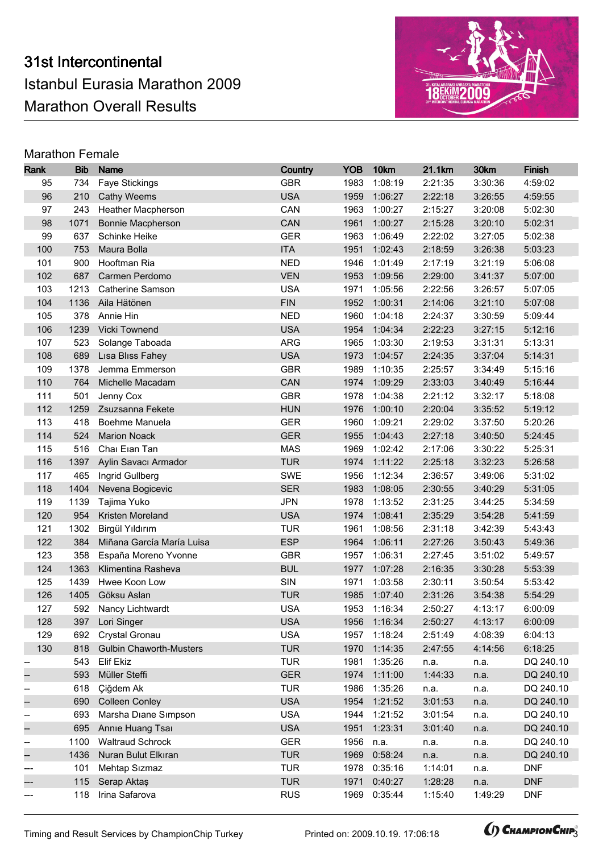

| Rank                     | <b>Bib</b> | <b>Name</b>                    | Country    | <b>YOB</b> | 10km         | 21.1km  | 30km    | <b>Finish</b> |
|--------------------------|------------|--------------------------------|------------|------------|--------------|---------|---------|---------------|
| 95                       | 734        | Faye Stickings                 | <b>GBR</b> | 1983       | 1:08:19      | 2:21:35 | 3:30:36 | 4:59:02       |
| 96                       | 210        | <b>Cathy Weems</b>             | <b>USA</b> | 1959       | 1:06:27      | 2:22:18 | 3:26:55 | 4:59:55       |
| 97                       | 243        | Heather Macpherson             | CAN        | 1963       | 1:00:27      | 2:15:27 | 3:20:08 | 5:02:30       |
| 98                       | 1071       | Bonnie Macpherson              | CAN        | 1961       | 1:00:27      | 2:15:28 | 3:20:10 | 5:02:31       |
| 99                       | 637        | Schinke Heike                  | <b>GER</b> | 1963       | 1:06:49      | 2:22:02 | 3:27:05 | 5:02:38       |
| 100                      | 753        | Maura Bolla                    | <b>ITA</b> | 1951       | 1:02:43      | 2:18:59 | 3:26:38 | 5:03:23       |
| 101                      | 900        | Hooftman Ria                   | <b>NED</b> | 1946       | 1:01:49      | 2:17:19 | 3:21:19 | 5:06:08       |
| 102                      | 687        | Carmen Perdomo                 | <b>VEN</b> | 1953       | 1:09:56      | 2:29:00 | 3:41:37 | 5:07:00       |
| 103                      | 1213       | <b>Catherine Samson</b>        | <b>USA</b> | 1971       | 1:05:56      | 2:22:56 | 3:26:57 | 5:07:05       |
| 104                      | 1136       | Aila Hätönen                   | <b>FIN</b> | 1952       | 1:00:31      | 2:14:06 | 3:21:10 | 5:07:08       |
| 105                      | 378        | Annie Hin                      | <b>NED</b> | 1960       | 1:04:18      | 2:24:37 | 3:30:59 | 5:09:44       |
| 106                      | 1239       | Vicki Townend                  | <b>USA</b> | 1954       | 1:04:34      | 2:22:23 | 3:27:15 | 5:12:16       |
| 107                      | 523        | Solange Taboada                | <b>ARG</b> | 1965       | 1:03:30      | 2:19:53 | 3:31:31 | 5:13:31       |
| 108                      | 689        | Lisa Bliss Fahey               | <b>USA</b> | 1973       | 1:04:57      | 2:24:35 | 3:37:04 | 5:14:31       |
| 109                      | 1378       | Jemma Emmerson                 | <b>GBR</b> | 1989       | 1:10:35      | 2:25:57 | 3:34:49 | 5:15:16       |
| 110                      | 764        | Michelle Macadam               | CAN        | 1974       | 1:09:29      | 2:33:03 | 3:40:49 | 5:16:44       |
| 111                      | 501        | Jenny Cox                      | <b>GBR</b> | 1978       | 1:04:38      | 2:21:12 | 3:32:17 | 5:18:08       |
| 112                      | 1259       | Zsuzsanna Fekete               | <b>HUN</b> | 1976       | 1:00:10      | 2:20:04 | 3:35:52 | 5:19:12       |
| 113                      | 418        | Boehme Manuela                 | <b>GER</b> | 1960       | 1:09:21      | 2:29:02 | 3:37:50 | 5:20:26       |
| 114                      | 524        | <b>Marion Noack</b>            | <b>GER</b> | 1955       | 1:04:43      | 2:27:18 | 3:40:50 | 5:24:45       |
| 115                      | 516        | Chai Eian Tan                  | <b>MAS</b> | 1969       | 1:02:42      | 2:17:06 | 3:30:22 | 5:25:31       |
| 116                      | 1397       | Aylin Savacı Armador           | <b>TUR</b> |            | 1974 1:11:22 | 2:25:18 | 3:32:23 | 5:26:58       |
| 117                      | 465        | Ingrid Gullberg                | SWE        | 1956       | 1:12:34      | 2:36:57 | 3:49:06 | 5:31:02       |
| 118                      | 1404       | Nevena Bogicevic               | <b>SER</b> | 1983       | 1:08:05      | 2:30:55 | 3:40:29 | 5:31:05       |
| 119                      | 1139       | Tajima Yuko                    | <b>JPN</b> | 1978       | 1:13:52      | 2:31:25 | 3:44:25 | 5:34:59       |
| 120                      | 954        | Kristen Moreland               | <b>USA</b> | 1974       | 1:08:41      | 2:35:29 | 3:54:28 | 5:41:59       |
| 121                      | 1302       | Birgül Yıldırım                | <b>TUR</b> | 1961       | 1:08:56      | 2:31:18 | 3:42:39 | 5:43:43       |
| 122                      | 384        | Miñana García María Luisa      | <b>ESP</b> | 1964       | 1:06:11      | 2:27:26 | 3:50:43 | 5:49:36       |
| 123                      | 358        | España Moreno Yvonne           | <b>GBR</b> | 1957       | 1:06:31      | 2:27:45 | 3:51:02 | 5:49:57       |
| 124                      | 1363       | Klimentina Rasheva             | <b>BUL</b> | 1977       | 1:07:28      | 2:16:35 | 3:30:28 | 5:53:39       |
| 125                      | 1439       | Hwee Koon Low                  | SIN        | 1971       | 1:03:58      | 2:30:11 | 3:50:54 | 5:53:42       |
| 126                      | 1405       | Göksu Aslan                    | <b>TUR</b> | 1985       | 1:07:40      | 2:31:26 | 3:54:38 | 5:54:29       |
| 127                      |            | 592 Nancy Lichtwardt           | <b>USA</b> |            | 1953 1:16:34 | 2:50:27 | 4:13:17 | 6:00:09       |
| 128                      |            | 397 Lori Singer                | <b>USA</b> |            | 1956 1:16:34 | 2:50:27 | 4:13:17 | 6:00:09       |
| 129                      | 692        | Crystal Gronau                 | <b>USA</b> | 1957       | 1:18:24      | 2:51:49 | 4:08:39 | 6:04:13       |
| 130                      | 818        | <b>Gulbin Chaworth-Musters</b> | <b>TUR</b> | 1970       | 1:14:35      | 2:47:55 | 4:14:56 | 6:18:25       |
|                          | 543        | Elif Ekiz                      | <b>TUR</b> | 1981       | 1:35:26      | n.a.    | n.a.    | DQ 240.10     |
|                          | 593        | Müller Steffi                  | <b>GER</b> | 1974       | 1:11:00      | 1:44:33 | n.a.    | DQ 240.10     |
| $- \hspace{0.1em}$       | 618        | Çiğdem Ak                      | <b>TUR</b> | 1986       | 1:35:26      | n.a.    | n.a.    | DQ 240.10     |
| <sup>--</sup>            | 690        | <b>Colleen Conley</b>          | <b>USA</b> | 1954       | 1:21:52      | 3:01:53 | n.a.    | DQ 240.10     |
| $-\!$                    | 693        | Marsha Diane Simpson           | <b>USA</b> | 1944       | 1:21:52      | 3:01:54 | n.a.    | DQ 240.10     |
| --                       | 695        | Annie Huang Tsai               | <b>USA</b> | 1951       | 1:23:31      | 3:01:40 | n.a.    | DQ 240.10     |
| $-\!$                    | 1100       | <b>Waltraud Schrock</b>        | <b>GER</b> | 1956       | n.a.         | n.a.    | n.a.    | DQ 240.10     |
| $\overline{\phantom{a}}$ | 1436       | Nuran Bulut Elkıran            | <b>TUR</b> | 1969       | 0:58:24      | n.a.    | n.a.    | DQ 240.10     |
| ---                      | 101        | Mehtap Sızmaz                  | <b>TUR</b> | 1978       | 0:35:16      | 1:14:01 | n.a.    | <b>DNF</b>    |
|                          | 115        | Serap Aktaş                    | <b>TUR</b> | 1971       | 0:40:27      | 1:28:28 | n.a.    | <b>DNF</b>    |
| ---                      | 118        | Irina Safarova                 | <b>RUS</b> | 1969       | 0:35:44      | 1:15:40 | 1:49:29 | <b>DNF</b>    |

Timing and Result Services by ChampionChip Turkey Printed on: 2009.10.19. 17:06:18 **3.19. CHAMPIONCHIP**3

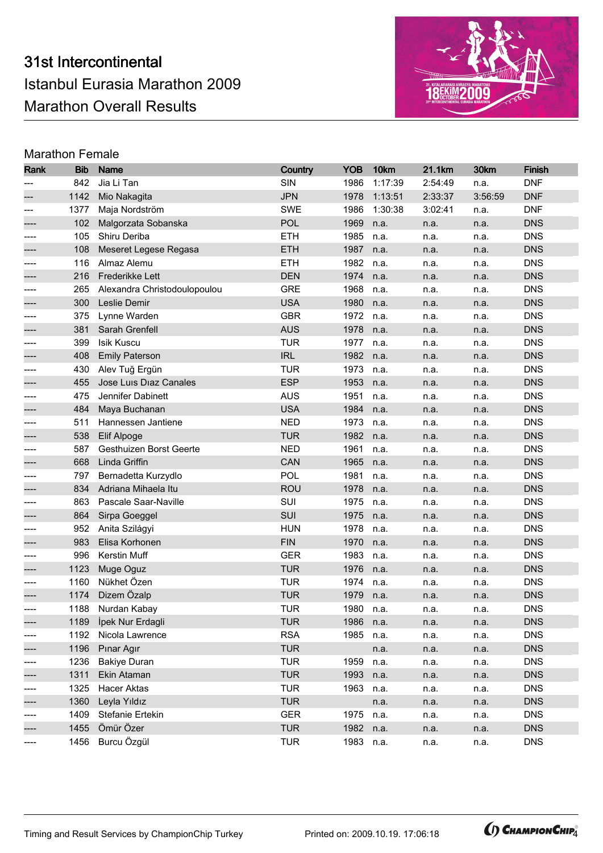

| Rank  | <b>Bib</b> | <b>Name</b>                  | Country    | <b>YOB</b> | 10km    | 21.1km  | 30km    | <b>Finish</b> |
|-------|------------|------------------------------|------------|------------|---------|---------|---------|---------------|
|       | 842        | Jia Li Tan                   | SIN        | 1986       | 1:17:39 | 2:54:49 | n.a.    | <b>DNF</b>    |
|       | 1142       | Mio Nakagita                 | <b>JPN</b> | 1978       | 1:13:51 | 2:33:37 | 3:56:59 | <b>DNF</b>    |
| $---$ | 1377       | Maja Nordström               | <b>SWE</b> | 1986       | 1:30:38 | 3:02:41 | n.a.    | <b>DNF</b>    |
|       | 102        | Malgorzata Sobanska          | <b>POL</b> | 1969       | n.a.    | n.a.    | n.a.    | <b>DNS</b>    |
|       | 105        | Shiru Deriba                 | <b>ETH</b> | 1985       | n.a.    | n.a.    | n.a.    | <b>DNS</b>    |
|       | 108        | Meseret Legese Regasa        | <b>ETH</b> | 1987       | n.a.    | n.a.    | n.a.    | <b>DNS</b>    |
|       | 116        | Almaz Alemu                  | <b>ETH</b> | 1982       | n.a.    | n.a.    | n.a.    | <b>DNS</b>    |
|       | 216        | Frederikke Lett              | <b>DEN</b> | 1974       | n.a.    | n.a.    | n.a.    | <b>DNS</b>    |
|       | 265        | Alexandra Christodoulopoulou | <b>GRE</b> | 1968       | n.a.    | n.a.    | n.a.    | <b>DNS</b>    |
|       | 300        | Leslie Demir                 | <b>USA</b> | 1980       | n.a.    | n.a.    | n.a.    | <b>DNS</b>    |
| ----  | 375        | Lynne Warden                 | <b>GBR</b> | 1972       | n.a.    | n.a.    | n.a.    | <b>DNS</b>    |
|       | 381        | Sarah Grenfell               | <b>AUS</b> | 1978       | n.a.    | n.a.    | n.a.    | <b>DNS</b>    |
|       | 399        | Isik Kuscu                   | <b>TUR</b> | 1977       | n.a.    | n.a.    | n.a.    | <b>DNS</b>    |
|       | 408        | <b>Emily Paterson</b>        | <b>IRL</b> | 1982       | n.a.    | n.a.    | n.a.    | <b>DNS</b>    |
| ----  | 430        | Alev Tuğ Ergün               | <b>TUR</b> | 1973       | n.a.    | n.a.    | n.a.    | <b>DNS</b>    |
|       | 455        | Jose Luis Diaz Canales       | <b>ESP</b> | 1953       | n.a.    | n.a.    | n.a.    | <b>DNS</b>    |
|       | 475        | Jennifer Dabinett            | <b>AUS</b> | 1951       | n.a.    | n.a.    | n.a.    | <b>DNS</b>    |
|       | 484        | Maya Buchanan                | <b>USA</b> | 1984       | n.a.    | n.a.    | n.a.    | <b>DNS</b>    |
| ----  | 511        | Hannessen Jantiene           | <b>NED</b> | 1973       | n.a.    | n.a.    | n.a.    | <b>DNS</b>    |
|       | 538        | Elif Alpoge                  | <b>TUR</b> | 1982       | n.a.    | n.a.    | n.a.    | <b>DNS</b>    |
|       | 587        | Gesthuizen Borst Geerte      | <b>NED</b> | 1961       | n.a.    | n.a.    | n.a.    | <b>DNS</b>    |
|       | 668        | Linda Griffin                | CAN        | 1965       | n.a.    | n.a.    | n.a.    | <b>DNS</b>    |
|       | 797        | Bernadetta Kurzydlo          | POL        | 1981       | n.a.    | n.a.    | n.a.    | <b>DNS</b>    |
|       | 834        | Adriana Mihaela Itu          | <b>ROU</b> | 1978       | n.a.    | n.a.    | n.a.    | <b>DNS</b>    |
|       | 863        | Pascale Saar-Naville         | SUI        | 1975       | n.a.    | n.a.    | n.a.    | <b>DNS</b>    |
|       | 864        | Sirpa Goeggel                | SUI        | 1975       | n.a.    | n.a.    | n.a.    | <b>DNS</b>    |
| ----  | 952        | Anita Szilágyi               | <b>HUN</b> | 1978       | n.a.    | n.a.    | n.a.    | <b>DNS</b>    |
|       | 983        | Elisa Korhonen               | <b>FIN</b> | 1970       | n.a.    | n.a.    | n.a.    | <b>DNS</b>    |
| ----  | 996        | Kerstin Muff                 | <b>GER</b> | 1983       | n.a.    | n.a.    | n.a.    | <b>DNS</b>    |
|       | 1123       | Muge Oguz                    | <b>TUR</b> | 1976       | n.a.    | n.a.    | n.a.    | <b>DNS</b>    |
| ----  | 1160       | Nükhet Özen                  | <b>TUR</b> | 1974       | n.a.    | n.a.    | n.a.    | <b>DNS</b>    |
|       | 1174       | Dizem Özalp                  | <b>TUR</b> | 1979       | n.a.    | n.a.    | n.a.    | <b>DNS</b>    |
|       |            | 1188 Nurdan Kabay            | <b>TUR</b> | 1980       | n.a.    | n.a.    | n.a.    | <b>DNS</b>    |
| ----  |            | 1189 İpek Nur Erdagli        | <b>TUR</b> | 1986       | n.a.    | n.a.    | n.a.    | <b>DNS</b>    |
| $---$ | 1192       | Nicola Lawrence              | <b>RSA</b> | 1985       | n.a.    | n.a.    | n.a.    | <b>DNS</b>    |
| ----  | 1196       | Pinar Agir                   | <b>TUR</b> |            | n.a.    | n.a.    | n.a.    | <b>DNS</b>    |
| ----  | 1236       | <b>Bakiye Duran</b>          | <b>TUR</b> | 1959       | n.a.    | n.a.    | n.a.    | <b>DNS</b>    |
|       | 1311       | Ekin Ataman                  | <b>TUR</b> | 1993       | n.a.    | n.a.    | n.a.    | <b>DNS</b>    |
| ----  | 1325       | Hacer Aktas                  | <b>TUR</b> | 1963       | n.a.    | n.a.    | n.a.    | <b>DNS</b>    |
| ----  | 1360       | Leyla Yıldız                 | <b>TUR</b> |            | n.a.    | n.a.    | n.a.    | <b>DNS</b>    |
| ----  | 1409       | Stefanie Ertekin             | <b>GER</b> | 1975       | n.a.    | n.a.    | n.a.    | <b>DNS</b>    |
| ----  | 1455       | Ömür Özer                    | <b>TUR</b> | 1982       | n.a.    | n.a.    | n.a.    | <b>DNS</b>    |
| ----  | 1456       | Burcu Özgül                  | <b>TUR</b> | 1983       | n.a.    | n.a.    | n.a.    | <b>DNS</b>    |

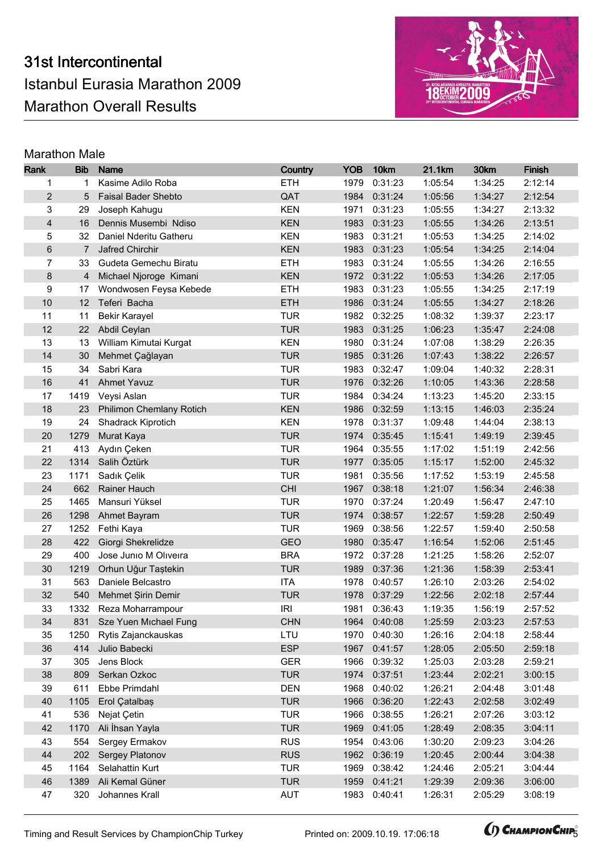

| Rank                    | <b>Bib</b>     | <b>Name</b>                | Country    | <b>YOB</b> | 10km         | 21.1km  | 30km    | <b>Finish</b> |
|-------------------------|----------------|----------------------------|------------|------------|--------------|---------|---------|---------------|
| 1                       | 1              | Kasime Adilo Roba          | <b>ETH</b> | 1979       | 0:31:23      | 1:05:54 | 1:34:25 | 2:12:14       |
| $\overline{c}$          | 5              | <b>Faisal Bader Shebto</b> | QAT        | 1984       | 0:31:24      | 1:05:56 | 1:34:27 | 2:12:54       |
| 3                       | 29             | Joseph Kahugu              | <b>KEN</b> | 1971       | 0:31:23      | 1:05:55 | 1:34:27 | 2:13:32       |
| $\overline{\mathbf{4}}$ | 16             | Dennis Musembi Ndiso       | <b>KEN</b> | 1983       | 0:31:23      | 1:05:55 | 1:34:26 | 2:13:51       |
| 5                       | 32             | Daniel Nderitu Gatheru     | <b>KEN</b> | 1983       | 0:31:21      | 1:05:53 | 1:34:25 | 2:14:02       |
| 6                       | $\overline{7}$ | Jafred Chirchir            | <b>KEN</b> | 1983       | 0:31:23      | 1:05:54 | 1:34:25 | 2:14:04       |
| $\overline{7}$          | 33             | Gudeta Gemechu Biratu      | <b>ETH</b> | 1983       | 0:31:24      | 1:05:55 | 1:34:26 | 2:16:55       |
| 8                       | 4              | Michael Njoroge Kimani     | <b>KEN</b> | 1972       | 0:31:22      | 1:05:53 | 1:34:26 | 2:17:05       |
| 9                       | 17             | Wondwosen Feysa Kebede     | <b>ETH</b> | 1983       | 0:31:23      | 1:05:55 | 1:34:25 | 2:17:19       |
| 10                      | 12             | Teferi Bacha               | <b>ETH</b> | 1986       | 0:31:24      | 1:05:55 | 1:34:27 | 2:18:26       |
| 11                      | 11             | <b>Bekir Karayel</b>       | <b>TUR</b> | 1982       | 0:32:25      | 1:08:32 | 1:39:37 | 2:23:17       |
| 12                      | 22             | Abdil Ceylan               | <b>TUR</b> | 1983       | 0:31:25      | 1:06:23 | 1:35:47 | 2:24:08       |
| 13                      | 13             | William Kimutai Kurgat     | <b>KEN</b> | 1980       | 0:31:24      | 1:07:08 | 1:38:29 | 2:26:35       |
| 14                      | 30             | Mehmet Çağlayan            | <b>TUR</b> | 1985       | 0:31:26      | 1:07:43 | 1:38:22 | 2:26:57       |
| 15                      | 34             | Sabri Kara                 | <b>TUR</b> | 1983       | 0:32:47      | 1:09:04 | 1:40:32 | 2:28:31       |
| 16                      | 41             | <b>Ahmet Yavuz</b>         | <b>TUR</b> | 1976       | 0:32:26      | 1:10:05 | 1:43:36 | 2:28:58       |
| 17                      | 1419           | Veysi Aslan                | <b>TUR</b> | 1984       | 0:34:24      | 1:13:23 | 1:45:20 | 2:33:15       |
| 18                      | 23             | Philimon Chemlany Rotich   | <b>KEN</b> | 1986       | 0:32:59      | 1:13:15 | 1:46:03 | 2:35:24       |
| 19                      | 24             | Shadrack Kiprotich         | <b>KEN</b> | 1978       | 0:31:37      | 1:09:48 | 1:44:04 | 2:38:13       |
| 20                      | 1279           | Murat Kaya                 | <b>TUR</b> | 1974       | 0:35:45      | 1:15:41 | 1:49:19 | 2:39:45       |
| 21                      | 413            | Aydın Çeken                | <b>TUR</b> | 1964       | 0:35:55      | 1:17:02 | 1:51:19 | 2:42:56       |
| 22                      | 1314           | Salih Öztürk               | <b>TUR</b> | 1977       | 0:35:05      | 1:15:17 | 1:52:00 | 2:45:32       |
| 23                      | 1171           | Sadık Çelik                | <b>TUR</b> | 1981       | 0:35:56      | 1:17:52 | 1:53:19 | 2:45:58       |
| 24                      | 662            | Rainer Hauch               | <b>CHI</b> | 1967       | 0:38:18      | 1:21:07 | 1:56:34 | 2:46:38       |
| 25                      | 1465           | Mansuri Yüksel             | <b>TUR</b> | 1970       | 0:37:24      | 1:20:49 | 1:56:47 | 2:47:10       |
| 26                      | 1298           | Ahmet Bayram               | <b>TUR</b> | 1974       | 0:38:57      | 1:22:57 | 1:59:28 | 2:50:49       |
| 27                      | 1252           | Fethi Kaya                 | <b>TUR</b> | 1969       | 0:38:56      | 1:22:57 | 1:59:40 | 2:50:58       |
| 28                      | 422            | Giorgi Shekrelidze         | <b>GEO</b> | 1980       | 0:35:47      | 1:16:54 | 1:52:06 | 2:51:45       |
| 29                      | 400            | Jose Junio M Oliveira      | <b>BRA</b> | 1972       | 0:37:28      | 1:21:25 | 1:58:26 | 2:52:07       |
| 30                      | 1219           | Orhun Uğur Taştekin        | <b>TUR</b> | 1989       | 0:37:36      | 1:21:36 | 1:58:39 | 2:53:41       |
| 31                      | 563            | Daniele Belcastro          | <b>ITA</b> | 1978       | 0:40:57      | 1:26:10 | 2:03:26 | 2:54:02       |
| 32                      | 540            | Mehmet Şirin Demir         | <b>TUR</b> | 1978       | 0:37:29      | 1:22:56 | 2:02:18 | 2:57:44       |
| 33                      |                | 1332 Reza Moharrampour     | <b>IRI</b> |            | 1981 0:36:43 | 1:19:35 | 1:56:19 | 2:57:52       |
| 34                      |                | 831 Sze Yuen Michael Fung  | <b>CHN</b> |            | 1964 0:40:08 | 1:25:59 | 2:03:23 | 2:57:53       |
| 35                      | 1250           | Rytis Zajanckauskas        | LTU        | 1970       | 0:40:30      | 1:26:16 | 2:04:18 | 2:58:44       |
| 36                      | 414            | Julio Babecki              | <b>ESP</b> | 1967       | 0:41:57      | 1:28:05 | 2:05:50 | 2:59:18       |
| 37                      | 305            | Jens Block                 | <b>GER</b> | 1966       | 0:39:32      | 1:25:03 | 2:03:28 | 2:59:21       |
| 38                      | 809            | Serkan Ozkoc               | <b>TUR</b> |            | 1974 0:37:51 | 1:23:44 | 2:02:21 | 3:00:15       |
| 39                      | 611            | Ebbe Primdahl              | <b>DEN</b> | 1968       | 0:40:02      | 1:26:21 | 2:04:48 | 3:01:48       |
| 40                      | 1105           | Erol Çatalbaş              | <b>TUR</b> | 1966       | 0:36:20      | 1:22:43 | 2:02:58 | 3:02:49       |
| 41                      | 536            | Nejat Çetin                | <b>TUR</b> | 1966       | 0:38:55      | 1:26:21 | 2:07:26 | 3:03:12       |
| 42                      | 1170           | Ali İhsan Yayla            | <b>TUR</b> | 1969       | 0:41:05      | 1:28:49 | 2:08:35 | 3:04:11       |
| 43                      | 554            | Sergey Ermakov             | <b>RUS</b> | 1954       | 0:43:06      | 1:30:20 | 2:09:23 | 3:04:26       |
| 44                      | 202            | Sergey Platonov            | <b>RUS</b> | 1962       | 0:36:19      | 1:20:45 | 2:00:44 | 3:04:38       |
| 45                      | 1164           | Selahattin Kurt            | <b>TUR</b> | 1969       | 0:38:42      | 1:24:46 | 2:05:21 | 3:04:44       |
| 46                      | 1389           | Ali Kemal Güner            | <b>TUR</b> | 1959       | 0:41:21      | 1:29:39 | 2:09:36 | 3:06:00       |
| 47                      | 320            | Johannes Krall             | <b>AUT</b> | 1983       | 0:40:41      | 1:26:31 | 2:05:29 | 3:08:19       |

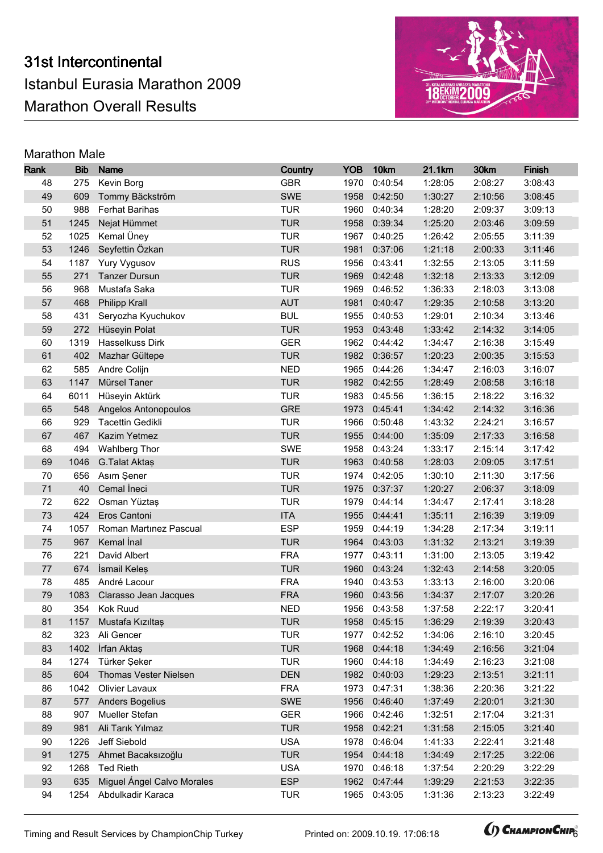

| Rank     | <b>Bib</b>   | <b>Name</b>                                  | Country                  | <b>YOB</b>   | 10km               | 21.1km             | 30km               | <b>Finish</b>      |
|----------|--------------|----------------------------------------------|--------------------------|--------------|--------------------|--------------------|--------------------|--------------------|
| 48       | 275          | Kevin Borg                                   | <b>GBR</b>               | 1970         | 0:40:54            | 1:28:05            | 2:08:27            | 3:08:43            |
| 49       | 609          | Tommy Bäckström                              | <b>SWE</b>               | 1958         | 0:42:50            | 1:30:27            | 2:10:56            | 3:08:45            |
| 50       | 988          | <b>Ferhat Barihas</b>                        | <b>TUR</b>               | 1960         | 0:40:34            | 1:28:20            | 2:09:37            | 3:09:13            |
| 51       | 1245         | Nejat Hümmet                                 | <b>TUR</b>               | 1958         | 0:39:34            | 1:25:20            | 2:03:46            | 3:09:59            |
| 52       | 1025         | Kemal Üney                                   | <b>TUR</b>               | 1967         | 0:40:25            | 1:26:42            | 2:05:55            | 3:11:39            |
| 53       | 1246         | Seyfettin Özkan                              | <b>TUR</b>               | 1981         | 0:37:06            | 1:21:18            | 2:00:33            | 3:11:46            |
| 54       | 1187         | Yury Vygusov                                 | <b>RUS</b>               | 1956         | 0:43:41            | 1:32:55            | 2:13:05            | 3:11:59            |
| 55       | 271          | <b>Tanzer Dursun</b>                         | <b>TUR</b>               | 1969         | 0:42:48            | 1:32:18            | 2:13:33            | 3:12:09            |
| 56       | 968          | Mustafa Saka                                 | <b>TUR</b>               | 1969         | 0:46:52            | 1:36:33            | 2:18:03            | 3:13:08            |
| 57       | 468          | Philipp Krall                                | <b>AUT</b>               | 1981         | 0:40:47            | 1:29:35            | 2:10:58            | 3:13:20            |
| 58       | 431          | Seryozha Kyuchukov                           | <b>BUL</b>               | 1955         | 0:40:53            | 1:29:01            | 2:10:34            | 3:13:46            |
| 59       | 272          | Hüseyin Polat                                | <b>TUR</b>               | 1953         | 0:43:48            | 1:33:42            | 2:14:32            | 3:14:05            |
| 60       | 1319         | Hasselkuss Dirk                              | <b>GER</b>               | 1962         | 0:44:42            | 1:34:47            | 2:16:38            | 3:15:49            |
| 61       | 402          | Mazhar Gültepe                               | <b>TUR</b>               |              | 1982 0:36:57       | 1:20:23            | 2:00:35            | 3:15:53            |
| 62       | 585          | Andre Colijn                                 | <b>NED</b>               | 1965         | 0:44:26            | 1:34:47            | 2:16:03            | 3:16:07            |
| 63       | 1147         | Mürsel Taner                                 | <b>TUR</b>               |              | 1982 0:42:55       | 1:28:49            | 2:08:58            | 3:16:18            |
| 64       | 6011         | Hüseyin Aktürk                               | <b>TUR</b>               | 1983         | 0:45:56            | 1:36:15            | 2:18:22            | 3:16:32            |
| 65       | 548          | Angelos Antonopoulos                         | <b>GRE</b>               | 1973         | 0:45:41            | 1:34:42            | 2:14:32            | 3:16:36            |
| 66       | 929          | <b>Tacettin Gedikli</b>                      | <b>TUR</b>               | 1966         | 0:50:48            | 1:43:32            | 2:24:21            | 3:16:57            |
| 67       | 467          | Kazim Yetmez                                 | <b>TUR</b>               | 1955         | 0:44:00            | 1:35:09            | 2:17:33            | 3:16:58            |
| 68       | 494          | Wahlberg Thor                                | <b>SWE</b>               | 1958         | 0:43:24            | 1:33:17            | 2:15:14            | 3:17:42            |
| 69       | 1046         | G.Talat Aktaş                                | <b>TUR</b>               | 1963         | 0:40:58            | 1:28:03            | 2:09:05            | 3:17:51            |
| 70       | 656          | Asım Şener                                   | <b>TUR</b>               | 1974         | 0:42:05            | 1:30:10            | 2:11:30            | 3:17:56            |
| 71       | 40           | Cemal Ineci                                  | <b>TUR</b>               | 1975         | 0:37:37            | 1:20:27            | 2:06:37            | 3:18:09            |
| 72       | 622          | Osman Yüztaş                                 | <b>TUR</b>               | 1979         | 0:44:14            | 1:34:47            | 2:17:41            | 3:18:28            |
| 73       | 424          | Eros Cantoni                                 | <b>ITA</b>               | 1955         | 0:44:41            | 1:35:11            | 2:16:39            | 3:19:09            |
| 74       | 1057         | Roman Martinez Pascual                       | <b>ESP</b>               | 1959         | 0:44:19            | 1:34:28            | 2:17:34            | 3:19:11            |
| 75       | 967          | Kemal Inal                                   | <b>TUR</b>               | 1964         | 0:43:03            | 1:31:32            | 2:13:21            | 3:19:39            |
| 76       | 221          | David Albert                                 | <b>FRA</b>               | 1977         | 0:43:11            | 1:31:00            | 2:13:05            | 3:19:42            |
| 77       | 674          | İsmail Keleş                                 | <b>TUR</b>               | 1960         | 0:43:24            | 1:32:43            | 2:14:58            | 3:20:05            |
| 78       | 485          | André Lacour                                 | <b>FRA</b>               | 1940         | 0:43:53            | 1:33:13            | 2:16:00            | 3:20:06            |
| 79       | 1083         | Clarasso Jean Jacques                        | <b>FRA</b>               | 1960         | 0:43:56            | 1:34:37            | 2:17:07            | 3:20:26            |
| 80       |              | 354 Kok Ruud                                 | <b>NED</b>               |              | 1956 0:43:58       | 1:37:58            | 2:22:17            | 3:20:41            |
| 81       |              | 1157 Mustafa Kızıltaş                        | <b>TUR</b>               |              | 1958 0:45:15       | 1:36:29            | 2:19:39            | 3:20:43            |
| 82       | 323          | Ali Gencer                                   | <b>TUR</b>               | 1977         | 0:42:52            | 1:34:06            | 2:16:10            | 3:20:45            |
| 83       | 1402         | İrfan Aktaş                                  | <b>TUR</b>               | 1968         | 0:44:18            | 1:34:49            | 2:16:56            | 3:21:04            |
| 84       | 1274         | Türker Şeker<br><b>Thomas Vester Nielsen</b> | <b>TUR</b>               | 1960         | 0:44:18            | 1:34:49            | 2:16:23            | 3:21:08            |
| 85<br>86 | 604<br>1042  | Olivier Lavaux                               | <b>DEN</b><br><b>FRA</b> | 1973         | 1982 0:40:03       | 1:29:23            | 2:13:51            | 3:21:11            |
|          |              | <b>Anders Bogelius</b>                       | <b>SWE</b>               |              | 0:47:31            | 1:38:36<br>1:37:49 | 2:20:36            | 3:21:22            |
| 87<br>88 | 577<br>907   | Mueller Stefan                               | <b>GER</b>               | 1956<br>1966 | 0:46:40<br>0:42:46 | 1:32:51            | 2:20:01<br>2:17:04 | 3:21:30<br>3:21:31 |
| 89       | 981          | Ali Tarık Yılmaz                             | <b>TUR</b>               | 1958         | 0:42:21            | 1:31:58            | 2:15:05            | 3:21:40            |
|          |              |                                              | <b>USA</b>               |              |                    |                    |                    |                    |
| 90<br>91 | 1226<br>1275 | Jeff Siebold<br>Ahmet Bacaksızoğlu           | <b>TUR</b>               | 1978<br>1954 | 0:46:04<br>0:44:18 | 1:41:33<br>1:34:49 | 2:22:41<br>2:17:25 | 3:21:48<br>3:22:06 |
| 92       | 1268         | <b>Ted Rieth</b>                             | <b>USA</b>               | 1970         | 0:46:18            | 1:37:54            | 2:20:29            | 3:22:29            |
| 93       | 635          | Miguel Ángel Calvo Morales                   | <b>ESP</b>               | 1962         | 0:47:44            | 1:39:29            | 2:21:53            | 3:22:35            |
| 94       | 1254         | Abdulkadir Karaca                            | <b>TUR</b>               | 1965         | 0:43:05            | 1:31:36            | 2:13:23            | 3:22:49            |
|          |              |                                              |                          |              |                    |                    |                    |                    |

Timing and Result Services by ChampionChip Turkey Printed on: 2009.10.19. 17:06:18 **(AMPIONCHIP** 

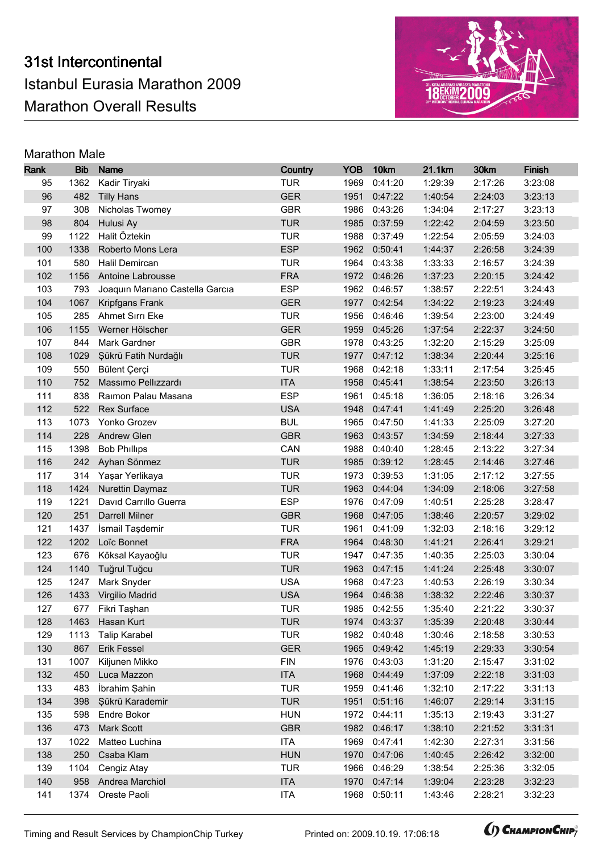

| Rank       | <b>Bib</b>  | <b>Name</b>                     | Country                  | <b>YOB</b>   | 10km               | 21.1km             | 30km               | <b>Finish</b>      |
|------------|-------------|---------------------------------|--------------------------|--------------|--------------------|--------------------|--------------------|--------------------|
| 95         | 1362        | Kadir Tiryaki                   | <b>TUR</b>               | 1969         | 0:41:20            | 1:29:39            | 2:17:26            | 3:23:08            |
| 96         | 482         | <b>Tilly Hans</b>               | <b>GER</b>               | 1951         | 0:47:22            | 1:40:54            | 2:24:03            | 3:23:13            |
| 97         | 308         | Nicholas Twomey                 | <b>GBR</b>               | 1986         | 0:43:26            | 1:34:04            | 2:17:27            | 3:23:13            |
| 98         | 804         | Hulusi Ay                       | <b>TUR</b>               | 1985         | 0:37:59            | 1:22:42            | 2:04:59            | 3:23:50            |
| 99         | 1122        | Halit Öztekin                   | <b>TUR</b>               | 1988         | 0:37:49            | 1:22:54            | 2:05:59            | 3:24:03            |
| 100        | 1338        | Roberto Mons Lera               | <b>ESP</b>               | 1962         | 0:50:41            | 1:44:37            | 2:26:58            | 3:24:39            |
| 101        | 580         | Halil Demircan                  | <b>TUR</b>               | 1964         | 0:43:38            | 1:33:33            | 2:16:57            | 3:24:39            |
| 102        | 1156        | Antoine Labrousse               | <b>FRA</b>               | 1972         | 0:46:26            | 1:37:23            | 2:20:15            | 3:24:42            |
| 103        | 793         | Joaquin Mariano Castella Garcia | <b>ESP</b>               | 1962         | 0:46:57            | 1:38:57            | 2:22:51            | 3:24:43            |
| 104        | 1067        | Kripfgans Frank                 | <b>GER</b>               | 1977         | 0:42:54            | 1:34:22            | 2:19:23            | 3:24:49            |
| 105        | 285         | Ahmet Sırrı Eke                 | <b>TUR</b>               | 1956         | 0:46:46            | 1:39:54            | 2:23:00            | 3:24:49            |
| 106        | 1155        | Werner Hölscher                 | <b>GER</b>               | 1959         | 0:45:26            | 1:37:54            | 2:22:37            | 3:24:50            |
| 107        | 844         | Mark Gardner                    | <b>GBR</b>               | 1978         | 0:43:25            | 1:32:20            | 2:15:29            | 3:25:09            |
| 108        | 1029        | Şükrü Fatih Nurdağlı            | <b>TUR</b>               | 1977         | 0:47:12            | 1:38:34            | 2:20:44            | 3:25:16            |
| 109        | 550         | Bülent Çerçi                    | <b>TUR</b>               | 1968         | 0:42:18            | 1:33:11            | 2:17:54            | 3:25:45            |
| 110        | 752         | Massimo Pellizzardi             | <b>ITA</b>               | 1958         | 0:45:41            | 1:38:54            | 2:23:50            | 3:26:13            |
| 111        | 838         | Raimon Palau Masana             | <b>ESP</b>               | 1961         | 0:45:18            | 1:36:05            | 2:18:16            | 3:26:34            |
| 112        | 522         | Rex Surface                     | <b>USA</b>               | 1948         | 0:47:41            | 1:41:49            | 2:25:20            | 3:26:48            |
| 113        | 1073        | Yonko Grozev                    | <b>BUL</b>               | 1965         | 0:47:50            | 1:41:33            | 2:25:09            | 3:27:20            |
| 114        | 228         | Andrew Glen                     | <b>GBR</b>               | 1963         | 0:43:57            | 1:34:59            | 2:18:44            | 3:27:33            |
| 115        | 1398        | <b>Bob Phillips</b>             | CAN                      | 1988         | 0:40:40            | 1:28:45            | 2:13:22            | 3:27:34            |
| 116        | 242         | Ayhan Sönmez                    | <b>TUR</b>               | 1985         | 0:39:12            | 1:28:45            | 2:14:46            | 3:27:46            |
| 117        | 314         | Yaşar Yerlikaya                 | <b>TUR</b>               | 1973         | 0:39:53            | 1:31:05            | 2:17:12            | 3:27:55            |
| 118        | 1424        | Nurettin Daymaz                 | <b>TUR</b>               | 1963         | 0:44:04            | 1:34:09            | 2:18:06            | 3:27:58            |
| 119        | 1221        | David Carrillo Guerra           | <b>ESP</b>               | 1976         | 0:47:09            | 1:40:51            | 2:25:28            | 3:28:47            |
| 120        | 251         | <b>Darrell Milner</b>           | <b>GBR</b>               | 1968         | 0:47:05            | 1:38:46            | 2:20:57            | 3:29:02            |
| 121        | 1437        | İsmail Taşdemir                 | <b>TUR</b>               | 1961         | 0:41:09            | 1:32:03            | 2:18:16            | 3:29:12            |
| 122        | 1202        | Loïc Bonnet                     | <b>FRA</b>               | 1964         | 0:48:30            | 1:41:21            | 2:26:41            | 3:29:21            |
| 123        | 676         | Köksal Kayaoğlu                 | <b>TUR</b>               | 1947         | 0:47:35            | 1:40:35            | 2:25:03            | 3:30:04            |
| 124        | 1140        | Tuğrul Tuğcu                    | <b>TUR</b>               | 1963         | 0:47:15            | 1:41:24            | 2:25:48            | 3:30:07            |
| 125        | 1247        | Mark Snyder                     | <b>USA</b>               | 1968         | 0:47:23            | 1:40:53            | 2:26:19            | 3:30:34            |
| 126        | 1433        | Virgilio Madrid                 | <b>USA</b>               | 1964         | 0:46:38            | 1:38:32            | 2:22:46            | 3:30:37            |
| 127        |             | 677 Fikri Taşhan                | <b>TUR</b>               |              | 1985 0:42:55       | 1:35:40            | 2:21:22            | 3:30:37            |
| 128        |             | 1463 Hasan Kurt                 | <b>TUR</b>               |              | 1974 0:43:37       | 1:35:39            | 2:20:48            | 3:30:44            |
| 129        | 1113        | <b>Talip Karabel</b>            | <b>TUR</b>               | 1982         | 0:40:48            | 1:30:46            | 2:18:58            | 3:30:53<br>3:30:54 |
| 130        | 867         | <b>Erik Fessel</b>              | <b>GER</b><br><b>FIN</b> | 1965         | 0:49:42            | 1:45:19            | 2:29:33            | 3:31:02            |
| 131<br>132 | 1007<br>450 | Kiljunen Mikko<br>Luca Mazzon   | <b>ITA</b>               | 1976<br>1968 | 0:43:03<br>0:44:49 | 1:31:20<br>1:37:09 | 2:15:47<br>2:22:18 | 3:31:03            |
| 133        | 483         | İbrahim Şahin                   | <b>TUR</b>               | 1959         | 0:41:46            | 1:32:10            | 2:17:22            | 3:31:13            |
| 134        | 398         | Şükrü Karademir                 | <b>TUR</b>               | 1951         | 0:51:16            | 1:46:07            | 2:29:14            | 3:31:15            |
| 135        | 598         | Endre Bokor                     | <b>HUN</b>               | 1972         | 0:44:11            | 1:35:13            | 2:19:43            | 3:31:27            |
| 136        | 473         | Mark Scott                      | <b>GBR</b>               | 1982         | 0:46:17            | 1:38:10            | 2:21:52            | 3:31:31            |
| 137        |             |                                 | <b>ITA</b>               | 1969         |                    | 1:42:30            |                    | 3:31:56            |
| 138        | 1022<br>250 | Matteo Luchina<br>Csaba Klam    | <b>HUN</b>               | 1970         | 0:47:41<br>0:47:06 | 1:40:45            | 2:27:31<br>2:26:42 | 3:32:00            |
| 139        | 1104        | Cengiz Atay                     | <b>TUR</b>               | 1966         | 0:46:29            | 1:38:54            | 2:25:36            | 3:32:05            |
| 140        | 958         | Andrea Marchiol                 | <b>ITA</b>               | 1970         | 0:47:14            | 1:39:04            | 2:23:28            | 3:32:23            |
| 141        | 1374        | Oreste Paoli                    | <b>ITA</b>               | 1968         | 0:50:11            | 1:43:46            | 2:28:21            | 3:32:23            |
|            |             |                                 |                          |              |                    |                    |                    |                    |

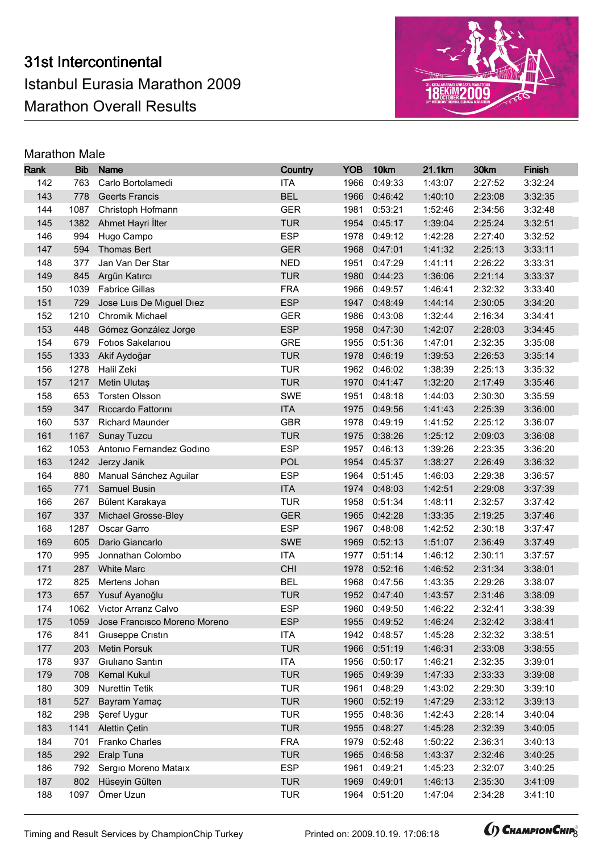

| Rank       | <b>Bib</b> | <b>Name</b>                                 | Country                  | <b>YOB</b>   | 10km               | 21.1km             | 30km               | Finish             |
|------------|------------|---------------------------------------------|--------------------------|--------------|--------------------|--------------------|--------------------|--------------------|
| 142        | 763        | Carlo Bortolamedi                           | <b>ITA</b>               | 1966         | 0:49:33            | 1:43:07            | 2:27:52            | 3:32:24            |
| 143        | 778        | <b>Geerts Francis</b>                       | <b>BEL</b>               | 1966         | 0:46:42            | 1:40:10            | 2:23:08            | 3:32:35            |
| 144        | 1087       | Christoph Hofmann                           | <b>GER</b>               | 1981         | 0:53:21            | 1:52:46            | 2:34:56            | 3:32:48            |
| 145        | 1382       | Ahmet Hayri İlter                           | <b>TUR</b>               | 1954         | 0:45:17            | 1:39:04            | 2:25:24            | 3:32:51            |
| 146        | 994        | Hugo Campo                                  | <b>ESP</b>               | 1978         | 0:49:12            | 1:42:28            | 2:27:40            | 3:32:52            |
| 147        | 594        | <b>Thomas Bert</b>                          | <b>GER</b>               | 1968         | 0:47:01            | 1:41:32            | 2:25:13            | 3:33:11            |
| 148        | 377        | Jan Van Der Star                            | <b>NED</b>               | 1951         | 0:47:29            | 1:41:11            | 2:26:22            | 3:33:31            |
| 149        | 845        | Argün Katırcı                               | <b>TUR</b>               | 1980         | 0:44:23            | 1:36:06            | 2:21:14            | 3:33:37            |
| 150        | 1039       | <b>Fabrice Gillas</b>                       | <b>FRA</b>               | 1966         | 0:49:57            | 1:46:41            | 2:32:32            | 3:33:40            |
| 151        | 729        | Jose Luis De Miguel Diez                    | <b>ESP</b>               | 1947         | 0:48:49            | 1:44:14            | 2:30:05            | 3:34:20            |
| 152        | 1210       | Chromik Michael                             | <b>GER</b>               | 1986         | 0:43:08            | 1:32:44            | 2:16:34            | 3:34:41            |
| 153        | 448        | Gómez González Jorge                        | <b>ESP</b>               | 1958         | 0:47:30            | 1:42:07            | 2:28:03            | 3:34:45            |
| 154        | 679        | Fotios Sakelariou                           | <b>GRE</b>               | 1955         | 0:51:36            | 1:47:01            | 2:32:35            | 3:35:08            |
| 155        | 1333       | Akif Aydoğar                                | <b>TUR</b>               | 1978         | 0:46:19            | 1:39:53            | 2:26:53            | 3:35:14            |
| 156        | 1278       | Halil Zeki                                  | <b>TUR</b>               | 1962         | 0:46:02            | 1:38:39            | 2:25:13            | 3:35:32            |
| 157        | 1217       | Metin Ulutaș                                | <b>TUR</b>               | 1970         | 0:41:47            | 1:32:20            | 2:17:49            | 3:35:46            |
| 158        | 653        | <b>Torsten Olsson</b>                       | <b>SWE</b>               | 1951         | 0:48:18            | 1:44:03            | 2:30:30            | 3:35:59            |
| 159        | 347        | Riccardo Fattorini                          | <b>ITA</b>               | 1975         | 0:49:56            | 1:41:43            | 2:25:39            | 3:36:00            |
| 160        | 537        | <b>Richard Maunder</b>                      | <b>GBR</b>               | 1978         | 0:49:19            | 1:41:52            | 2:25:12            | 3:36:07            |
| 161        | 1167       | Sunay Tuzcu                                 | <b>TUR</b>               | 1975         | 0:38:26            | 1:25:12            | 2:09:03            | 3:36:08            |
| 162        | 1053       | Antonio Fernandez Godino                    | <b>ESP</b>               | 1957         | 0:46:13            | 1:39:26            | 2:23:35            | 3:36:20            |
| 163        | 1242       | Jerzy Janik                                 | <b>POL</b>               | 1954         | 0:45:37            | 1:38:27            | 2:26:49            | 3:36:32            |
| 164        | 880        | Manual Sánchez Aguilar                      | <b>ESP</b>               | 1964         | 0:51:45            | 1:46:03            | 2:29:38            | 3:36:57            |
| 165        | 771        | Samuel Busin                                | <b>ITA</b>               | 1974         | 0:48:03            | 1:42:51            | 2:29:08            | 3:37:39            |
| 166        | 267        | Bülent Karakaya                             | <b>TUR</b>               | 1958         | 0:51:34            | 1:48:11            | 2:32:57            | 3:37:42            |
| 167        | 337        | Michael Grosse-Bley                         | <b>GER</b>               | 1965         | 0:42:28            | 1:33:35            | 2:19:25            | 3:37:46            |
| 168        | 1287       | Oscar Garro                                 | <b>ESP</b>               | 1967         | 0:48:08            | 1:42:52            | 2:30:18            | 3:37:47            |
| 169        | 605        | Dario Giancarlo                             | SWE                      | 1969         | 0:52:13            | 1:51:07            | 2:36:49            | 3:37:49            |
| 170        | 995        | Jonnathan Colombo                           | <b>ITA</b>               | 1977         | 0:51:14            | 1:46:12            | 2:30:11            | 3:37:57            |
| 171        | 287        | <b>White Marc</b>                           | <b>CHI</b>               | 1978         | 0:52:16            | 1:46:52            | 2:31:34            | 3:38:01            |
| 172        | 825        | Mertens Johan                               | <b>BEL</b>               | 1968         | 0:47:56            | 1:43:35            | 2:29:26            | 3:38:07            |
| 173        | 657        | Yusuf Ayanoğlu                              | <b>TUR</b>               |              | 1952 0:47:40       | 1:43:57            | 2:31:46            | 3:38:09            |
| 174        |            | 1062 Victor Arranz Calvo                    | <b>ESP</b>               |              | 1960 0:49:50       | 1:46:22            | 2:32:41            | 3:38:39            |
| 175        |            | 1059 Jose Francisco Moreno Moreno           | <b>ESP</b>               |              | 1955 0:49:52       | 1:46:24            | 2:32:42            | 3:38:41            |
| 176        | 841        | Giuseppe Cristin                            | <b>ITA</b>               | 1942         | 0:48:57            | 1:45:28            | 2:32:32            | 3:38:51            |
| 177        | 203        | <b>Metin Porsuk</b>                         | <b>TUR</b>               | 1966         | 0:51:19            | 1:46:31            | 2:33:08            | 3:38:55            |
| 178        | 937        | Giuliano Santin                             | <b>ITA</b>               | 1956         | 0:50:17            | 1:46:21            | 2:32:35            | 3:39:01            |
| 179        | 708<br>309 | <b>Kemal Kukul</b><br><b>Nurettin Tetik</b> | <b>TUR</b><br><b>TUR</b> | 1965<br>1961 | 0:49:39            | 1:47:33            | 2:33:33            | 3:39:08            |
| 180<br>181 |            |                                             | <b>TUR</b>               |              | 0:48:29<br>0:52:19 | 1:43:02<br>1:47:29 | 2:29:30            | 3:39:10            |
| 182        | 527<br>298 | Bayram Yamaç<br><b>Şeref Uygur</b>          | <b>TUR</b>               | 1960<br>1955 | 0:48:36            | 1:42:43            | 2:33:12<br>2:28:14 | 3:39:13<br>3:40:04 |
| 183        | 1141       | <b>Alettin Çetin</b>                        | <b>TUR</b>               | 1955         | 0:48:27            | 1:45:28            | 2:32:39            | 3:40:05            |
|            |            |                                             | <b>FRA</b>               |              |                    |                    |                    |                    |
| 184<br>185 | 701<br>292 | Franko Charles<br>Eralp Tuna                | <b>TUR</b>               | 1979<br>1965 | 0:52:48<br>0:46:58 | 1:50:22<br>1:43:37 | 2:36:31<br>2:32:46 | 3:40:13<br>3:40:25 |
| 186        | 792        | Sergio Moreno Mataix                        | <b>ESP</b>               | 1961         | 0:49:21            | 1:45:23            | 2:32:07            | 3:40:25            |
| 187        | 802        | Hüseyin Gülten                              | <b>TUR</b>               | 1969         | 0:49:01            | 1:46:13            | 2:35:30            | 3:41:09            |
| 188        | 1097       | Ömer Uzun                                   | <b>TUR</b>               | 1964         | 0:51:20            | 1:47:04            | 2:34:28            | 3:41:10            |
|            |            |                                             |                          |              |                    |                    |                    |                    |

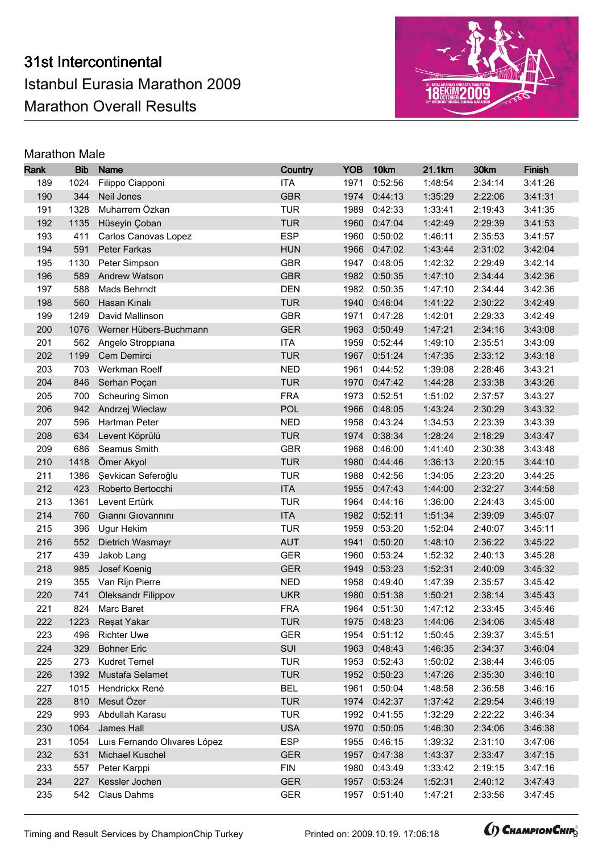

| Rank       | <b>Bib</b> | <b>Name</b>                   | Country                  | <b>YOB</b>   | 10km               | 21.1km             | 30km               | Finish  |
|------------|------------|-------------------------------|--------------------------|--------------|--------------------|--------------------|--------------------|---------|
| 189        | 1024       | Filippo Ciapponi              | <b>ITA</b>               | 1971         | 0:52:56            | 1:48:54            | 2:34:14            | 3:41:26 |
| 190        | 344        | Neil Jones                    | <b>GBR</b>               | 1974         | 0:44:13            | 1:35:29            | 2:22:06            | 3:41:31 |
| 191        | 1328       | Muharrem Özkan                | <b>TUR</b>               | 1989         | 0:42:33            | 1:33:41            | 2:19:43            | 3:41:35 |
| 192        | 1135       | Hüseyin Çoban                 | <b>TUR</b>               | 1960         | 0:47:04            | 1:42:49            | 2:29:39            | 3:41:53 |
| 193        | 411        | Carlos Canovas Lopez          | <b>ESP</b>               | 1960         | 0:50:02            | 1:46:11            | 2:35:53            | 3:41:57 |
| 194        | 591        | Peter Farkas                  | <b>HUN</b>               | 1966         | 0:47:02            | 1:43:44            | 2:31:02            | 3:42:04 |
| 195        | 1130       | Peter Simpson                 | <b>GBR</b>               | 1947         | 0:48:05            | 1:42:32            | 2:29:49            | 3:42:14 |
| 196        | 589        | Andrew Watson                 | <b>GBR</b>               | 1982         | 0:50:35            | 1:47:10            | 2:34:44            | 3:42:36 |
| 197        | 588        | Mads Behrndt                  | <b>DEN</b>               | 1982         | 0:50:35            | 1:47:10            | 2:34:44            | 3:42:36 |
| 198        | 560        | Hasan Kınalı                  | <b>TUR</b>               | 1940         | 0:46:04            | 1:41:22            | 2:30:22            | 3:42:49 |
| 199        | 1249       | David Mallinson               | <b>GBR</b>               | 1971         | 0:47:28            | 1:42:01            | 2:29:33            | 3:42:49 |
| 200        | 1076       | Werner Hübers-Buchmann        | <b>GER</b>               | 1963         | 0:50:49            | 1:47:21            | 2:34:16            | 3:43:08 |
| 201        | 562        | Angelo Stroppiana             | <b>ITA</b>               | 1959         | 0:52:44            | 1:49:10            | 2:35:51            | 3:43:09 |
| 202        | 1199       | Cem Demirci                   | <b>TUR</b>               | 1967         | 0:51:24            | 1:47:35            | 2:33:12            | 3:43:18 |
| 203        | 703        | Werkman Roelf                 | <b>NED</b>               | 1961         | 0:44:52            | 1:39:08            | 2:28:46            | 3:43:21 |
| 204        | 846        | Serhan Poçan                  | <b>TUR</b>               | 1970         | 0:47:42            | 1:44:28            | 2:33:38            | 3:43:26 |
| 205        | 700        | <b>Scheuring Simon</b>        | <b>FRA</b>               | 1973         | 0:52:51            | 1:51:02            | 2:37:57            | 3:43:27 |
| 206        | 942        | Andrzej Wieclaw               | <b>POL</b>               | 1966         | 0:48:05            | 1:43:24            | 2:30:29            | 3:43:32 |
| 207        | 596        | Hartman Peter                 | <b>NED</b>               | 1958         | 0:43:24            | 1:34:53            | 2:23:39            | 3:43:39 |
| 208        | 634        | Levent Köprülü                | <b>TUR</b>               | 1974         | 0:38:34            | 1:28:24            | 2:18:29            | 3:43:47 |
| 209        | 686        | Seamus Smith                  | <b>GBR</b>               | 1968         | 0:46:00            | 1:41:40            | 2:30:38            | 3:43:48 |
| 210        | 1418       | Ömer Akyol                    | <b>TUR</b>               | 1980         | 0:44:46            | 1:36:13            | 2:20:15            | 3:44:10 |
| 211        | 1386       | Sevkican Seferoğlu            | <b>TUR</b>               | 1988         | 0:42:56            | 1:34:05            | 2:23:20            | 3:44:25 |
| 212        | 423        | Roberto Bertocchi             | <b>ITA</b>               | 1955         | 0:47:43            | 1:44:00            | 2:32:27            | 3:44:58 |
| 213        | 1361       | Levent Ertürk                 | <b>TUR</b>               | 1964         | 0:44:16            | 1:36:00            | 2:24:43            | 3:45:00 |
| 214        | 760        | Gianni Giovannini             | <b>ITA</b>               | 1982         | 0:52:11            | 1:51:34            | 2:39:09            | 3:45:07 |
| 215        | 396        | Ugur Hekim                    | <b>TUR</b>               | 1959         | 0:53:20            | 1:52:04            | 2:40:07            | 3:45:11 |
| 216        | 552        | Dietrich Wasmayr              | <b>AUT</b>               | 1941         | 0:50:20            | 1:48:10            | 2:36:22            | 3:45:22 |
| 217        | 439        | Jakob Lang                    | <b>GER</b>               | 1960         | 0:53:24            | 1:52:32            | 2:40:13            | 3:45:28 |
| 218        | 985        | Josef Koenig                  | <b>GER</b>               | 1949         | 0:53:23            | 1:52:31            | 2:40:09            | 3:45:32 |
| 219        | 355        | Van Rijn Pierre               | <b>NED</b>               | 1958         | 0:49:40            | 1:47:39            | 2:35:57            | 3:45:42 |
| 220        | 741        | Oleksandr Filippov            | <b>UKR</b>               | 1980         | 0:51:38            | 1:50:21            | 2:38:14            | 3:45:43 |
| 221        |            | 824 Marc Baret                | <b>FRA</b>               |              | 1964 0:51:30       | 1:47:12            | 2:33:45            | 3:45:46 |
| 222        |            | 1223 Reşat Yakar              | <b>TUR</b>               |              | 1975 0:48:23       | 1:44:06            | 2:34:06            | 3:45:48 |
| 223        | 496        | <b>Richter Uwe</b>            | <b>GER</b>               | 1954         | 0:51:12            | 1:50:45            | 2:39:37            | 3:45:51 |
| 224        | 329        | <b>Bohner Eric</b>            | SUI                      | 1963         | 0:48:43            | 1:46:35            | 2:34:37            | 3:46:04 |
| 225        | 273        | <b>Kudret Temel</b>           | <b>TUR</b>               | 1953         | 0:52:43            | 1:50:02            | 2:38:44            | 3:46:05 |
| 226        | 1392       | Mustafa Selamet               | <b>TUR</b>               | 1952         | 0:50:23            | 1:47:26            | 2:35:30            | 3:46:10 |
| 227        | 1015       | Hendrickx René                | <b>BEL</b>               | 1961         | 0:50:04            | 1:48:58            | 2:36:58            | 3:46:16 |
| 228        | 810        | Mesut Özer                    | <b>TUR</b>               | 1974         | 0:42:37            | 1:37:42            | 2:29:54            | 3:46:19 |
| 229        | 993        | Abdullah Karasu               | <b>TUR</b>               | 1992         | 0:41:55            | 1:32:29            | 2:22:22            | 3:46:34 |
| 230        | 1064       | James Hall                    | <b>USA</b>               | 1970         | 0:50:05            | 1:46:30            | 2:34:06            | 3:46:38 |
| 231        | 1054       | Luis Fernando Olivares López  | <b>ESP</b>               | 1955         | 0:46:15            | 1:39:32            | 2:31:10            | 3:47:06 |
| 232<br>233 | 531<br>557 | Michael Kuschel               | <b>GER</b><br><b>FIN</b> | 1957<br>1980 | 0:47:38            | 1:43:37            | 2:33:47            | 3:47:15 |
|            |            | Peter Karppi                  |                          |              | 0:43:49            | 1:33:42            | 2:19:15            | 3:47:16 |
| 234        | 227        | Kessler Jochen<br>Claus Dahms | <b>GER</b><br><b>GER</b> | 1957<br>1957 | 0:53:24<br>0:51:40 | 1:52:31<br>1:47:21 | 2:40:12<br>2:33:56 | 3:47:43 |
| 235        | 542        |                               |                          |              |                    |                    |                    | 3:47:45 |

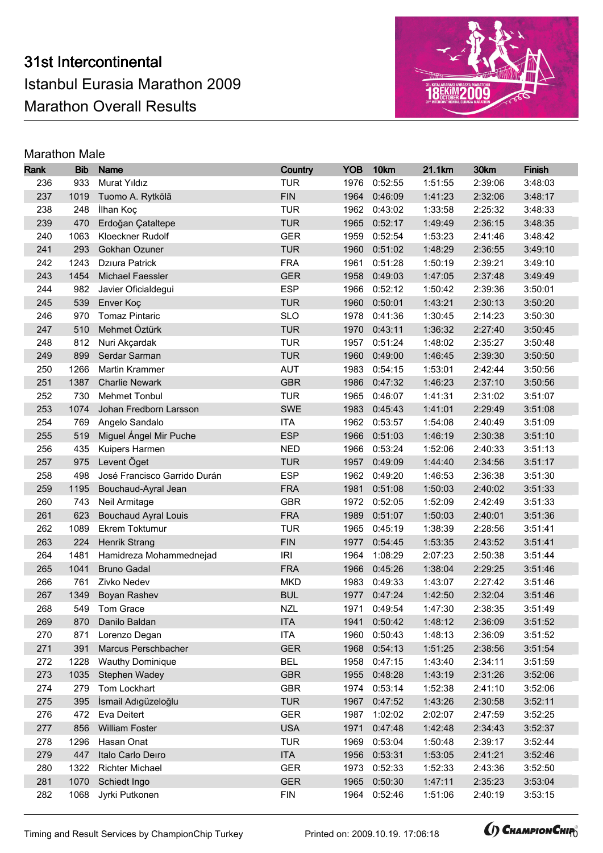

| Rank       | <b>Bib</b>   | <b>Name</b>                  | Country                  | <b>YOB</b>   | 10km               | 21.1km             | 30km               | <b>Finish</b> |
|------------|--------------|------------------------------|--------------------------|--------------|--------------------|--------------------|--------------------|---------------|
| 236        | 933          | Murat Yıldız                 | <b>TUR</b>               | 1976         | 0:52:55            | 1:51:55            | 2:39:06            | 3:48:03       |
| 237        | 1019         | Tuomo A. Rytkölä             | <b>FIN</b>               | 1964         | 0:46:09            | 1:41:23            | 2:32:06            | 3:48:17       |
| 238        | 248          | İlhan Koç                    | <b>TUR</b>               | 1962         | 0:43:02            | 1:33:58            | 2:25:32            | 3:48:33       |
| 239        | 470          | Erdoğan Çataltepe            | <b>TUR</b>               | 1965         | 0:52:17            | 1:49:49            | 2:36:15            | 3:48:35       |
| 240        | 1063         | Kloeckner Rudolf             | <b>GER</b>               | 1959         | 0:52:54            | 1:53:23            | 2:41:46            | 3:48:42       |
| 241        | 293          | Gokhan Ozuner                | <b>TUR</b>               | 1960         | 0:51:02            | 1:48:29            | 2:36:55            | 3:49:10       |
| 242        | 1243         | Dziura Patrick               | <b>FRA</b>               | 1961         | 0:51:28            | 1:50:19            | 2:39:21            | 3:49:10       |
| 243        | 1454         | Michael Faessler             | <b>GER</b>               | 1958         | 0:49:03            | 1:47:05            | 2:37:48            | 3:49:49       |
| 244        | 982          | Javier Oficialdegui          | <b>ESP</b>               | 1966         | 0:52:12            | 1:50:42            | 2:39:36            | 3:50:01       |
| 245        | 539          | Enver Koç                    | <b>TUR</b>               | 1960         | 0:50:01            | 1:43:21            | 2:30:13            | 3:50:20       |
| 246        | 970          | <b>Tomaz Pintaric</b>        | <b>SLO</b>               | 1978         | 0:41:36            | 1:30:45            | 2:14:23            | 3:50:30       |
| 247        | 510          | Mehmet Öztürk                | <b>TUR</b>               | 1970         | 0:43:11            | 1:36:32            | 2:27:40            | 3:50:45       |
| 248        | 812          | Nuri Akçardak                | <b>TUR</b>               | 1957         | 0:51:24            | 1:48:02            | 2:35:27            | 3:50:48       |
| 249        | 899          | Serdar Sarman                | <b>TUR</b>               | 1960         | 0:49:00            | 1:46:45            | 2:39:30            | 3:50:50       |
| 250        | 1266         | Martin Krammer               | <b>AUT</b>               | 1983         | 0:54:15            | 1:53:01            | 2:42:44            | 3:50:56       |
| 251        | 1387         | <b>Charlie Newark</b>        | <b>GBR</b>               | 1986         | 0:47:32            | 1:46:23            | 2:37:10            | 3:50:56       |
| 252        | 730          | <b>Mehmet Tonbul</b>         | <b>TUR</b>               | 1965         | 0:46:07            | 1:41:31            | 2:31:02            | 3:51:07       |
| 253        | 1074         | Johan Fredborn Larsson       | SWE                      | 1983         | 0:45:43            | 1:41:01            | 2:29:49            | 3:51:08       |
| 254        | 769          | Angelo Sandalo               | <b>ITA</b>               | 1962         | 0:53:57            | 1:54:08            | 2:40:49            | 3:51:09       |
| 255        | 519          | Miguel Ángel Mir Puche       | <b>ESP</b>               | 1966         | 0:51:03            | 1:46:19            | 2:30:38            | 3:51:10       |
| 256        | 435          | Kuipers Harmen               | <b>NED</b>               | 1966         | 0:53:24            | 1:52:06            | 2:40:33            | 3:51:13       |
| 257        | 975          | Levent Öget                  | <b>TUR</b>               | 1957         | 0:49:09            | 1:44:40            | 2:34:56            | 3:51:17       |
| 258        | 498          | José Francisco Garrido Durán | <b>ESP</b>               | 1962         | 0:49:20            | 1:46:53            | 2:36:38            | 3:51:30       |
| 259        | 1195         | Bouchaud-Ayral Jean          | <b>FRA</b>               | 1981         | 0:51:08            | 1:50:03            | 2:40:02            | 3:51:33       |
| 260        | 743          | Neil Armitage                | <b>GBR</b>               | 1972         | 0:52:05            | 1:52:09            | 2:42:49            | 3:51:33       |
| 261        | 623          | <b>Bouchaud Ayral Louis</b>  | <b>FRA</b>               | 1989         | 0:51:07            | 1:50:03            | 2:40:01            | 3:51:36       |
| 262        | 1089         | Ekrem Toktumur               | <b>TUR</b>               | 1965         | 0:45:19            | 1:38:39            | 2:28:56            | 3:51:41       |
| 263        | 224          | Henrik Strang                | <b>FIN</b>               | 1977         | 0:54:45            | 1:53:35            | 2:43:52            | 3:51:41       |
| 264        | 1481         | Hamidreza Mohammednejad      | <b>IRI</b>               | 1964         | 1:08:29            | 2:07:23            | 2:50:38            | 3:51:44       |
| 265        | 1041         | <b>Bruno Gadal</b>           | <b>FRA</b>               | 1966         | 0:45:26            | 1:38:04            | 2:29:25            | 3:51:46       |
| 266        | 761          | Zivko Nedev                  | <b>MKD</b>               | 1983         | 0:49:33            | 1:43:07            | 2:27:42            | 3:51:46       |
| 267        | 1349         | <b>Boyan Rashev</b>          | <b>BUL</b>               | 1977         | 0:47:24            | 1:42:50            | 2:32:04            | 3:51:46       |
| 268        | 549          | Tom Grace                    | <b>NZL</b>               | 1971         | 0:49:54            | 1:47:30            | 2:38:35            | 3:51:49       |
| 269        | 870          | Danilo Baldan                | <b>ITA</b>               | 1941         | 0:50:42            | 1:48:12            | 2:36:09            | 3:51:52       |
| 270        | 871          | Lorenzo Degan                | <b>ITA</b>               | 1960         | 0:50:43            | 1:48:13            | 2:36:09            | 3:51:52       |
| 271        | 391          | Marcus Perschbacher          | <b>GER</b>               | 1968         | 0:54:13            | 1:51:25            | 2:38:56            | 3:51:54       |
| 272        | 1228         | <b>Wauthy Dominique</b>      | <b>BEL</b>               | 1958         | 0:47:15            | 1:43:40            | 2:34:11            | 3:51:59       |
| 273        | 1035         | Stephen Wadey                | <b>GBR</b>               | 1955         | 0:48:28            | 1:43:19            | 2:31:26            | 3:52:06       |
| 274        | 279          | Tom Lockhart                 | <b>GBR</b>               | 1974         | 0:53:14            | 1:52:38            | 2:41:10            | 3:52:06       |
| 275        | 395          | İsmail Adıgüzeloğlu          | <b>TUR</b>               | 1967         | 0:47:52            | 1:43:26            | 2:30:58            | 3:52:11       |
| 276        | 472          | Eva Deitert                  | <b>GER</b>               | 1987         | 1:02:02            | 2:02:07            | 2:47:59            | 3:52:25       |
| 277        | 856          | <b>William Foster</b>        | <b>USA</b>               | 1971         | 0:47:48            | 1:42:48            | 2:34:43            | 3:52:37       |
| 278        | 1296         | Hasan Onat                   | <b>TUR</b>               | 1969         | 0:53:04            | 1:50:48            | 2:39:17            | 3:52:44       |
| 279        | 447          | Italo Carlo Deiro            | <b>ITA</b>               | 1956         | 0:53:31            | 1:53:05            | 2:41:21            | 3:52:46       |
| 280        | 1322         | <b>Richter Michael</b>       | <b>GER</b>               | 1973         | 0:52:33            | 1:52:33            | 2:43:36            | 3:52:50       |
| 281<br>282 | 1070<br>1068 | Schiedt Ingo                 | <b>GER</b><br><b>FIN</b> | 1965<br>1964 | 0:50:30<br>0:52:46 | 1:47:11<br>1:51:06 | 2:35:23<br>2:40:19 | 3:53:04       |
|            |              | Jyrki Putkonen               |                          |              |                    |                    |                    | 3:53:15       |

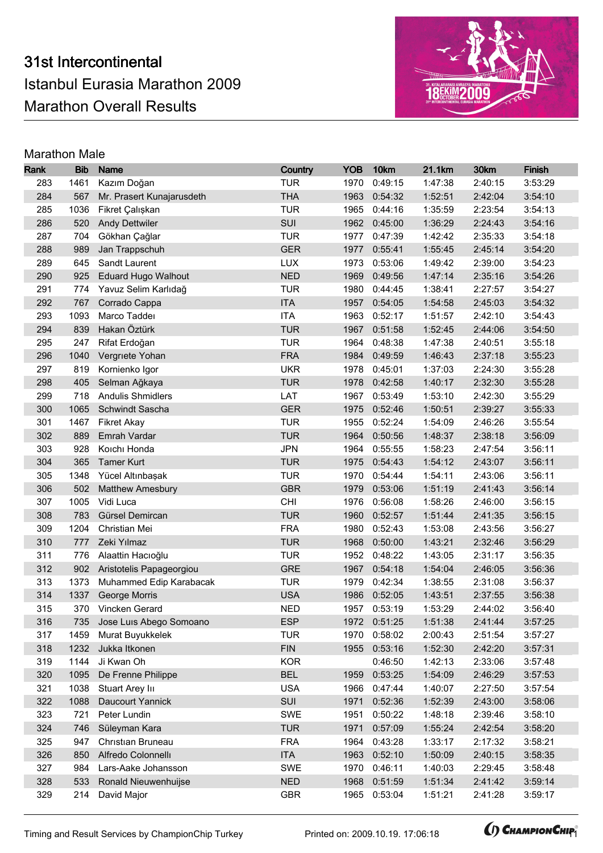

| Rank       | <b>Bib</b>   | <b>Name</b>                             | Country                  | <b>YOB</b>   | 10km               | 21.1km             | 30km               | Finish             |
|------------|--------------|-----------------------------------------|--------------------------|--------------|--------------------|--------------------|--------------------|--------------------|
| 283        | 1461         | Kazım Doğan                             | <b>TUR</b>               | 1970         | 0:49:15            | 1:47:38            | 2:40:15            | 3:53:29            |
| 284        | 567          | Mr. Prasert Kunajarusdeth               | <b>THA</b>               | 1963         | 0:54:32            | 1:52:51            | 2:42:04            | 3:54:10            |
| 285        | 1036         | Fikret Çalışkan                         | <b>TUR</b>               | 1965         | 0:44:16            | 1:35:59            | 2:23:54            | 3:54:13            |
| 286        | 520          | <b>Andy Dettwiler</b>                   | SUI                      | 1962         | 0:45:00            | 1:36:29            | 2:24:43            | 3:54:16            |
| 287        | 704          | Gökhan Çağlar                           | <b>TUR</b>               | 1977         | 0:47:39            | 1:42:42            | 2:35:33            | 3:54:18            |
| 288        | 989          | Jan Trappschuh                          | <b>GER</b>               | 1977         | 0:55:41            | 1:55:45            | 2:45:14            | 3:54:20            |
| 289        | 645          | Sandt Laurent                           | <b>LUX</b>               | 1973         | 0:53:06            | 1:49:42            | 2:39:00            | 3:54:23            |
| 290        | 925          | <b>Eduard Hugo Walhout</b>              | <b>NED</b>               | 1969         | 0:49:56            | 1:47:14            | 2:35:16            | 3:54:26            |
| 291        | 774          | Yavuz Selim Karlıdağ                    | <b>TUR</b>               | 1980         | 0:44:45            | 1:38:41            | 2:27:57            | 3:54:27            |
| 292        | 767          | Corrado Cappa                           | <b>ITA</b>               | 1957         | 0:54:05            | 1:54:58            | 2:45:03            | 3:54:32            |
| 293        | 1093         | Marco Taddei                            | <b>ITA</b>               | 1963         | 0:52:17            | 1:51:57            | 2:42:10            | 3:54:43            |
| 294        | 839          | Hakan Öztürk                            | <b>TUR</b>               | 1967         | 0:51:58            | 1:52:45            | 2:44:06            | 3:54:50            |
| 295        | 247          | Rifat Erdoğan                           | <b>TUR</b>               | 1964         | 0:48:38            | 1:47:38            | 2:40:51            | 3:55:18            |
| 296        | 1040         | Vergriete Yohan                         | <b>FRA</b>               | 1984         | 0:49:59            | 1:46:43            | 2:37:18            | 3:55:23            |
| 297        | 819          | Kornienko Igor                          | <b>UKR</b>               | 1978         | 0:45:01            | 1:37:03            | 2:24:30            | 3:55:28            |
| 298        | 405          | Selman Ağkaya                           | <b>TUR</b>               | 1978         | 0:42:58            | 1:40:17            | 2:32:30            | 3:55:28            |
| 299        | 718          | <b>Andulis Shmidlers</b>                | LAT                      | 1967         | 0:53:49            | 1:53:10            | 2:42:30            | 3:55:29            |
| 300        | 1065         | Schwindt Sascha                         | <b>GER</b>               | 1975         | 0:52:46            | 1:50:51            | 2:39:27            | 3:55:33            |
| 301        | 1467         | <b>Fikret Akay</b>                      | <b>TUR</b>               | 1955         | 0:52:24            | 1:54:09            | 2:46:26            | 3:55:54            |
| 302        | 889          | Emrah Vardar                            | <b>TUR</b>               | 1964         | 0:50:56            | 1:48:37            | 2:38:18            | 3:56:09            |
| 303        | 928          | Koıchı Honda                            | <b>JPN</b>               | 1964         | 0:55:55            | 1:58:23            | 2:47:54            | 3:56:11            |
| 304        | 365          | <b>Tamer Kurt</b>                       | <b>TUR</b>               | 1975         | 0:54:43            | 1:54:12            | 2:43:07            | 3:56:11            |
| 305        | 1348         | Yücel Altınbaşak                        | <b>TUR</b>               | 1970         | 0:54:44            | 1:54:11            | 2:43:06            | 3:56:11            |
| 306        | 502          | <b>Matthew Amesbury</b>                 | <b>GBR</b>               | 1979         | 0:53:06            | 1:51:19            | 2:41:43            | 3:56:14            |
| 307        | 1005         | Vidi Luca                               | CHI                      | 1976         | 0:56:08            | 1:58:26            | 2:46:00            | 3:56:15            |
| 308        | 783          | Gürsel Demircan                         | <b>TUR</b>               | 1960         | 0:52:57            | 1:51:44            | 2:41:35            | 3:56:15            |
| 309        | 1204         | Christian Mei                           | <b>FRA</b>               | 1980         | 0:52:43            | 1:53:08            | 2:43:56            | 3:56:27            |
| 310        | 777          | Zeki Yılmaz                             | <b>TUR</b>               | 1968         | 0:50:00            | 1:43:21            | 2:32:46            | 3:56:29            |
| 311        | 776          | Alaattin Hacıoğlu                       | <b>TUR</b>               | 1952         | 0:48:22            | 1:43:05            | 2:31:17            | 3:56:35            |
| 312        | 902          | Aristotelis Papageorgiou                | <b>GRE</b>               | 1967         | 0:54:18            | 1:54:04            | 2:46:05            | 3:56:36            |
| 313        | 1373         | Muhammed Edip Karabacak                 | <b>TUR</b>               | 1979         | 0:42:34            | 1:38:55            | 2:31:08            | 3:56:37            |
| 314        | 1337         | <b>George Morris</b>                    | <b>USA</b>               | 1986         | 0:52:05            | 1:43:51            | 2:37:55            | 3:56:38            |
| 315        |              | 370 Vincken Gerard                      | <b>NED</b>               |              | 1957 0:53:19       | 1:53:29            | 2:44:02            | 3:56:40            |
| 316        |              | 735 Jose Luis Abego Somoano             | <b>ESP</b>               |              | 1972 0:51:25       | 1:51:38            | 2:41:44            | 3:57:25            |
| 317        | 1459         | Murat Buyukkelek                        | <b>TUR</b>               | 1970         | 0:58:02            | 2:00:43            | 2:51:54            | 3:57:27            |
| 318        | 1232         | Jukka Itkonen                           | <b>FIN</b>               | 1955         | 0:53:16            | 1:52:30            | 2:42:20            | 3:57:31            |
| 319        | 1144         | Ji Kwan Oh                              | <b>KOR</b><br><b>BEL</b> |              | 0:46:50            | 1:42:13            | 2:33:06            | 3:57:48            |
| 320        | 1095<br>1038 | De Frenne Philippe                      | <b>USA</b>               | 1959<br>1966 | 0:53:25            | 1:54:09            | 2:46:29            | 3:57:53            |
| 321<br>322 |              | Stuart Arey In<br>Daucourt Yannick      | SUI                      |              | 0:47:44<br>0:52:36 | 1:40:07<br>1:52:39 | 2:27:50            | 3:57:54            |
| 323        | 1088<br>721  | Peter Lundin                            | <b>SWE</b>               | 1971<br>1951 | 0:50:22            | 1:48:18            | 2:43:00<br>2:39:46 | 3:58:06<br>3:58:10 |
| 324        | 746          | Süleyman Kara                           | <b>TUR</b>               | 1971         | 0:57:09            | 1:55:24            | 2:42:54            | 3:58:20            |
|            |              |                                         |                          |              |                    |                    |                    |                    |
| 325<br>326 | 947<br>850   | Christian Bruneau<br>Alfredo Colonnelli | <b>FRA</b><br><b>ITA</b> | 1964<br>1963 | 0:43:28<br>0:52:10 | 1:33:17<br>1:50:09 | 2:17:32<br>2:40:15 | 3:58:21<br>3:58:35 |
| 327        | 984          | Lars-Aake Johansson                     | SWE                      | 1970         | 0:46:11            | 1:40:03            | 2:29:45            | 3:58:48            |
| 328        | 533          | Ronald Nieuwenhuijse                    | <b>NED</b>               | 1968         | 0:51:59            | 1:51:34            | 2:41:42            | 3:59:14            |
| 329        | 214          | David Major                             | <b>GBR</b>               | 1965         | 0:53:04            | 1:51:21            | 2:41:28            | 3:59:17            |
|            |              |                                         |                          |              |                    |                    |                    |                    |

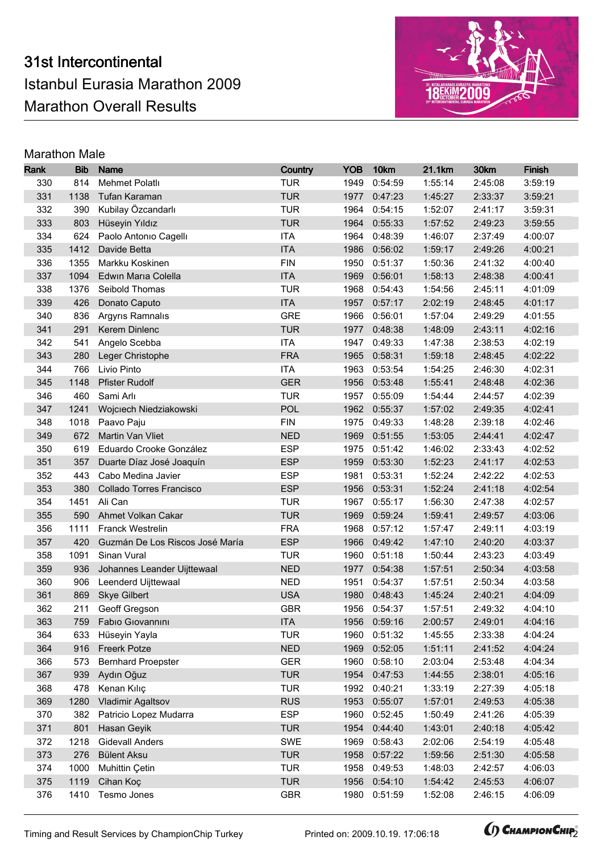

| Rank | <b>Bib</b> | <b>Name</b>                     | Country    | <b>YOB</b> | 10km         | 21.1km  | 30km    | <b>Finish</b> |
|------|------------|---------------------------------|------------|------------|--------------|---------|---------|---------------|
| 330  | 814        | Mehmet Polatlı                  | <b>TUR</b> | 1949       | 0:54:59      | 1:55:14 | 2:45:08 | 3:59:19       |
| 331  | 1138       | Tufan Karaman                   | <b>TUR</b> | 1977       | 0:47:23      | 1:45:27 | 2:33:37 | 3:59:21       |
| 332  | 390        | Kubilay Özcandarlı              | <b>TUR</b> | 1964       | 0:54:15      | 1:52:07 | 2:41:17 | 3:59:31       |
| 333  | 803        | Hüseyin Yıldız                  | <b>TUR</b> | 1964       | 0:55:33      | 1:57:52 | 2:49:23 | 3:59:55       |
| 334  | 624        | Paolo Antonio Cagelli           | <b>ITA</b> | 1964       | 0:48:39      | 1:46:07 | 2:37:49 | 4:00:07       |
| 335  | 1412       | Davide Betta                    | <b>ITA</b> | 1986       | 0:56:02      | 1:59:17 | 2:49:26 | 4:00:21       |
| 336  | 1355       | Markku Koskinen                 | <b>FIN</b> | 1950       | 0:51:37      | 1:50:36 | 2:41:32 | 4:00:40       |
| 337  | 1094       | Edwin Maria Colella             | <b>ITA</b> | 1969       | 0:56:01      | 1:58:13 | 2:48:38 | 4:00:41       |
| 338  | 1376       | Seibold Thomas                  | <b>TUR</b> | 1968       | 0:54:43      | 1:54:56 | 2:45:11 | 4:01:09       |
| 339  | 426        | Donato Caputo                   | <b>ITA</b> | 1957       | 0:57:17      | 2:02:19 | 2:48:45 | 4:01:17       |
| 340  | 836        | Argyris Ramnalis                | <b>GRE</b> | 1966       | 0:56:01      | 1:57:04 | 2:49:29 | 4:01:55       |
| 341  | 291        | Kerem Dinlenc                   | <b>TUR</b> | 1977       | 0:48:38      | 1:48:09 | 2:43:11 | 4:02:16       |
| 342  | 541        | Angelo Scebba                   | <b>ITA</b> | 1947       | 0:49:33      | 1:47:38 | 2:38:53 | 4:02:19       |
| 343  | 280        | Leger Christophe                | <b>FRA</b> | 1965       | 0:58:31      | 1:59:18 | 2:48:45 | 4:02:22       |
| 344  | 766        | Livio Pinto                     | <b>ITA</b> | 1963       | 0:53:54      | 1:54:25 | 2:46:30 | 4:02:31       |
| 345  | 1148       | <b>Pfister Rudolf</b>           | <b>GER</b> | 1956       | 0:53:48      | 1:55:41 | 2:48:48 | 4:02:36       |
| 346  | 460        | Sami Arlı                       | <b>TUR</b> | 1957       | 0:55:09      | 1:54:44 | 2:44:57 | 4:02:39       |
| 347  | 1241       | Wojciech Niedziakowski          | POL        | 1962       | 0:55:37      | 1:57:02 | 2:49:35 | 4:02:41       |
| 348  | 1018       | Paavo Paju                      | <b>FIN</b> | 1975       | 0:49:33      | 1:48:28 | 2:39:18 | 4:02:46       |
| 349  | 672        | Martin Van Vliet                | <b>NED</b> | 1969       | 0:51:55      | 1:53:05 | 2:44:41 | 4:02:47       |
| 350  | 619        | Eduardo Crooke González         | <b>ESP</b> | 1975       | 0:51:42      | 1:46:02 | 2:33:43 | 4:02:52       |
| 351  | 357        | Duarte Díaz José Joaquín        | <b>ESP</b> | 1959       | 0:53:30      | 1:52:23 | 2:41:17 | 4:02:53       |
| 352  | 443        | Cabo Medina Javier              | <b>ESP</b> | 1981       | 0:53:31      | 1:52:24 | 2:42:22 | 4:02:53       |
| 353  | 380        | Collado Torres Francisco        | <b>ESP</b> | 1956       | 0:53:31      | 1:52:24 | 2:41:18 | 4:02:54       |
| 354  | 1451       | Ali Can                         | <b>TUR</b> | 1967       | 0:55:17      | 1:56:30 | 2:47:38 | 4:02:57       |
| 355  | 590        | Ahmet Volkan Cakar              | <b>TUR</b> | 1969       | 0:59:24      | 1:59:41 | 2:49:57 | 4:03:06       |
| 356  | 1111       | <b>Franck Westrelin</b>         | <b>FRA</b> | 1968       | 0:57:12      | 1:57:47 | 2:49:11 | 4:03:19       |
| 357  | 420        | Guzmán De Los Riscos José María | <b>ESP</b> | 1966       | 0:49:42      | 1:47:10 | 2:40:20 | 4:03:37       |
| 358  | 1091       | Sinan Vural                     | <b>TUR</b> | 1960       | 0:51:18      | 1:50:44 | 2:43:23 | 4:03:49       |
| 359  | 936        | Johannes Leander Uijttewaal     | <b>NED</b> | 1977       | 0:54:38      | 1:57:51 | 2:50:34 | 4:03:58       |
| 360  | 906        | Leenderd Uijttewaal             | <b>NED</b> | 1951       | 0:54:37      | 1:57:51 | 2:50:34 | 4:03:58       |
| 361  | 869        | <b>Skye Gilbert</b>             | <b>USA</b> | 1980       | 0:48:43      | 1:45:24 | 2:40:21 | 4:04:09       |
| 362  |            | 211 Geoff Gregson               | <b>GBR</b> |            | 1956 0:54:37 | 1:57:51 | 2:49:32 | 4:04:10       |
| 363  |            | 759 Fabio Giovannini            | <b>ITA</b> |            | 1956 0:59:16 | 2:00:57 | 2:49:01 | 4:04:16       |
| 364  | 633        | Hüseyin Yayla                   | <b>TUR</b> | 1960       | 0:51:32      | 1:45:55 | 2:33:38 | 4:04:24       |
| 364  | 916        | <b>Freerk Potze</b>             | <b>NED</b> | 1969       | 0:52:05      | 1:51:11 | 2:41:52 | 4:04:24       |
| 366  | 573        | <b>Bernhard Proepster</b>       | <b>GER</b> | 1960       | 0:58:10      | 2:03:04 | 2:53:48 | 4:04:34       |
| 367  | 939        | Aydın Oğuz                      | <b>TUR</b> | 1954       | 0:47:53      | 1:44:55 | 2:38:01 | 4:05:16       |
| 368  | 478        | Kenan Kılıç                     | <b>TUR</b> | 1992       | 0:40:21      | 1:33:19 | 2:27:39 | 4:05:18       |
| 369  | 1280       | Vladimir Agaltsov               | <b>RUS</b> | 1953       | 0:55:07      | 1:57:01 | 2:49:53 | 4:05:38       |
| 370  | 382        | Patricio Lopez Mudarra          | <b>ESP</b> | 1960       | 0:52:45      | 1:50:49 | 2:41:26 | 4:05:39       |
| 371  | 801        | Hasan Geyik                     | <b>TUR</b> | 1954       | 0:44:40      | 1:43:01 | 2:40:18 | 4:05:42       |
| 372  | 1218       | <b>Gidevall Anders</b>          | SWE        | 1969       | 0:58:43      | 2:02:06 | 2:54:19 | 4:05:48       |
| 373  | 276        | <b>Bülent Aksu</b>              | <b>TUR</b> | 1958       | 0:57:22      | 1:59:56 | 2:51:30 | 4:05:58       |
| 374  | 1000       | Muhittin Çetin                  | <b>TUR</b> | 1958       | 0:49:53      | 1:48:03 | 2:42:57 | 4:06:03       |
| 375  | 1119       | Cihan Koç                       | <b>TUR</b> | 1956       | 0:54:10      | 1:54:42 | 2:45:53 | 4:06:07       |
| 376  | 1410       | Tesmo Jones                     | <b>GBR</b> | 1980       | 0:51:59      | 1:52:08 | 2:46:15 | 4:06:09       |

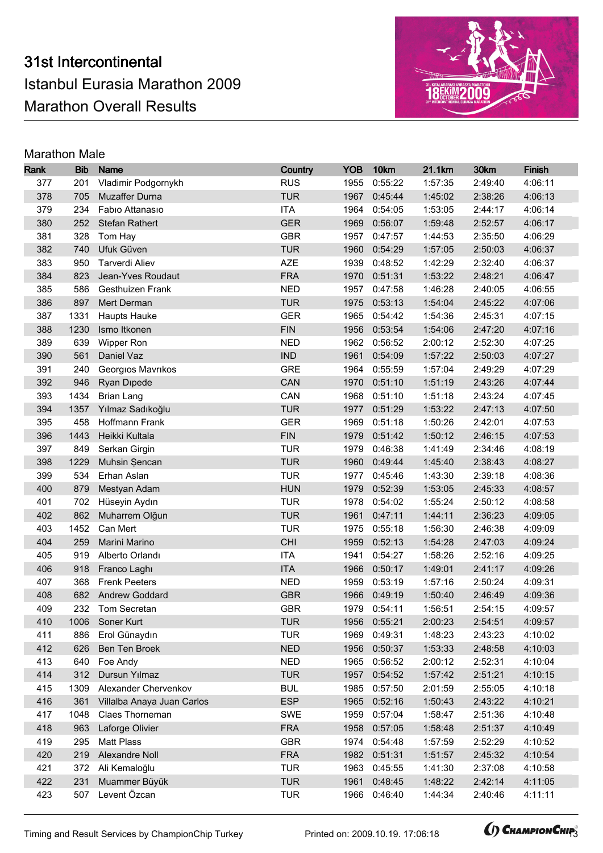

| Rank | <b>Bib</b> | <b>Name</b>                | Country    | <b>YOB</b> | 10km         | 21.1km  | 30km    | <b>Finish</b> |
|------|------------|----------------------------|------------|------------|--------------|---------|---------|---------------|
| 377  | 201        | Vladimir Podgornykh        | <b>RUS</b> | 1955       | 0:55:22      | 1:57:35 | 2:49:40 | 4:06:11       |
| 378  | 705        | Muzaffer Durna             | <b>TUR</b> | 1967       | 0:45:44      | 1:45:02 | 2:38:26 | 4:06:13       |
| 379  | 234        | Fabio Attanasio            | <b>ITA</b> | 1964       | 0:54:05      | 1:53:05 | 2:44:17 | 4:06:14       |
| 380  | 252        | Stefan Rathert             | <b>GER</b> | 1969       | 0:56:07      | 1:59:48 | 2:52:57 | 4:06:17       |
| 381  | 328        | Tom Hay                    | <b>GBR</b> | 1957       | 0:47:57      | 1:44:53 | 2:35:50 | 4:06:29       |
| 382  | 740        | Ufuk Güven                 | <b>TUR</b> | 1960       | 0:54:29      | 1:57:05 | 2:50:03 | 4:06:37       |
| 383  | 950        | Tarverdi Aliev             | <b>AZE</b> | 1939       | 0:48:52      | 1:42:29 | 2:32:40 | 4:06:37       |
| 384  | 823        | Jean-Yves Roudaut          | <b>FRA</b> | 1970       | 0:51:31      | 1:53:22 | 2:48:21 | 4:06:47       |
| 385  | 586        | Gesthuizen Frank           | <b>NED</b> | 1957       | 0:47:58      | 1:46:28 | 2:40:05 | 4:06:55       |
| 386  | 897        | Mert Derman                | <b>TUR</b> | 1975       | 0:53:13      | 1:54:04 | 2:45:22 | 4:07:06       |
| 387  | 1331       | <b>Haupts Hauke</b>        | <b>GER</b> | 1965       | 0:54:42      | 1:54:36 | 2:45:31 | 4:07:15       |
| 388  | 1230       | Ismo Itkonen               | <b>FIN</b> | 1956       | 0:53:54      | 1:54:06 | 2:47:20 | 4:07:16       |
| 389  | 639        | Wipper Ron                 | <b>NED</b> | 1962       | 0:56:52      | 2:00:12 | 2:52:30 | 4:07:25       |
| 390  | 561        | Daniel Vaz                 | <b>IND</b> | 1961       | 0:54:09      | 1:57:22 | 2:50:03 | 4:07:27       |
| 391  | 240        | Georgios Mavrikos          | <b>GRE</b> | 1964       | 0:55:59      | 1:57:04 | 2:49:29 | 4:07:29       |
| 392  | 946        | <b>Ryan Dipede</b>         | CAN        | 1970       | 0:51:10      | 1:51:19 | 2:43:26 | 4:07:44       |
| 393  | 1434       | <b>Brian Lang</b>          | CAN        | 1968       | 0:51:10      | 1:51:18 | 2:43:24 | 4:07:45       |
| 394  | 1357       | Yılmaz Sadıkoğlu           | <b>TUR</b> | 1977       | 0:51:29      | 1:53:22 | 2:47:13 | 4:07:50       |
| 395  | 458        | Hoffmann Frank             | <b>GER</b> | 1969       | 0:51:18      | 1:50:26 | 2:42:01 | 4:07:53       |
| 396  | 1443       | Heikki Kultala             | <b>FIN</b> | 1979       | 0:51:42      | 1:50:12 | 2:46:15 | 4:07:53       |
| 397  | 849        | Serkan Girgin              | <b>TUR</b> | 1979       | 0:46:38      | 1:41:49 | 2:34:46 | 4:08:19       |
| 398  | 1229       | Muhsin Şencan              | <b>TUR</b> | 1960       | 0:49:44      | 1:45:40 | 2:38:43 | 4:08:27       |
| 399  | 534        | Erhan Aslan                | <b>TUR</b> | 1977       | 0:45:46      | 1:43:30 | 2:39:18 | 4:08:36       |
| 400  | 879        | Mestyan Adam               | <b>HUN</b> | 1979       | 0:52:39      | 1:53:05 | 2:45:33 | 4:08:57       |
| 401  | 702        | Hüseyin Aydın              | <b>TUR</b> | 1978       | 0:54:02      | 1:55:24 | 2:50:12 | 4:08:58       |
| 402  | 862        | Muharrem Olğun             | <b>TUR</b> | 1961       | 0:47:11      | 1:44:11 | 2:36:23 | 4:09:05       |
| 403  | 1452       | Can Mert                   | <b>TUR</b> | 1975       | 0:55:18      | 1:56:30 | 2:46:38 | 4:09:09       |
| 404  | 259        | Marini Marino              | <b>CHI</b> | 1959       | 0:52:13      | 1:54:28 | 2:47:03 | 4:09:24       |
| 405  | 919        | Alberto Orlandı            | <b>ITA</b> | 1941       | 0:54:27      | 1:58:26 | 2:52:16 | 4:09:25       |
| 406  | 918        | Franco Laghi               | <b>ITA</b> | 1966       | 0:50:17      | 1:49:01 | 2:41:17 | 4:09:26       |
| 407  | 368        | <b>Frenk Peeters</b>       | <b>NED</b> | 1959       | 0:53:19      | 1:57:16 | 2:50:24 | 4:09:31       |
| 408  | 682        | <b>Andrew Goddard</b>      | <b>GBR</b> | 1966       | 0:49:19      | 1:50:40 | 2:46:49 | 4:09:36       |
| 409  |            | 232 Tom Secretan           | <b>GBR</b> |            | 1979 0:54:11 | 1:56:51 | 2:54:15 | 4:09:57       |
| 410  |            | 1006 Soner Kurt            | <b>TUR</b> |            | 1956 0:55:21 | 2:00:23 | 2:54:51 | 4:09:57       |
| 411  | 886        | Erol Günaydın              | <b>TUR</b> | 1969       | 0:49:31      | 1:48:23 | 2:43:23 | 4:10:02       |
| 412  | 626        | Ben Ten Broek              | <b>NED</b> | 1956       | 0:50:37      | 1:53:33 | 2:48:58 | 4:10:03       |
| 413  | 640        | Foe Andy                   | <b>NED</b> | 1965       | 0:56:52      | 2:00:12 | 2:52:31 | 4:10:04       |
| 414  | 312        | Dursun Yılmaz              | <b>TUR</b> | 1957       | 0:54:52      | 1:57:42 | 2:51:21 | 4:10:15       |
| 415  | 1309       | Alexander Chervenkov       | <b>BUL</b> | 1985       | 0:57:50      | 2:01:59 | 2:55:05 | 4:10:18       |
| 416  | 361        | Villalba Anaya Juan Carlos | <b>ESP</b> | 1965       | 0:52:16      | 1:50:43 | 2:43:22 | 4:10:21       |
| 417  | 1048       | Claes Thorneman            | SWE        | 1959       | 0:57:04      | 1:58:47 | 2:51:36 | 4:10:48       |
| 418  | 963        | Laforge Olivier            | <b>FRA</b> | 1958       | 0:57:05      | 1:58:48 | 2:51:37 | 4:10:49       |
| 419  | 295        | Matt Plass                 | <b>GBR</b> | 1974       | 0:54:48      | 1:57:59 | 2:52:29 | 4:10:52       |
| 420  | 219        | Alexandre Noll             | <b>FRA</b> | 1982       | 0:51:31      | 1:51:57 | 2:45:32 | 4:10:54       |
| 421  | 372        | Ali Kemaloğlu              | <b>TUR</b> | 1963       | 0:45:55      | 1:41:30 | 2:37:08 | 4:10:58       |
| 422  | 231        | Muammer Büyük              | <b>TUR</b> | 1961       | 0:48:45      | 1:48:22 | 2:42:14 | 4:11:05       |
| 423  | 507        | Levent Özcan               | <b>TUR</b> | 1966       | 0:46:40      | 1:44:34 | 2:40:46 | 4:11:11       |

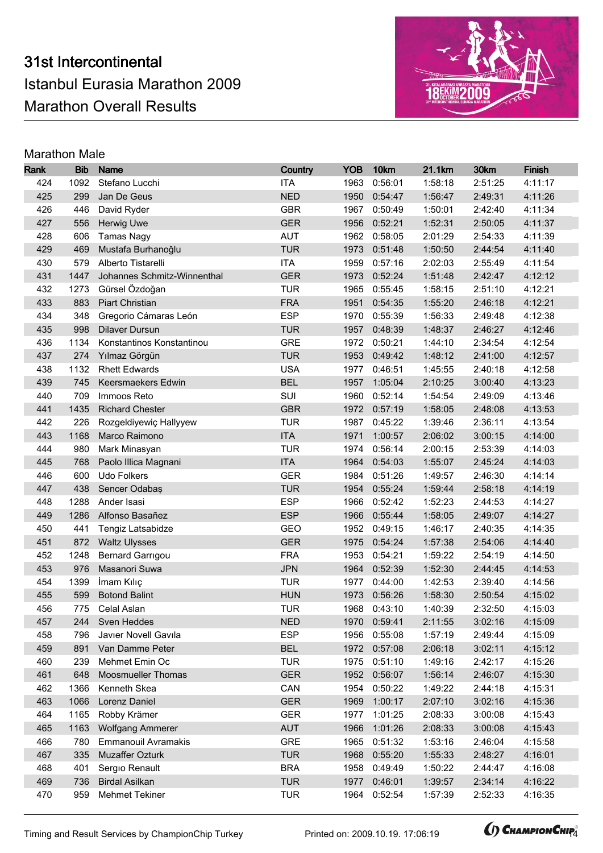

| Rank       | <b>Bib</b>   | <b>Name</b>                                           | Country                  | <b>YOB</b>   | 10km               | 21.1km             | 30km               | Finish             |
|------------|--------------|-------------------------------------------------------|--------------------------|--------------|--------------------|--------------------|--------------------|--------------------|
| 424        | 1092         | Stefano Lucchi                                        | <b>ITA</b>               | 1963         | 0:56:01            | 1:58:18            | 2:51:25            | 4:11:17            |
| 425        | 299          | Jan De Geus                                           | <b>NED</b>               | 1950         | 0:54:47            | 1:56:47            | 2:49:31            | 4:11:26            |
| 426        | 446          | David Ryder                                           | <b>GBR</b>               | 1967         | 0:50:49            | 1:50:01            | 2:42:40            | 4:11:34            |
| 427        | 556          | Herwig Uwe                                            | <b>GER</b>               | 1956         | 0:52:21            | 1:52:31            | 2:50:05            | 4:11:37            |
| 428        | 606          | <b>Tamas Nagy</b>                                     | <b>AUT</b>               | 1962         | 0:58:05            | 2:01:29            | 2:54:33            | 4:11:39            |
| 429        | 469          | Mustafa Burhanoğlu                                    | <b>TUR</b>               | 1973         | 0:51:48            | 1:50:50            | 2:44:54            | 4:11:40            |
| 430        | 579          | Alberto Tistarelli                                    | <b>ITA</b>               | 1959         | 0:57:16            | 2:02:03            | 2:55:49            | 4:11:54            |
| 431        | 1447         | Johannes Schmitz-Winnenthal                           | <b>GER</b>               | 1973         | 0:52:24            | 1:51:48            | 2:42:47            | 4:12:12            |
| 432        | 1273         | Gürsel Özdoğan                                        | <b>TUR</b>               | 1965         | 0:55:45            | 1:58:15            | 2:51:10            | 4:12:21            |
| 433        | 883          | <b>Piart Christian</b>                                | <b>FRA</b>               | 1951         | 0:54:35            | 1:55:20            | 2:46:18            | 4:12:21            |
| 434        | 348          | Gregorio Cámaras León                                 | <b>ESP</b>               | 1970         | 0:55:39            | 1:56:33            | 2:49:48            | 4:12:38            |
| 435        | 998          | <b>Dilaver Dursun</b>                                 | <b>TUR</b>               | 1957         | 0:48:39            | 1:48:37            | 2:46:27            | 4:12:46            |
| 436        | 1134         | Konstantinos Konstantinou                             | <b>GRE</b>               | 1972         | 0:50:21            | 1:44:10            | 2:34:54            | 4:12:54            |
| 437        | 274          | Yılmaz Görgün                                         | <b>TUR</b>               | 1953         | 0:49:42            | 1:48:12            | 2:41:00            | 4:12:57            |
| 438        | 1132         | <b>Rhett Edwards</b>                                  | <b>USA</b>               | 1977         | 0:46:51            | 1:45:55            | 2:40:18            | 4:12:58            |
| 439        | 745          | Keersmaekers Edwin                                    | <b>BEL</b>               | 1957         | 1:05:04            | 2:10:25            | 3:00:40            | 4:13:23            |
| 440        | 709          | Immoos Reto                                           | SUI                      | 1960         | 0:52:14            | 1:54:54            | 2:49:09            | 4:13:46            |
| 441        | 1435         | <b>Richard Chester</b>                                | <b>GBR</b>               | 1972         | 0:57:19            | 1:58:05            | 2:48:08            | 4:13:53            |
| 442        | 226          | Rozgeldiyewiç Hallyyew                                | <b>TUR</b>               | 1987         | 0:45:22            | 1:39:46            | 2:36:11            | 4:13:54            |
| 443        | 1168         | Marco Raimono                                         | <b>ITA</b>               | 1971         | 1:00:57            | 2:06:02            | 3:00:15            | 4:14:00            |
| 444        | 980          | Mark Minasyan                                         | <b>TUR</b>               | 1974         | 0:56:14            | 2:00:15            | 2:53:39            | 4:14:03            |
| 445        | 768          | Paolo Illica Magnani                                  | <b>ITA</b>               | 1964         | 0:54:03            | 1:55:07            | 2:45:24            | 4:14:03            |
| 446        | 600          | Udo Folkers                                           | <b>GER</b>               | 1984         | 0:51:26            | 1:49:57            | 2:46:30            | 4:14:14            |
| 447        | 438          | Sencer Odabaş                                         | <b>TUR</b>               | 1954         | 0:55:24            | 1:59:44            | 2:58:18            | 4:14:19            |
| 448        | 1288         | Ander Isasi                                           | <b>ESP</b>               | 1966         | 0:52:42            | 1:52:23            | 2:44:53            | 4:14:27            |
| 449        | 1286         | Alfonso Basañez                                       | <b>ESP</b>               | 1966         | 0:55:44            | 1:58:05            | 2:49:07            | 4:14:27            |
| 450        | 441          | Tengiz Latsabidze                                     | GEO                      | 1952         | 0:49:15            | 1:46:17            | 2:40:35            | 4:14:35            |
| 451        | 872          | <b>Waltz Ulysses</b>                                  | <b>GER</b>               | 1975         | 0:54:24            | 1:57:38            | 2:54:06            | 4:14:40            |
| 452        | 1248         | Bernard Garrigou                                      | <b>FRA</b>               | 1953         | 0:54:21            | 1:59:22            | 2:54:19            | 4:14:50            |
| 453        | 976          | Masanori Suwa                                         | <b>JPN</b>               | 1964         | 0:52:39            | 1:52:30            | 2:44:45            | 4:14:53            |
| 454        | 1399         | İmam Kılıç                                            | <b>TUR</b>               | 1977         | 0:44:00            | 1:42:53            | 2:39:40            | 4:14:56            |
| 455        | 599          | <b>Botond Balint</b>                                  | <b>HUN</b>               | 1973         | 0:56:26            | 1:58:30            | 2:50:54            | 4:15:02            |
| 456        |              | 775 Celal Aslan                                       | <b>TUR</b>               |              | 1968 0:43:10       | 1:40:39            | 2:32:50            | 4:15:03            |
| 457        |              | 244 Sven Heddes                                       | <b>NED</b>               |              | 1970  0:59:41      | 2:11:55            | 3:02:16            | 4:15:09            |
| 458        | 796          | Javier Novell Gavila                                  | <b>ESP</b>               | 1956         | 0:55:08            | 1:57:19            | 2:49:44            | 4:15:09            |
| 459        | 891          | Van Damme Peter                                       | <b>BEL</b>               | 1972         | 0:57:08            | 2:06:18            | 3:02:11            | 4:15:12            |
| 460        | 239          | Mehmet Emin Oc                                        | <b>TUR</b><br><b>GER</b> | 1975         | 0:51:10            | 1:49:16            | 2:42:17            | 4:15:26            |
| 461<br>462 | 648<br>1366  | <b>Moosmueller Thomas</b><br>Kenneth Skea             | CAN                      | 1952<br>1954 | 0:56:07            | 1:56:14            | 2:46:07            | 4:15:30<br>4:15:31 |
|            |              |                                                       | <b>GER</b>               |              | 0:50:22            | 1:49:22            | 2:44:18            |                    |
| 463<br>464 | 1066<br>1165 | Lorenz Daniel<br>Robby Krämer                         | <b>GER</b>               | 1969<br>1977 | 1:00:17<br>1:01:25 | 2:07:10<br>2:08:33 | 3:02:16<br>3:00:08 | 4:15:36<br>4:15:43 |
| 465        | 1163         |                                                       | <b>AUT</b>               |              |                    | 2:08:33            | 3:00:08            |                    |
| 466        | 780          | <b>Wolfgang Ammerer</b><br><b>Emmanouil Avramakis</b> | <b>GRE</b>               | 1966<br>1965 | 1:01:26<br>0:51:32 | 1:53:16            | 2:46:04            | 4:15:43<br>4:15:58 |
| 467        | 335          | Muzaffer Ozturk                                       | <b>TUR</b>               | 1968         | 0:55:20            | 1:55:33            | 2:48:27            | 4:16:01            |
| 468        | 401          | Sergio Renault                                        | <b>BRA</b>               | 1958         | 0:49:49            | 1:50:22            | 2:44:47            | 4:16:08            |
| 469        | 736          | <b>Birdal Asilkan</b>                                 | <b>TUR</b>               | 1977         | 0:46:01            | 1:39:57            | 2:34:14            | 4:16:22            |
| 470        | 959          | Mehmet Tekiner                                        | <b>TUR</b>               | 1964         | 0:52:54            | 1:57:39            | 2:52:33            | 4:16:35            |
|            |              |                                                       |                          |              |                    |                    |                    |                    |

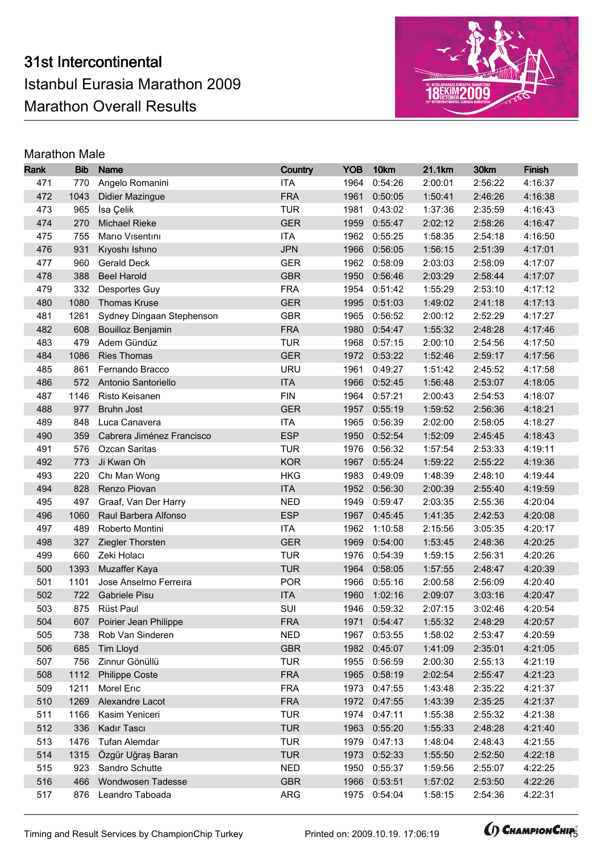

| Rank       | <b>Bib</b>   | <b>Name</b>                        | Country                  | <b>YOB</b>   | 10km               | 21.1km             | 30km               | <b>Finish</b>      |
|------------|--------------|------------------------------------|--------------------------|--------------|--------------------|--------------------|--------------------|--------------------|
| 471        | 770          | Angelo Romanini                    | <b>ITA</b>               | 1964         | 0:54:26            | 2:00:01            | 2:56:22            | 4:16:37            |
| 472        | 1043         | <b>Didier Mazingue</b>             | <b>FRA</b>               | 1961         | 0:50:05            | 1:50:41            | 2:46:26            | 4:16:38            |
| 473        | 965          | İsa Çelik                          | <b>TUR</b>               | 1981         | 0:43:02            | 1:37:36            | 2:35:59            | 4:16:43            |
| 474        | 270          | <b>Michael Rieke</b>               | <b>GER</b>               | 1959         | 0:55:47            | 2:02:12            | 2:58:26            | 4:16:47            |
| 475        | 755          | Mario Visentini                    | <b>ITA</b>               | 1962         | 0:55:25            | 1:58:35            | 2:54:18            | 4:16:50            |
| 476        | 931          | Kıyoshı Ishino                     | <b>JPN</b>               | 1966         | 0:56:05            | 1:56:15            | 2:51:39            | 4:17:01            |
| 477        | 960          | <b>Gerald Deck</b>                 | <b>GER</b>               | 1962         | 0:58:09            | 2:03:03            | 2:58:09            | 4:17:07            |
| 478        | 388          | <b>Beel Harold</b>                 | <b>GBR</b>               | 1950         | 0:56:46            | 2:03:29            | 2:58:44            | 4:17:07            |
| 479        | 332          | Desportes Guy                      | <b>FRA</b>               | 1954         | 0:51:42            | 1:55:29            | 2:53:10            | 4:17:12            |
| 480        | 1080         | <b>Thomas Kruse</b>                | <b>GER</b>               | 1995         | 0:51:03            | 1:49:02            | 2:41:18            | 4:17:13            |
| 481        | 1261         | Sydney Dingaan Stephenson          | <b>GBR</b>               | 1965         | 0:56:52            | 2:00:12            | 2:52:29            | 4:17:27            |
| 482        | 608          | <b>Bouilloz Benjamin</b>           | <b>FRA</b>               | 1980         | 0:54:47            | 1:55:32            | 2:48:28            | 4:17:46            |
| 483        | 479          | Adem Gündüz                        | <b>TUR</b>               | 1968         | 0:57:15            | 2:00:10            | 2:54:56            | 4:17:50            |
| 484        | 1086         | <b>Ries Thomas</b>                 | <b>GER</b>               | 1972         | 0:53:22            | 1:52:46            | 2:59:17            | 4:17:56            |
| 485        | 861          | Fernando Bracco                    | <b>URU</b>               | 1961         | 0:49:27            | 1:51:42            | 2:45:52            | 4:17:58            |
| 486        | 572          | Antonio Santoriello                | <b>ITA</b>               | 1966         | 0:52:45            | 1:56:48            | 2:53:07            | 4:18:05            |
| 487        | 1146         | Risto Keisanen                     | <b>FIN</b>               | 1964         | 0:57:21            | 2:00:43            | 2:54:53            | 4:18:07            |
| 488        | 977          | Bruhn Jost                         | <b>GER</b>               | 1957         | 0:55:19            | 1:59:52            | 2:56:36            | 4:18:21            |
| 489        | 848          | Luca Canavera                      | <b>ITA</b>               | 1965         | 0:56:39            | 2:02:00            | 2:58:05            | 4:18:27            |
| 490        | 359          | Cabrera Jiménez Francisco          | <b>ESP</b>               | 1950         | 0:52:54            | 1:52:09            | 2:45:45            | 4:18:43            |
| 491        | 576          | Ozcan Saritas                      | <b>TUR</b>               | 1976         | 0:56:32            | 1:57:54            | 2:53:33            | 4:19:11            |
| 492        | 773          | Ji Kwan Oh                         | <b>KOR</b>               | 1967         | 0:55:24            | 1:59:22            | 2:55:22            | 4:19:36            |
| 493        | 220          | Chi Man Wong                       | <b>HKG</b>               | 1983         | 0:49:09            | 1:48:39            | 2:48:10            | 4:19:44            |
| 494        | 828          | Renzo Piovan                       | <b>ITA</b>               | 1952         | 0:56:30            | 2:00:39            | 2:55:40            | 4:19:59            |
| 495        | 497          | Graaf, Van Der Harry               | <b>NED</b>               | 1949         | 0:59:47            | 2:03:35            | 2:55:36            | 4:20:04            |
| 496        | 1060         | Raul Barbera Alfonso               | <b>ESP</b>               | 1967         | 0:45:45            | 1:41:35            | 2:42:53            | 4:20:08            |
| 497        | 489          | Roberto Montini                    | <b>ITA</b>               | 1962         | 1:10:58            | 2:15:56            | 3:05:35            | 4:20:17            |
| 498        | 327          | Ziegler Thorsten                   | <b>GER</b>               | 1969         | 0:54:00            | 1:53:45            | 2:48:36            | 4:20:25            |
| 499        | 660          | Zeki Holacı                        | <b>TUR</b>               | 1976         | 0:54:39            | 1:59:15            | 2:56:31            | 4:20:26            |
| 500        | 1393         | Muzaffer Kaya                      | <b>TUR</b>               | 1964         | 0:58:05            | 1:57:55            | 2:48:47            | 4:20:39            |
| 501        | 1101         | Jose Anselmo Ferreira              | <b>POR</b>               | 1966         | 0:55:16            | 2:00:58            | 2:56:09            | 4:20:40            |
| 502        | 722          | <b>Gabriele Pisu</b>               | <b>ITA</b>               | 1960         | 1:02:16            | 2:09:07            | 3:03:16            | 4:20:47            |
| 503        |              | 875 Rüst Paul                      | SUI                      |              | 1946 0:59:32       | 2:07:15            | 3:02:46            | 4:20:54            |
| 504        |              | 607 Poirier Jean Philippe          | <b>FRA</b>               |              | 1971 0:54:47       | 1:55:32            | 2:48:29            | 4:20:57            |
| 505        | 738          | Rob Van Sinderen                   | <b>NED</b>               | 1967         | 0:53:55            | 1:58:02            | 2:53:47            | 4:20:59            |
| 506        | 685          | Tim Lloyd                          | <b>GBR</b>               | 1982         | 0:45:07            | 1:41:09            | 2:35:01            | 4:21:05            |
| 507        | 756          | Zinnur Gönüllü                     | <b>TUR</b>               | 1955         | 0:56:59            | 2:00:30            | 2:55:13            | 4:21:19            |
| 508        | 1112         | <b>Philippe Coste</b>              | <b>FRA</b>               | 1965         | 0:58:19            | 2:02:54            | 2:55:47            | 4:21:23            |
| 509        | 1211         | Morel Eric                         | <b>FRA</b><br><b>FRA</b> | 1973         | 0:47:55            | 1:43:48            | 2:35:22            | 4:21:37<br>4:21:37 |
| 510<br>511 | 1269<br>1166 | Alexandre Lacot<br>Kasim Yeniceri  | <b>TUR</b>               | 1972<br>1974 | 0:47:55<br>0:47:11 | 1:43:39<br>1:55:38 | 2:35:25<br>2:55:32 | 4:21:38            |
| 512        | 336          |                                    | <b>TUR</b>               | 1963         |                    | 1:55:33            | 2:48:28            | 4:21:40            |
|            |              | Kadır Tascı                        |                          |              | 0:55:20            |                    |                    |                    |
| 513        | 1476<br>1315 | Tufan Alemdar<br>Özgür Uğraş Baran | <b>TUR</b><br><b>TUR</b> | 1979         | 0:47:13            | 1:48:04            | 2:48:43            | 4:21:55            |
| 514<br>515 | 923          | Sandro Schutte                     | <b>NED</b>               | 1973<br>1950 | 0:52:33<br>0:55:37 | 1:55:50<br>1:59:56 | 2:52:50<br>2:55:07 | 4:22:18<br>4:22:25 |
| 516        | 466          | Wondwosen Tadesse                  | <b>GBR</b>               | 1966         | 0:53:51            | 1:57:02            | 2:53:50            | 4:22:26            |
| 517        | 876          | Leandro Taboada                    | <b>ARG</b>               | 1975         | 0:54:04            | 1:58:15            | 2:54:36            | 4:22:31            |
|            |              |                                    |                          |              |                    |                    |                    |                    |

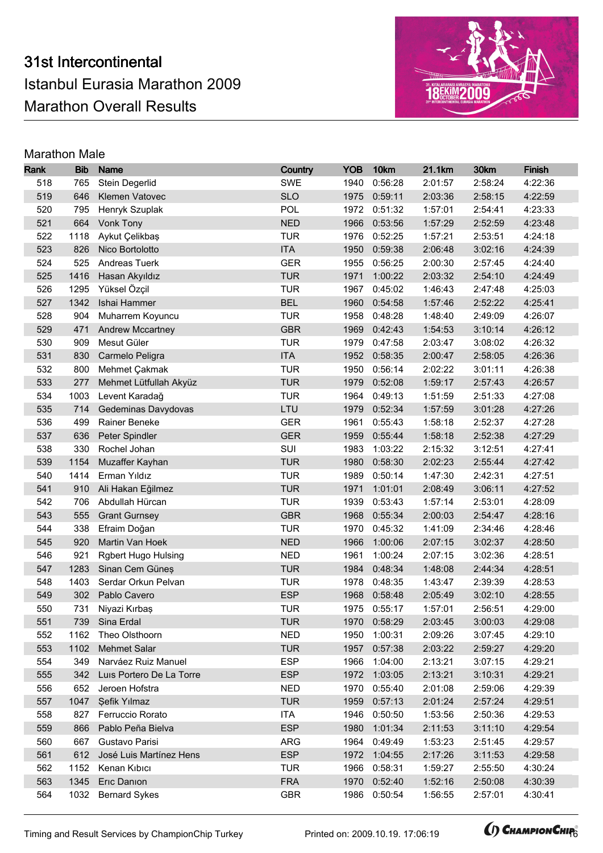

| Rank | <b>Bib</b> | <b>Name</b>                | Country    | <b>YOB</b> | 10km         | 21.1km  | 30km    | <b>Finish</b> |
|------|------------|----------------------------|------------|------------|--------------|---------|---------|---------------|
| 518  | 765        | Stein Degerlid             | <b>SWE</b> | 1940       | 0:56:28      | 2:01:57 | 2:58:24 | 4:22:36       |
| 519  | 646        | Klemen Vatovec             | <b>SLO</b> | 1975       | 0:59:11      | 2:03:36 | 2:58:15 | 4:22:59       |
| 520  | 795        | Henryk Szuplak             | POL        | 1972       | 0:51:32      | 1:57:01 | 2:54:41 | 4:23:33       |
| 521  | 664        | Vonk Tony                  | <b>NED</b> | 1966       | 0:53:56      | 1:57:29 | 2:52:59 | 4:23:48       |
| 522  | 1118       | Aykut Çelikbaş             | <b>TUR</b> | 1976       | 0:52:25      | 1:57:21 | 2:53:51 | 4:24:18       |
| 523  | 826        | Nico Bortolotto            | <b>ITA</b> | 1950       | 0:59:38      | 2:06:48 | 3:02:16 | 4:24:39       |
| 524  | 525        | Andreas Tuerk              | <b>GER</b> | 1955       | 0:56:25      | 2:00:30 | 2:57:45 | 4:24:40       |
| 525  | 1416       | Hasan Akyıldız             | <b>TUR</b> | 1971       | 1:00:22      | 2:03:32 | 2:54:10 | 4:24:49       |
| 526  | 1295       | Yüksel Özçil               | <b>TUR</b> | 1967       | 0:45:02      | 1:46:43 | 2:47:48 | 4:25:03       |
| 527  | 1342       | Ishai Hammer               | <b>BEL</b> | 1960       | 0:54:58      | 1:57:46 | 2:52:22 | 4:25:41       |
| 528  | 904        | Muharrem Koyuncu           | <b>TUR</b> | 1958       | 0:48:28      | 1:48:40 | 2:49:09 | 4:26:07       |
| 529  | 471        | <b>Andrew Mccartney</b>    | <b>GBR</b> | 1969       | 0:42:43      | 1:54:53 | 3:10:14 | 4:26:12       |
| 530  | 909        | Mesut Güler                | <b>TUR</b> | 1979       | 0:47:58      | 2:03:47 | 3:08:02 | 4:26:32       |
| 531  | 830        | Carmelo Peligra            | <b>ITA</b> | 1952       | 0:58:35      | 2:00:47 | 2:58:05 | 4:26:36       |
| 532  | 800        | Mehmet Çakmak              | <b>TUR</b> | 1950       | 0:56:14      | 2:02:22 | 3:01:11 | 4:26:38       |
| 533  | 277        | Mehmet Lütfullah Akyüz     | <b>TUR</b> | 1979       | 0:52:08      | 1:59:17 | 2:57:43 | 4:26:57       |
| 534  | 1003       | Levent Karadağ             | <b>TUR</b> | 1964       | 0:49:13      | 1:51:59 | 2:51:33 | 4:27:08       |
| 535  | 714        | Gedeminas Davydovas        | LTU        | 1979       | 0:52:34      | 1:57:59 | 3:01:28 | 4:27:26       |
| 536  | 499        | Rainer Beneke              | <b>GER</b> | 1961       | 0:55:43      | 1:58:18 | 2:52:37 | 4:27:28       |
| 537  | 636        | Peter Spindler             | <b>GER</b> | 1959       | 0:55:44      | 1:58:18 | 2:52:38 | 4:27:29       |
| 538  | 330        | Rochel Johan               | SUI        | 1983       | 1:03:22      | 2:15:32 | 3:12:51 | 4:27:41       |
| 539  | 1154       | Muzaffer Kayhan            | <b>TUR</b> | 1980       | 0:58:30      | 2:02:23 | 2:55:44 | 4:27:42       |
| 540  | 1414       | Erman Yıldız               | <b>TUR</b> | 1989       | 0:50:14      | 1:47:30 | 2:42:31 | 4:27:51       |
| 541  | 910        | Ali Hakan Eğilmez          | <b>TUR</b> | 1971       | 1:01:01      | 2:08:49 | 3:06:11 | 4:27:52       |
| 542  | 706        | Abdullah Hürcan            | <b>TUR</b> | 1939       | 0:53:43      | 1:57:14 | 2:53:01 | 4:28:09       |
| 543  | 555        | <b>Grant Gurnsey</b>       | <b>GBR</b> | 1968       | 0:55:34      | 2:00:03 | 2:54:47 | 4:28:16       |
| 544  | 338        | Efraim Doğan               | <b>TUR</b> | 1970       | 0:45:32      | 1:41:09 | 2:34:46 | 4:28:46       |
| 545  | 920        | Martin Van Hoek            | <b>NED</b> | 1966       | 1:00:06      | 2:07:15 | 3:02:37 | 4:28:50       |
| 546  | 921        | <b>Rgbert Hugo Hulsing</b> | <b>NED</b> | 1961       | 1:00:24      | 2:07:15 | 3:02:36 | 4:28:51       |
| 547  | 1283       | Sinan Cem Güneş            | <b>TUR</b> | 1984       | 0:48:34      | 1:48:08 | 2:44:34 | 4:28:51       |
| 548  | 1403       | Serdar Orkun Pelvan        | <b>TUR</b> | 1978       | 0:48:35      | 1:43:47 | 2:39:39 | 4:28:53       |
| 549  | 302        | Pablo Cavero               | <b>ESP</b> | 1968       | 0:58:48      | 2:05:49 | 3:02:10 | 4:28:55       |
| 550  |            | 731 Niyazi Kırbaş          | <b>TUR</b> |            | 1975 0:55:17 | 1:57:01 | 2:56:51 | 4:29:00       |
| 551  |            | 739 Sina Erdal             | <b>TUR</b> |            | 1970 0:58:29 | 2:03:45 | 3:00:03 | 4:29:08       |
| 552  | 1162       | Theo Olsthoorn             | <b>NED</b> | 1950       | 1:00:31      | 2:09:26 | 3:07:45 | 4:29:10       |
| 553  | 1102       | <b>Mehmet Salar</b>        | <b>TUR</b> | 1957       | 0:57:38      | 2:03:22 | 2:59:27 | 4:29:20       |
| 554  | 349        | Narváez Ruiz Manuel        | <b>ESP</b> | 1966       | 1:04:00      | 2:13:21 | 3:07:15 | 4:29:21       |
| 555  | 342        | Luis Portero De La Torre   | <b>ESP</b> | 1972       | 1:03:05      | 2:13:21 | 3:10:31 | 4:29:21       |
| 556  | 652        | Jeroen Hofstra             | <b>NED</b> | 1970       | 0:55:40      | 2:01:08 | 2:59:06 | 4:29:39       |
| 557  | 1047       | Şefik Yılmaz               | <b>TUR</b> | 1959       | 0:57:13      | 2:01:24 | 2:57:24 | 4:29:51       |
| 558  | 827        | Ferruccio Rorato           | <b>ITA</b> | 1946       | 0:50:50      | 1:53:56 | 2:50:36 | 4:29:53       |
| 559  | 866        | Pablo Peña Bielva          | <b>ESP</b> | 1980       | 1:01:34      | 2:11:53 | 3:11:10 | 4:29:54       |
| 560  | 667        | Gustavo Parisi             | ARG        | 1964       | 0:49:49      | 1:53:23 | 2:51:45 | 4:29:57       |
| 561  | 612        | José Luis Martínez Hens    | <b>ESP</b> | 1972       | 1:04:55      | 2:17:26 | 3:11:53 | 4:29:58       |
| 562  | 1152       | Kenan Kıbıcı               | <b>TUR</b> | 1966       | 0:58:31      | 1:59:27 | 2:55:50 | 4:30:24       |
| 563  | 1345       | Eric Danion                | <b>FRA</b> | 1970       | 0:52:40      | 1:52:16 | 2:50:08 | 4:30:39       |
| 564  | 1032       | <b>Bernard Sykes</b>       | <b>GBR</b> | 1986       | 0:50:54      | 1:56:55 | 2:57:01 | 4:30:41       |

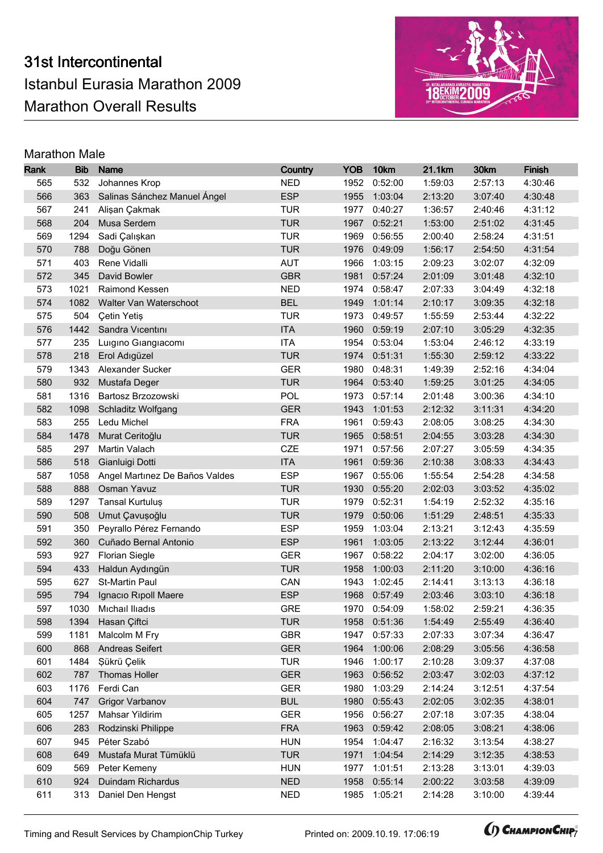

| Rank | <b>Bib</b> | <b>Name</b>                    | Country    | <b>YOB</b> | 10km         | 21.1km  | 30km    | <b>Finish</b> |
|------|------------|--------------------------------|------------|------------|--------------|---------|---------|---------------|
| 565  | 532        | Johannes Krop                  | <b>NED</b> | 1952       | 0:52:00      | 1:59:03 | 2:57:13 | 4:30:46       |
| 566  | 363        | Salinas Sánchez Manuel Ángel   | <b>ESP</b> | 1955       | 1:03:04      | 2:13:20 | 3:07:40 | 4:30:48       |
| 567  | 241        | Alişan Çakmak                  | <b>TUR</b> | 1977       | 0:40:27      | 1:36:57 | 2:40:46 | 4:31:12       |
| 568  | 204        | Musa Serdem                    | <b>TUR</b> | 1967       | 0:52:21      | 1:53:00 | 2:51:02 | 4:31:45       |
| 569  | 1294       | Sadi Çalışkan                  | <b>TUR</b> | 1969       | 0:56:55      | 2:00:40 | 2:58:24 | 4:31:51       |
| 570  | 788        | Doğu Gönen                     | <b>TUR</b> | 1976       | 0:49:09      | 1:56:17 | 2:54:50 | 4:31:54       |
| 571  | 403        | Rene Vidalli                   | <b>AUT</b> | 1966       | 1:03:15      | 2:09:23 | 3:02:07 | 4:32:09       |
| 572  | 345        | David Bowler                   | <b>GBR</b> | 1981       | 0:57:24      | 2:01:09 | 3:01:48 | 4:32:10       |
| 573  | 1021       | Raimond Kessen                 | <b>NED</b> | 1974       | 0:58:47      | 2:07:33 | 3:04:49 | 4:32:18       |
| 574  | 1082       | Walter Van Waterschoot         | <b>BEL</b> | 1949       | 1:01:14      | 2:10:17 | 3:09:35 | 4:32:18       |
| 575  | 504        | <b>Çetin Yetiş</b>             | <b>TUR</b> | 1973       | 0:49:57      | 1:55:59 | 2:53:44 | 4:32:22       |
| 576  | 1442       | Sandra Vicentini               | <b>ITA</b> | 1960       | 0:59:19      | 2:07:10 | 3:05:29 | 4:32:35       |
| 577  | 235        | Luigino Giangiacomi            | <b>ITA</b> | 1954       | 0:53:04      | 1:53:04 | 2:46:12 | 4:33:19       |
| 578  | 218        | Erol Adıgüzel                  | <b>TUR</b> | 1974       | 0:51:31      | 1:55:30 | 2:59:12 | 4:33:22       |
| 579  | 1343       | Alexander Sucker               | <b>GER</b> | 1980       | 0:48:31      | 1:49:39 | 2:52:16 | 4:34:04       |
| 580  | 932        | Mustafa Deger                  | <b>TUR</b> | 1964       | 0:53:40      | 1:59:25 | 3:01:25 | 4:34:05       |
| 581  | 1316       | Bartosz Brzozowski             | POL        | 1973       | 0:57:14      | 2:01:48 | 3:00:36 | 4:34:10       |
| 582  | 1098       | Schladitz Wolfgang             | <b>GER</b> | 1943       | 1:01:53      | 2:12:32 | 3:11:31 | 4:34:20       |
| 583  | 255        | Ledu Michel                    | <b>FRA</b> | 1961       | 0:59:43      | 2:08:05 | 3:08:25 | 4:34:30       |
| 584  | 1478       | Murat Ceritoğlu                | <b>TUR</b> | 1965       | 0:58:51      | 2:04:55 | 3:03:28 | 4:34:30       |
| 585  | 297        | Martin Valach                  | <b>CZE</b> | 1971       | 0:57:56      | 2:07:27 | 3:05:59 | 4:34:35       |
| 586  | 518        | Gianluigi Dotti                | <b>ITA</b> | 1961       | 0:59:36      | 2:10:38 | 3:08:33 | 4:34:43       |
| 587  | 1058       | Angel Martinez De Baños Valdes | <b>ESP</b> | 1967       | 0:55:06      | 1:55:54 | 2:54:28 | 4:34:58       |
| 588  | 888        | Osman Yavuz                    | <b>TUR</b> | 1930       | 0:55:20      | 2:02:03 | 3:03:52 | 4:35:02       |
| 589  | 1297       | Tansal Kurtuluş                | <b>TUR</b> | 1979       | 0:52:31      | 1:54:19 | 2:52:32 | 4:35:16       |
| 590  | 508        | Umut Çavuşoğlu                 | <b>TUR</b> | 1979       | 0:50:06      | 1:51:29 | 2:48:51 | 4:35:33       |
| 591  | 350        | Peyrallo Pérez Fernando        | <b>ESP</b> | 1959       | 1:03:04      | 2:13:21 | 3:12:43 | 4:35:59       |
| 592  | 360        | Cuñado Bernal Antonio          | <b>ESP</b> | 1961       | 1:03:05      | 2:13:22 | 3:12:44 | 4:36:01       |
| 593  | 927        | <b>Florian Siegle</b>          | <b>GER</b> | 1967       | 0:58:22      | 2:04:17 | 3:02:00 | 4:36:05       |
| 594  | 433        | Haldun Aydıngün                | <b>TUR</b> | 1958       | 1:00:03      | 2:11:20 | 3:10:00 | 4:36:16       |
| 595  | 627        | St-Martin Paul                 | CAN        | 1943       | 1:02:45      | 2:14:41 | 3:13:13 | 4:36:18       |
| 595  | 794        | Ignacio Ripoll Maere           | <b>ESP</b> | 1968       | 0:57:49      | 2:03:46 | 3:03:10 | 4:36:18       |
| 597  | 1030       | Michail Iliadis                | <b>GRE</b> |            | 1970 0:54:09 | 1:58:02 | 2:59:21 | 4:36:35       |
| 598  |            | 1394 Hasan Çiftci              | <b>TUR</b> |            | 1958 0:51:36 | 1:54:49 | 2:55:49 | 4:36:40       |
| 599  | 1181       | Malcolm M Fry                  | <b>GBR</b> | 1947       | 0:57:33      | 2:07:33 | 3:07:34 | 4:36:47       |
| 600  | 868        | Andreas Seifert                | <b>GER</b> | 1964       | 1:00:06      | 2:08:29 | 3:05:56 | 4:36:58       |
| 601  | 1484       | Şükrü Çelik                    | <b>TUR</b> | 1946       | 1:00:17      | 2:10:28 | 3:09:37 | 4:37:08       |
| 602  | 787        | <b>Thomas Holler</b>           | <b>GER</b> | 1963       | 0:56:52      | 2:03:47 | 3:02:03 | 4:37:12       |
| 603  | 1176       | Ferdi Can                      | <b>GER</b> | 1980       | 1:03:29      | 2:14:24 | 3:12:51 | 4:37:54       |
| 604  | 747        | Grigor Varbanov                | <b>BUL</b> | 1980       | 0:55:43      | 2:02:05 | 3:02:35 | 4:38:01       |
| 605  | 1257       | Mahsar Yildirim                | <b>GER</b> | 1956       | 0:56:27      | 2:07:18 | 3:07:35 | 4:38:04       |
| 606  | 283        | Rodzinski Philippe             | <b>FRA</b> | 1963       | 0:59:42      | 2:08:05 | 3:08:21 | 4:38:06       |
| 607  | 945        | Péter Szabó                    | <b>HUN</b> | 1954       | 1:04:47      | 2:16:32 | 3:13:54 | 4:38:27       |
| 608  | 649        | Mustafa Murat Tümüklü          | <b>TUR</b> | 1971       | 1:04:54      | 2:14:29 | 3:12:35 | 4:38:53       |
| 609  | 569        | Peter Kemeny                   | <b>HUN</b> | 1977       | 1:01:51      | 2:13:28 | 3:13:01 | 4:39:03       |
| 610  | 924        | Duindam Richardus              | <b>NED</b> | 1958       | 0:55:14      | 2:00:22 | 3:03:58 | 4:39:09       |
| 611  | 313        | Daniel Den Hengst              | <b>NED</b> | 1985       | 1:05:21      | 2:14:28 | 3:10:00 | 4:39:44       |

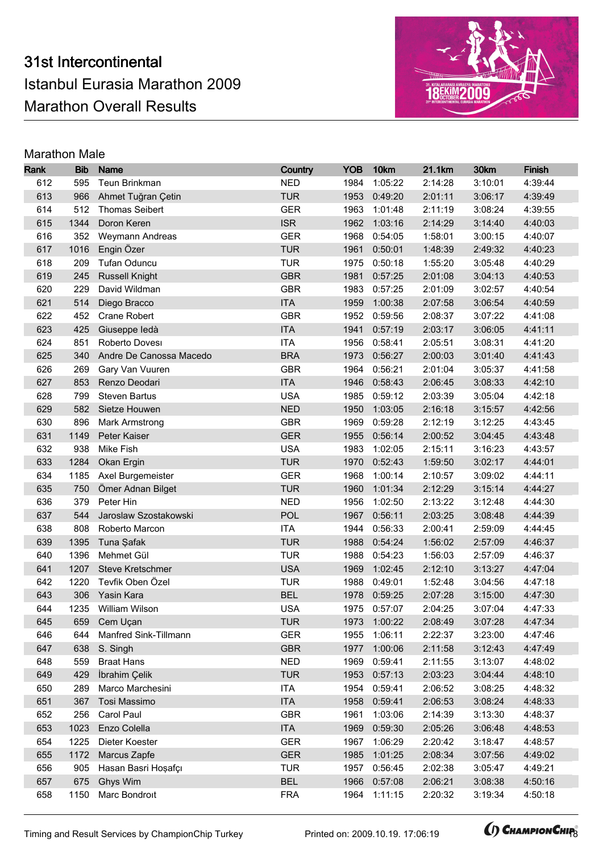

| Rank       | <b>Bib</b>   | <b>Name</b>                     | Country                  | <b>YOB</b>   | 10km               | 21.1km             | 30km               | Finish             |
|------------|--------------|---------------------------------|--------------------------|--------------|--------------------|--------------------|--------------------|--------------------|
| 612        | 595          | Teun Brinkman                   | <b>NED</b>               | 1984         | 1:05:22            | 2:14:28            | 3:10:01            | 4:39:44            |
| 613        | 966          | Ahmet Tuğran Çetin              | <b>TUR</b>               | 1953         | 0:49:20            | 2:01:11            | 3:06:17            | 4:39:49            |
| 614        | 512          | <b>Thomas Seibert</b>           | <b>GER</b>               | 1963         | 1:01:48            | 2:11:19            | 3:08:24            | 4:39:55            |
| 615        | 1344         | Doron Keren                     | <b>ISR</b>               | 1962         | 1:03:16            | 2:14:29            | 3:14:40            | 4:40:03            |
| 616        | 352          | Weymann Andreas                 | <b>GER</b>               | 1968         | 0:54:05            | 1:58:01            | 3:00:15            | 4:40:07            |
| 617        | 1016         | Engin Özer                      | <b>TUR</b>               | 1961         | 0:50:01            | 1:48:39            | 2:49:32            | 4:40:23            |
| 618        | 209          | Tufan Oduncu                    | <b>TUR</b>               | 1975         | 0:50:18            | 1:55:20            | 3:05:48            | 4:40:29            |
| 619        | 245          | <b>Russell Knight</b>           | <b>GBR</b>               | 1981         | 0:57:25            | 2:01:08            | 3:04:13            | 4:40:53            |
| 620        | 229          | David Wildman                   | <b>GBR</b>               | 1983         | 0:57:25            | 2:01:09            | 3:02:57            | 4:40:54            |
| 621        | 514          | Diego Bracco                    | <b>ITA</b>               | 1959         | 1:00:38            | 2:07:58            | 3:06:54            | 4:40:59            |
| 622        | 452          | Crane Robert                    | <b>GBR</b>               | 1952         | 0:59:56            | 2:08:37            | 3:07:22            | 4:41:08            |
| 623        | 425          | Giuseppe ledà                   | <b>ITA</b>               | 1941         | 0:57:19            | 2:03:17            | 3:06:05            | 4:41:11            |
| 624        | 851          | Roberto Dovesi                  | <b>ITA</b>               | 1956         | 0:58:41            | 2:05:51            | 3:08:31            | 4:41:20            |
| 625        | 340          | Andre De Canossa Macedo         | <b>BRA</b>               | 1973         | 0:56:27            | 2:00:03            | 3:01:40            | 4:41:43            |
| 626        | 269          | Gary Van Vuuren                 | <b>GBR</b>               | 1964         | 0:56:21            | 2:01:04            | 3:05:37            | 4:41:58            |
| 627        | 853          | Renzo Deodari                   | <b>ITA</b>               | 1946         | 0:58:43            | 2:06:45            | 3:08:33            | 4:42:10            |
| 628        | 799          | <b>Steven Bartus</b>            | <b>USA</b>               | 1985         | 0:59:12            | 2:03:39            | 3:05:04            | 4:42:18            |
| 629        | 582          | Sietze Houwen                   | <b>NED</b>               | 1950         | 1:03:05            | 2:16:18            | 3:15:57            | 4:42:56            |
| 630        | 896          | Mark Armstrong                  | <b>GBR</b>               | 1969         | 0:59:28            | 2:12:19            | 3:12:25            | 4:43:45            |
| 631        | 1149         | Peter Kaiser                    | <b>GER</b>               | 1955         | 0:56:14            | 2:00:52            | 3:04:45            | 4:43:48            |
| 632        | 938          | Mike Fish                       | <b>USA</b>               | 1983         | 1:02:05            | 2:15:11            | 3:16:23            | 4:43:57            |
| 633        | 1284         | Okan Ergin                      | <b>TUR</b>               | 1970         | 0:52:43            | 1:59:50            | 3:02:17            | 4:44:01            |
| 634        | 1185         | Axel Burgemeister               | <b>GER</b>               | 1968         | 1:00:14            | 2:10:57            | 3:09:02            | 4:44:11            |
| 635        | 750          | Ömer Adnan Bilget               | <b>TUR</b>               | 1960         | 1:01:34            | 2:12:29            | 3:15:14            | 4:44:27            |
| 636        | 379          | Peter Hin                       | <b>NED</b>               | 1956         | 1:02:50            | 2:13:22            | 3:12:48            | 4:44:30            |
| 637        | 544          | Jaroslaw Szostakowski           | <b>POL</b>               | 1967         | 0:56:11            | 2:03:25            | 3:08:48            | 4:44:39            |
| 638        | 808          | Roberto Marcon                  | <b>ITA</b>               | 1944         | 0:56:33            | 2:00:41            | 2:59:09            | 4:44:45            |
| 639        | 1395         | Tuna Şafak                      | <b>TUR</b>               | 1988         | 0:54:24            | 1:56:02            | 2:57:09            | 4:46:37            |
| 640        | 1396         | Mehmet Gül                      | <b>TUR</b>               | 1988         | 0:54:23            | 1:56:03            | 2:57:09            | 4:46:37            |
| 641        | 1207         | Steve Kretschmer                | <b>USA</b>               | 1969         | 1:02:45            | 2:12:10            | 3:13:27            | 4:47:04            |
| 642        | 1220         | Tevfik Oben Özel                | <b>TUR</b>               | 1988         | 0:49:01            | 1:52:48            | 3:04:56            | 4:47:18            |
| 643        | 306          | Yasin Kara                      | <b>BEL</b>               | 1978         | 0:59:25            | 2:07:28            | 3:15:00            | 4:47:30            |
| 644        |              | 1235 William Wilson             | <b>USA</b>               |              | 1975 0:57:07       | 2:04:25            | 3:07:04            | 4:47:33            |
| 645        |              | 659 Cem Uçan                    | <b>TUR</b>               |              | 1973 1:00:22       | 2:08:49            | 3:07:28            | 4:47:34            |
| 646        | 644          | Manfred Sink-Tillmann           | <b>GER</b>               | 1955         | 1:06:11            | 2:22:37            | 3:23:00            | 4:47:46            |
| 647        | 638          | S. Singh                        | <b>GBR</b>               | 1977         | 1:00:06            | 2:11:58            | 3:12:43            | 4:47:49            |
| 648        | 559          | <b>Braat Hans</b>               | <b>NED</b>               | 1969         | 0:59:41            | 2:11:55            | 3:13:07            | 4:48:02            |
| 649        | 429          | İbrahim Çelik                   | <b>TUR</b>               | 1953         | 0:57:13            | 2:03:23            | 3:04:44            | 4:48:10            |
| 650        | 289          | Marco Marchesini                | <b>ITA</b><br><b>ITA</b> | 1954         | 0:59:41<br>0:59:41 | 2:06:52            | 3:08:25            | 4:48:32            |
| 651<br>652 | 367          | Tosi Massimo<br>Carol Paul      | <b>GBR</b>               | 1958<br>1961 | 1:03:06            | 2:06:53<br>2:14:39 | 3:08:24<br>3:13:30 | 4:48:33<br>4:48:37 |
| 653        | 256<br>1023  | Enzo Colella                    | <b>ITA</b>               | 1969         |                    | 2:05:26            | 3:06:48            |                    |
|            |              |                                 |                          |              | 0:59:30            |                    |                    | 4:48:53            |
| 654        | 1225<br>1172 | Dieter Koester                  | <b>GER</b><br><b>GER</b> | 1967         | 1:06:29            | 2:20:42            | 3:18:47            | 4:48:57            |
| 655<br>656 | 905          | Marcus Zapfe                    | <b>TUR</b>               | 1985<br>1957 | 1:01:25<br>0:56:45 | 2:08:34<br>2:02:38 | 3:07:56<br>3:05:47 | 4:49:02<br>4:49:21 |
| 657        | 675          | Hasan Basri Hoşafçı<br>Ghys Wim | <b>BEL</b>               | 1966         | 0:57:08            | 2:06:21            | 3:08:38            | 4:50:16            |
| 658        | 1150         | Marc Bondroit                   | <b>FRA</b>               | 1964         | 1:11:15            | 2:20:32            | 3:19:34            | 4:50:18            |
|            |              |                                 |                          |              |                    |                    |                    |                    |

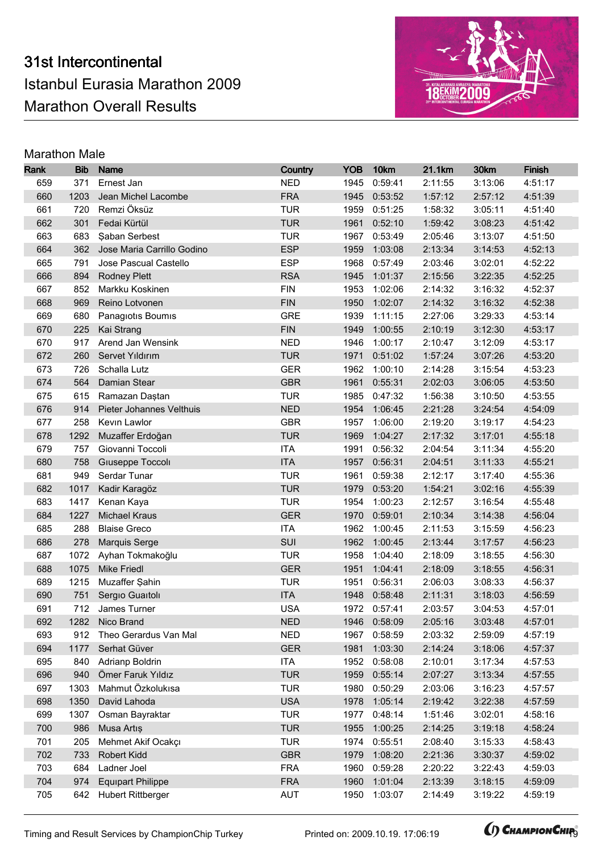

| Rank       | <b>Bib</b>   | <b>Name</b>                          | Country                  | <b>YOB</b>   | 10km               | 21.1km             | 30km               | Finish             |
|------------|--------------|--------------------------------------|--------------------------|--------------|--------------------|--------------------|--------------------|--------------------|
| 659        | 371          | Ernest Jan                           | <b>NED</b>               | 1945         | 0:59:41            | 2:11:55            | 3:13:06            | 4:51:17            |
| 660        | 1203         | Jean Michel Lacombe                  | <b>FRA</b>               | 1945         | 0:53:52            | 1:57:12            | 2:57:12            | 4:51:39            |
| 661        | 720          | Remzi Öksüz                          | <b>TUR</b>               | 1959         | 0:51:25            | 1:58:32            | 3:05:11            | 4:51:40            |
| 662        | 301          | Fedai Kürtül                         | <b>TUR</b>               | 1961         | 0:52:10            | 1:59:42            | 3:08:23            | 4:51:42            |
| 663        | 683          | <b>Şaban Serbest</b>                 | <b>TUR</b>               | 1967         | 0:53:49            | 2:05:46            | 3:13:07            | 4:51:50            |
| 664        | 362          | Jose Maria Carrillo Godino           | <b>ESP</b>               | 1959         | 1:03:08            | 2:13:34            | 3:14:53            | 4:52:13            |
| 665        | 791          | Jose Pascual Castello                | <b>ESP</b>               | 1968         | 0:57:49            | 2:03:46            | 3:02:01            | 4:52:22            |
| 666        | 894          | <b>Rodney Plett</b>                  | <b>RSA</b>               | 1945         | 1:01:37            | 2:15:56            | 3:22:35            | 4:52:25            |
| 667        | 852          | Markku Koskinen                      | <b>FIN</b>               | 1953         | 1:02:06            | 2:14:32            | 3:16:32            | 4:52:37            |
| 668        | 969          | Reino Lotvonen                       | <b>FIN</b>               | 1950         | 1:02:07            | 2:14:32            | 3:16:32            | 4:52:38            |
| 669        | 680          | Panagiotis Boumis                    | <b>GRE</b>               | 1939         | 1:11:15            | 2:27:06            | 3:29:33            | 4:53:14            |
| 670        | 225          | Kai Strang                           | <b>FIN</b>               | 1949         | 1:00:55            | 2:10:19            | 3:12:30            | 4:53:17            |
| 670        | 917          | Arend Jan Wensink                    | <b>NED</b>               | 1946         | 1:00:17            | 2:10:47            | 3:12:09            | 4:53:17            |
| 672        | 260          | Servet Yıldırım                      | <b>TUR</b>               | 1971         | 0:51:02            | 1:57:24            | 3:07:26            | 4:53:20            |
| 673        | 726          | Schalla Lutz                         | <b>GER</b>               | 1962         | 1:00:10            | 2:14:28            | 3:15:54            | 4:53:23            |
| 674        | 564          | Damian Stear                         | <b>GBR</b>               | 1961         | 0:55:31            | 2:02:03            | 3:06:05            | 4:53:50            |
| 675        | 615          | Ramazan Daştan                       | <b>TUR</b>               | 1985         | 0:47:32            | 1:56:38            | 3:10:50            | 4:53:55            |
| 676        | 914          | Pieter Johannes Velthuis             | <b>NED</b>               | 1954         | 1:06:45            | 2:21:28            | 3:24:54            | 4:54:09            |
| 677        | 258          | Kevin Lawlor                         | <b>GBR</b>               | 1957         | 1:06:00            | 2:19:20            | 3:19:17            | 4:54:23            |
| 678        | 1292         | Muzaffer Erdoğan                     | <b>TUR</b>               | 1969         | 1:04:27            | 2:17:32            | 3:17:01            | 4:55:18            |
| 679        | 757          | Giovanni Toccoli                     | <b>ITA</b>               | 1991         | 0:56:32            | 2:04:54            | 3:11:34            | 4:55:20            |
| 680        | 758          | Giuseppe Toccoli                     | <b>ITA</b>               | 1957         | 0:56:31            | 2:04:51            | 3:11:33            | 4:55:21            |
| 681        | 949          | Serdar Tunar                         | <b>TUR</b>               | 1961         | 0:59:38            | 2:12:17            | 3:17:40            | 4:55:36            |
| 682        | 1017         | Kadir Karagöz                        | <b>TUR</b>               | 1979         | 0:53:20            | 1:54:21            | 3:02:16            | 4:55:39            |
| 683        | 1417         | Kenan Kaya                           | <b>TUR</b>               | 1954         | 1:00:23            | 2:12:57            | 3:16:54            | 4:55:48            |
| 684        | 1227         | <b>Michael Kraus</b>                 | <b>GER</b>               | 1970         | 0:59:01            | 2:10:34            | 3:14:38            | 4:56:04            |
| 685        | 288          | <b>Blaise Greco</b>                  | <b>ITA</b>               | 1962         | 1:00:45            | 2:11:53            | 3:15:59            | 4:56:23            |
| 686        | 278          | Marquis Serge                        | SUI                      | 1962         | 1:00:45            | 2:13:44            | 3:17:57            | 4:56:23            |
| 687        | 1072         | Ayhan Tokmakoğlu                     | <b>TUR</b>               | 1958         | 1:04:40            | 2:18:09            | 3:18:55            | 4:56:30            |
| 688        | 1075         | <b>Mike Friedl</b>                   | <b>GER</b>               | 1951         | 1:04:41            | 2:18:09            | 3:18:55            | 4:56:31            |
| 689        | 1215         | Muzaffer Şahin                       | <b>TUR</b>               | 1951         | 0:56:31            | 2:06:03            | 3:08:33            | 4:56:37            |
| 690        | 751          | Sergio Guaitoli                      | <b>ITA</b>               | 1948         | 0:58:48            | 2:11:31            | 3:18:03            | 4:56:59            |
| 691        |              | 712 James Turner                     | <b>USA</b>               |              | 1972 0:57:41       | 2:03:57            | 3:04:53            | 4:57:01            |
| 692        |              | 1282 Nico Brand                      | <b>NED</b>               |              | 1946 0:58:09       | 2:05:16            | 3:03:48            | 4:57:01            |
| 693        | 912          | Theo Gerardus Van Mal                | <b>NED</b>               | 1967         | 0:58:59            | 2:03:32            | 2:59:09            | 4:57:19            |
| 694        | 1177         | Serhat Güver                         | <b>GER</b>               | 1981         | 1:03:30            | 2:14:24            | 3:18:06            | 4:57:37            |
| 695        | 840          | Adrianp Boldrin<br>Ömer Faruk Yıldız | <b>ITA</b>               | 1952         | 0:58:08            | 2:10:01            | 3:17:34            | 4:57:53            |
| 696        | 940          |                                      | <b>TUR</b>               | 1959         | 0:55:14            | 2:07:27            | 3:13:34            | 4:57:55            |
| 697        | 1303         | Mahmut Özkolukısa                    | <b>TUR</b><br><b>USA</b> | 1980         | 0:50:29            | 2:03:06            | 3:16:23            | 4:57:57            |
| 698<br>699 | 1350<br>1307 | David Lahoda                         | <b>TUR</b>               | 1978<br>1977 | 1:05:14<br>0:48:14 | 2:19:42<br>1:51:46 | 3:22:38<br>3:02:01 | 4:57:59<br>4:58:16 |
| 700        | 986          | Osman Bayraktar                      | <b>TUR</b>               | 1955         | 1:00:25            |                    | 3:19:18            | 4:58:24            |
|            |              | Musa Artış                           |                          |              |                    | 2:14:25            |                    |                    |
| 701        | 205<br>733   | Mehmet Akif Ocakçı                   | <b>TUR</b><br><b>GBR</b> | 1974         | 0:55:51            | 2:08:40            | 3:15:33            | 4:58:43            |
| 702<br>703 | 684          | Robert Kidd<br>Ladner Joel           | <b>FRA</b>               | 1979<br>1960 | 1:08:20<br>0:59:28 | 2:21:36<br>2:20:22 | 3:30:37<br>3:22:43 | 4:59:02<br>4:59:03 |
| 704        | 974          | <b>Equipart Philippe</b>             | <b>FRA</b>               | 1960         | 1:01:04            | 2:13:39            | 3:18:15            | 4:59:09            |
| 705        | 642          | <b>Hubert Rittberger</b>             | AUT                      | 1950         | 1:03:07            | 2:14:49            | 3:19:22            | 4:59:19            |
|            |              |                                      |                          |              |                    |                    |                    |                    |

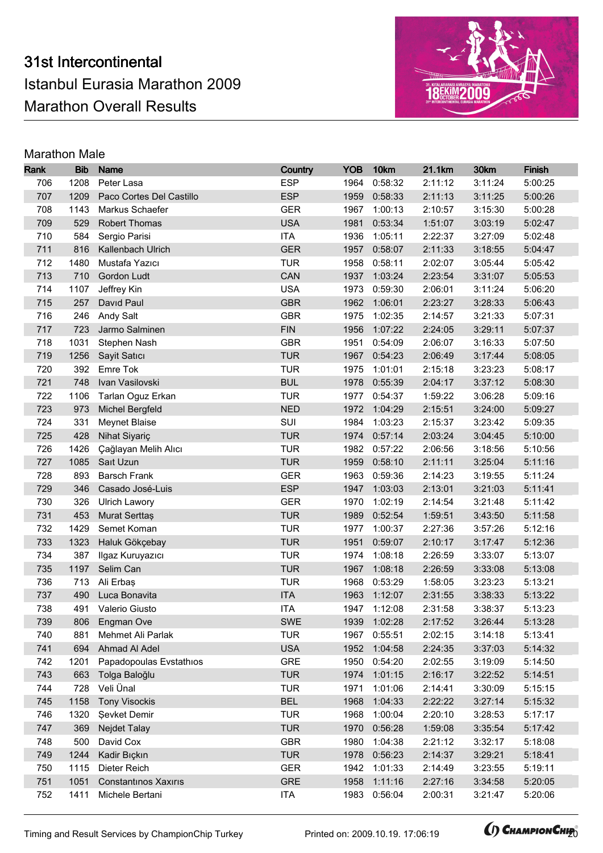

| Rank       | <b>Bib</b>  | <b>Name</b>                              | Country                  | <b>YOB</b>   | 10km               | 21.1km             | 30km               | Finish             |
|------------|-------------|------------------------------------------|--------------------------|--------------|--------------------|--------------------|--------------------|--------------------|
| 706        | 1208        | Peter Lasa                               | <b>ESP</b>               | 1964         | 0:58:32            | 2:11:12            | 3:11:24            | 5:00:25            |
| 707        | 1209        | Paco Cortes Del Castillo                 | <b>ESP</b>               | 1959         | 0:58:33            | 2:11:13            | 3:11:25            | 5:00:26            |
| 708        | 1143        | Markus Schaefer                          | <b>GER</b>               | 1967         | 1:00:13            | 2:10:57            | 3:15:30            | 5:00:28            |
| 709        | 529         | <b>Robert Thomas</b>                     | <b>USA</b>               | 1981         | 0:53:34            | 1:51:07            | 3:03:19            | 5:02:47            |
| 710        | 584         | Sergio Parisi                            | <b>ITA</b>               | 1936         | 1:05:11            | 2:22:37            | 3:27:09            | 5:02:48            |
| 711        | 816         | Kallenbach Ulrich                        | <b>GER</b>               | 1957         | 0:58:07            | 2:11:33            | 3:18:55            | 5:04:47            |
| 712        | 1480        | Mustafa Yazıcı                           | <b>TUR</b>               | 1958         | 0:58:11            | 2:02:07            | 3:05:44            | 5:05:42            |
| 713        | 710         | Gordon Ludt                              | CAN                      | 1937         | 1:03:24            | 2:23:54            | 3:31:07            | 5:05:53            |
| 714        | 1107        | Jeffrey Kin                              | <b>USA</b>               | 1973         | 0:59:30            | 2:06:01            | 3:11:24            | 5:06:20            |
| 715        | 257         | David Paul                               | <b>GBR</b>               | 1962         | 1:06:01            | 2:23:27            | 3:28:33            | 5:06:43            |
| 716        | 246         | <b>Andy Salt</b>                         | <b>GBR</b>               | 1975         | 1:02:35            | 2:14:57            | 3:21:33            | 5:07:31            |
| 717        | 723         | Jarmo Salminen                           | <b>FIN</b>               | 1956         | 1:07:22            | 2:24:05            | 3:29:11            | 5:07:37            |
| 718        | 1031        | Stephen Nash                             | <b>GBR</b>               | 1951         | 0:54:09            | 2:06:07            | 3:16:33            | 5:07:50            |
| 719        | 1256        | Sayit Satıcı                             | <b>TUR</b>               | 1967         | 0:54:23            | 2:06:49            | 3:17:44            | 5:08:05            |
| 720        | 392         | Emre Tok                                 | <b>TUR</b>               | 1975         | 1:01:01            | 2:15:18            | 3:23:23            | 5:08:17            |
| 721        | 748         | Ivan Vasilovski                          | <b>BUL</b>               | 1978         | 0:55:39            | 2:04:17            | 3:37:12            | 5:08:30            |
| 722        | 1106        | Tarlan Oguz Erkan                        | <b>TUR</b>               | 1977         | 0:54:37            | 1:59:22            | 3:06:28            | 5:09:16            |
| 723        | 973         | Michel Bergfeld                          | <b>NED</b>               | 1972         | 1:04:29            | 2:15:51            | 3:24:00            | 5:09:27            |
| 724        | 331         | <b>Meynet Blaise</b>                     | SUI                      | 1984         | 1:03:23            | 2:15:37            | 3:23:42            | 5:09:35            |
| 725        | 428         | Nihat Siyariç                            | <b>TUR</b>               | 1974         | 0:57:14            | 2:03:24            | 3:04:45            | 5:10:00            |
| 726        | 1426        | Çağlayan Melih Alıcı                     | <b>TUR</b>               | 1982         | 0:57:22            | 2:06:56            | 3:18:56            | 5:10:56            |
| 727        | 1085        | Sait Uzun                                | <b>TUR</b>               | 1959         | 0:58:10            | 2:11:11            | 3:25:04            | 5:11:16            |
| 728        | 893         | <b>Barsch Frank</b>                      | <b>GER</b>               | 1963         | 0:59:36            | 2:14:23            | 3:19:55            | 5:11:24            |
| 729        | 346         | Casado José-Luis                         | <b>ESP</b>               | 1947         | 1:03:03            | 2:13:01            | 3:21:03            | 5:11:41            |
| 730        | 326         | <b>Ulrich Lawory</b>                     | <b>GER</b>               | 1970         | 1:02:19            | 2:14:54            | 3:21:48            | 5:11:42            |
| 731        | 453         | Murat Serttaş                            | <b>TUR</b>               | 1989         | 0:52:54            | 1:59:51            | 3:43:50            | 5:11:58            |
| 732        | 1429        | Semet Koman                              | <b>TUR</b>               | 1977         | 1:00:37            | 2:27:36            | 3:57:26            | 5:12:16            |
| 733        | 1323        | Haluk Gökçebay                           | <b>TUR</b>               | 1951         | 0:59:07            | 2:10:17            | 3:17:47            | 5:12:36            |
| 734        | 387         | Ilgaz Kuruyazıcı                         | <b>TUR</b>               | 1974         | 1:08:18            | 2:26:59            | 3:33:07            | 5:13:07            |
| 735        | 1197        | Selim Can                                | <b>TUR</b>               | 1967         | 1:08:18            | 2:26:59            | 3:33:08            | 5:13:08            |
| 736        | 713         | Ali Erbaş                                | <b>TUR</b>               | 1968         | 0:53:29            | 1:58:05            | 3:23:23            | 5:13:21            |
| 737        | 490         | Luca Bonavita                            | <b>ITA</b>               | 1963         | 1:12:07            | 2:31:55<br>2:31:58 | 3:38:33            | 5:13:22            |
| 738        |             | 491 Valerio Giusto                       | <b>ITA</b>               |              | 1947 1:12:08       |                    | 3:38:37            | 5:13:23            |
| 739        |             | 806 Engman Ove                           | SWE                      |              | 1939 1:02:28       | 2:17:52<br>2:02:15 | 3:26:44            | 5:13:28            |
| 740<br>741 | 881<br>694  | Mehmet Ali Parlak<br>Ahmad Al Adel       | <b>TUR</b><br><b>USA</b> | 1967<br>1952 | 0:55:51            |                    | 3:14:18            | 5:13:41            |
| 742        |             |                                          | GRE                      |              | 1:04:58            | 2:24:35            | 3:37:03            | 5:14:32            |
| 743        | 1201<br>663 | Papadopoulas Evstathios<br>Tolga Baloğlu | <b>TUR</b>               | 1950<br>1974 | 0:54:20<br>1:01:15 | 2:02:55<br>2:16:17 | 3:19:09<br>3:22:52 | 5:14:50<br>5:14:51 |
| 744        | 728         | Veli Ünal                                | <b>TUR</b>               | 1971         | 1:01:06            | 2:14:41            | 3:30:09            | 5:15:15            |
| 745        | 1158        | <b>Tony Visockis</b>                     | <b>BEL</b>               | 1968         | 1:04:33            | 2:22:22            | 3:27:14            | 5:15:32            |
| 746        | 1320        | <b>Sevket Demir</b>                      | <b>TUR</b>               | 1968         | 1:00:04            | 2:20:10            | 3:28:53            | 5:17:17            |
| 747        | 369         | Nejdet Talay                             | <b>TUR</b>               | 1970         | 0:56:28            | 1:59:08            | 3:35:54            | 5:17:42            |
| 748        | 500         | David Cox                                | <b>GBR</b>               | 1980         | 1:04:38            | 2:21:12            | 3:32:17            | 5:18:08            |
| 749        | 1244        | Kadir Bıçkın                             | <b>TUR</b>               | 1978         | 0:56:23            | 2:14:37            | 3:29:21            | 5:18:41            |
| 750        | 1115        | Dieter Reich                             | <b>GER</b>               | 1942         | 1:01:33            | 2:14:49            | 3:23:55            | 5:19:11            |
| 751        | 1051        | Constantinos Xaxiris                     | <b>GRE</b>               | 1958         | 1:11:16            | 2:27:16            | 3:34:58            | 5:20:05            |
| 752        | 1411        | Michele Bertani                          | <b>ITA</b>               | 1983         | 0:56:04            | 2:00:31            | 3:21:47            | 5:20:06            |
|            |             |                                          |                          |              |                    |                    |                    |                    |

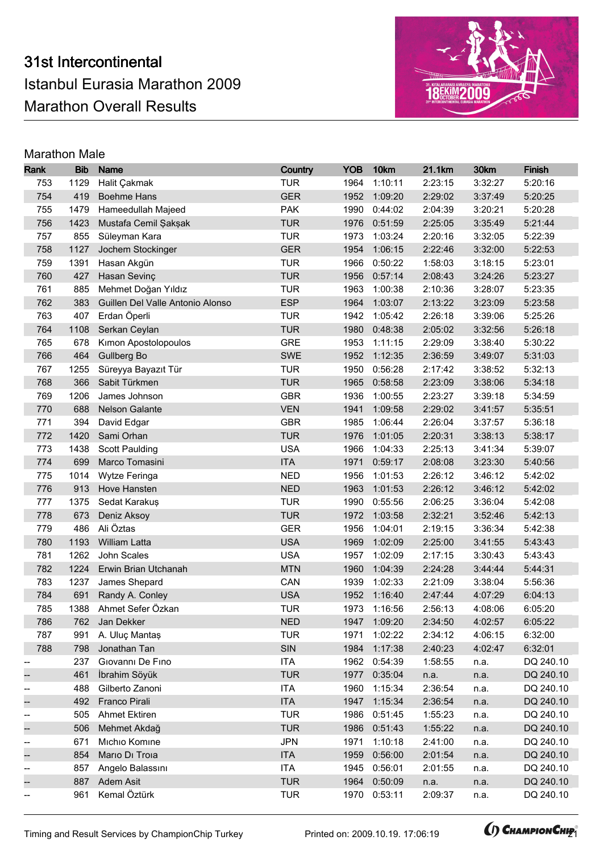

| Rank | <b>Bib</b> | <b>Name</b>                      | Country    | <b>YOB</b> | 10km         | 21.1km  | 30km    | Finish    |
|------|------------|----------------------------------|------------|------------|--------------|---------|---------|-----------|
| 753  | 1129       | Halit Çakmak                     | <b>TUR</b> | 1964       | 1:10:11      | 2:23:15 | 3:32:27 | 5:20:16   |
| 754  | 419        | <b>Boehme Hans</b>               | <b>GER</b> | 1952       | 1:09:20      | 2:29:02 | 3:37:49 | 5:20:25   |
| 755  | 1479       | Hameedullah Majeed               | <b>PAK</b> | 1990       | 0:44:02      | 2:04:39 | 3:20:21 | 5:20:28   |
| 756  | 1423       | Mustafa Cemil Şakşak             | <b>TUR</b> | 1976       | 0:51:59      | 2:25:05 | 3:35:49 | 5:21:44   |
| 757  | 855        | Süleyman Kara                    | <b>TUR</b> | 1973       | 1:03:24      | 2:20:16 | 3:32:05 | 5:22:39   |
| 758  | 1127       | Jochem Stockinger                | <b>GER</b> | 1954       | 1:06:15      | 2:22:46 | 3:32:00 | 5:22:53   |
| 759  | 1391       | Hasan Akgün                      | <b>TUR</b> | 1966       | 0:50:22      | 1:58:03 | 3:18:15 | 5:23:01   |
| 760  | 427        | Hasan Sevinç                     | <b>TUR</b> | 1956       | 0:57:14      | 2:08:43 | 3:24:26 | 5:23:27   |
| 761  | 885        | Mehmet Doğan Yıldız              | <b>TUR</b> | 1963       | 1:00:38      | 2:10:36 | 3:28:07 | 5:23:35   |
| 762  | 383        | Guillen Del Valle Antonio Alonso | <b>ESP</b> | 1964       | 1:03:07      | 2:13:22 | 3:23:09 | 5:23:58   |
| 763  | 407        | Erdan Öperli                     | <b>TUR</b> | 1942       | 1:05:42      | 2:26:18 | 3:39:06 | 5:25:26   |
| 764  | 1108       | Serkan Ceylan                    | <b>TUR</b> | 1980       | 0:48:38      | 2:05:02 | 3:32:56 | 5:26:18   |
| 765  | 678        | Kimon Apostolopoulos             | <b>GRE</b> | 1953       | 1:11:15      | 2:29:09 | 3:38:40 | 5:30:22   |
| 766  | 464        | Gullberg Bo                      | SWE        | 1952       | 1:12:35      | 2:36:59 | 3:49:07 | 5:31:03   |
| 767  | 1255       | Süreyya Bayazıt Tür              | <b>TUR</b> | 1950       | 0:56:28      | 2:17:42 | 3:38:52 | 5:32:13   |
| 768  | 366        | Sabit Türkmen                    | <b>TUR</b> | 1965       | 0:58:58      | 2:23:09 | 3:38:06 | 5:34:18   |
| 769  | 1206       | James Johnson                    | <b>GBR</b> | 1936       | 1:00:55      | 2:23:27 | 3:39:18 | 5:34:59   |
| 770  | 688        | Nelson Galante                   | <b>VEN</b> | 1941       | 1:09:58      | 2:29:02 | 3:41:57 | 5:35:51   |
| 771  | 394        | David Edgar                      | <b>GBR</b> | 1985       | 1:06:44      | 2:26:04 | 3:37:57 | 5:36:18   |
| 772  | 1420       | Sami Orhan                       | <b>TUR</b> | 1976       | 1:01:05      | 2:20:31 | 3:38:13 | 5:38:17   |
| 773  | 1438       | <b>Scott Paulding</b>            | <b>USA</b> | 1966       | 1:04:33      | 2:25:13 | 3:41:34 | 5:39:07   |
| 774  | 699        | Marco Tomasini                   | <b>ITA</b> | 1971       | 0:59:17      | 2:08:08 | 3:23:30 | 5:40:56   |
| 775  | 1014       | Wytze Feringa                    | <b>NED</b> | 1956       | 1:01:53      | 2:26:12 | 3:46:12 | 5:42:02   |
| 776  | 913        | Hove Hansten                     | <b>NED</b> | 1963       | 1:01:53      | 2:26:12 | 3:46:12 | 5:42:02   |
| 777  | 1375       | Sedat Karakuş                    | <b>TUR</b> | 1990       | 0:55:56      | 2:06:25 | 3:36:04 | 5:42:08   |
| 778  | 673        | Deniz Aksoy                      | <b>TUR</b> | 1972       | 1:03:58      | 2:32:21 | 3:52:46 | 5:42:13   |
| 779  | 486        | Ali Öztas                        | <b>GER</b> | 1956       | 1:04:01      | 2:19:15 | 3:36:34 | 5:42:38   |
| 780  | 1193       | William Latta                    | <b>USA</b> | 1969       | 1:02:09      | 2:25:00 | 3:41:55 | 5:43:43   |
| 781  | 1262       | John Scales                      | <b>USA</b> | 1957       | 1:02:09      | 2:17:15 | 3:30:43 | 5:43:43   |
| 782  | 1224       | Erwin Brian Utchanah             | <b>MTN</b> | 1960       | 1:04:39      | 2:24:28 | 3:44:44 | 5:44:31   |
| 783  | 1237       | James Shepard                    | CAN        | 1939       | 1:02:33      | 2:21:09 | 3:38:04 | 5:56:36   |
| 784  | 691        | Randy A. Conley                  | <b>USA</b> | 1952       | 1:16:40      | 2:47:44 | 4:07:29 | 6:04:13   |
| 785  |            | 1388 Ahmet Sefer Özkan           | <b>TUR</b> |            | 1973 1:16:56 | 2:56:13 | 4:08:06 | 6:05:20   |
| 786  | 762        | Jan Dekker                       | <b>NED</b> |            | 1947 1:09:20 | 2:34:50 | 4:02:57 | 6:05:22   |
| 787  | 991        | A. Uluç Mantaş                   | <b>TUR</b> | 1971       | 1:02:22      | 2:34:12 | 4:06:15 | 6:32:00   |
| 788  | 798        | Jonathan Tan                     | SIN        | 1984       | 1:17:38      | 2:40:23 | 4:02:47 | 6:32:01   |
|      | 237        | Giovanni De Fino                 | <b>ITA</b> | 1962       | 0:54:39      | 1:58:55 | n.a.    | DQ 240.10 |
|      | 461        | İbrahim Söyük                    | <b>TUR</b> | 1977       | 0:35:04      | n.a.    | n.a.    | DQ 240.10 |
| --   | 488        | Gilberto Zanoni                  | <b>ITA</b> | 1960       | 1:15:34      | 2:36:54 | n.a.    | DQ 240.10 |
|      | 492        | Franco Pirali                    | <b>ITA</b> | 1947       | 1:15:34      | 2:36:54 | n.a.    | DQ 240.10 |
| --   | 505        | <b>Ahmet Ektiren</b>             | <b>TUR</b> | 1986       | 0:51:45      | 1:55:23 | n.a.    | DQ 240.10 |
| --   | 506        | Mehmet Akdağ                     | <b>TUR</b> | 1986       | 0:51:43      | 1:55:22 | n.a.    | DQ 240.10 |
| --   | 671        | Michio Komine                    | <b>JPN</b> | 1971       | 1:10:18      | 2:41:00 | n.a.    | DQ 240.10 |
| --   | 854        | Mario Di Troia                   | <b>ITA</b> | 1959       | 0:56:00      | 2:01:54 | n.a.    | DQ 240.10 |
| --   | 857        | Angelo Balassini                 | <b>ITA</b> | 1945       | 0:56:01      | 2:01:55 | n.a.    | DQ 240.10 |
|      | 887        | Adem Asit                        | <b>TUR</b> | 1964       | 0:50:09      | n.a.    | n.a.    | DQ 240.10 |
| --   | 961        | Kemal Öztürk                     | <b>TUR</b> | 1970       | 0:53:11      | 2:09:37 | n.a.    | DQ 240.10 |

Timing and Result Services by ChampionChip Turkey Printed on: 2009.10.19. 17:06:19 **211 CHAMPIONCHIP** 

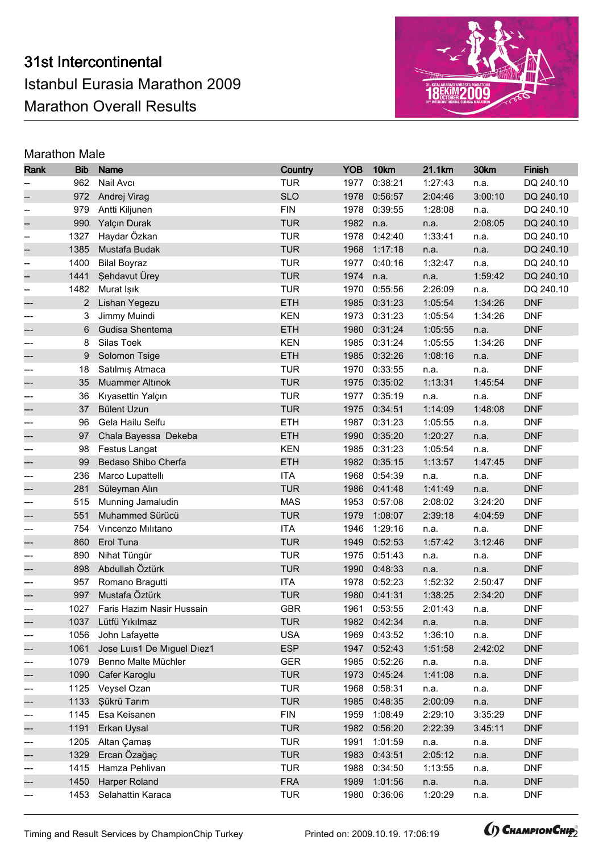# 31st Intercontinental Istanbul Eurasia Marathon 2009 Marathon Overall Results



| Rank       | <b>Bib</b> | Name                       | Country    | <b>YOB</b> | 10km         | 21.1km  | 30km    | <b>Finish</b> |
|------------|------------|----------------------------|------------|------------|--------------|---------|---------|---------------|
|            | 962        | Nail Avcı                  | <b>TUR</b> | 1977       | 0:38:21      | 1:27:43 | n.a.    | DQ 240.10     |
|            | 972        | Andrej Virag               | <b>SLO</b> | 1978       | 0:56:57      | 2:04:46 | 3:00:10 | DQ 240.10     |
| --         | 979        | Antti Kiljunen             | <b>FIN</b> | 1978       | 0:39:55      | 1:28:08 | n.a.    | DQ 240.10     |
|            | 990        | Yalçın Durak               | <b>TUR</b> | 1982       | n.a.         | n.a.    | 2:08:05 | DQ 240.10     |
| --         | 1327       | Haydar Özkan               | <b>TUR</b> | 1978       | 0:42:40      | 1:33:41 | n.a.    | DQ 240.10     |
| --         | 1385       | Mustafa Budak              | <b>TUR</b> | 1968       | 1:17:18      | n.a.    | n.a.    | DQ 240.10     |
| --         | 1400       | <b>Bilal Boyraz</b>        | <b>TUR</b> | 1977       | 0:40:16      | 1:32:47 | n.a.    | DQ 240.10     |
| --         | 1441       | Sehdavut Ürey              | <b>TUR</b> | 1974       | n.a.         | n.a.    | 1:59:42 | DQ 240.10     |
| $-\!$      | 1482       | Murat Işık                 | <b>TUR</b> | 1970       | 0:55:56      | 2:26:09 | n.a.    | DQ 240.10     |
|            | 2          | Lishan Yegezu              | <b>ETH</b> | 1985       | 0:31:23      | 1:05:54 | 1:34:26 | <b>DNF</b>    |
|            | 3          | Jimmy Muindi               | <b>KEN</b> | 1973       | 0:31:23      | 1:05:54 | 1:34:26 | <b>DNF</b>    |
|            | 6          | Gudisa Shentema            | <b>ETH</b> | 1980       | 0:31:24      | 1:05:55 | n.a.    | <b>DNF</b>    |
| ---        | 8          | Silas Toek                 | <b>KEN</b> | 1985       | 0:31:24      | 1:05:55 | 1:34:26 | <b>DNF</b>    |
|            | 9          | Solomon Tsige              | <b>ETH</b> | 1985       | 0:32:26      | 1:08:16 | n.a.    | <b>DNF</b>    |
|            | 18         | Satılmış Atmaca            | <b>TUR</b> | 1970       | 0:33:55      | n.a.    | n.a.    | <b>DNF</b>    |
|            | 35         | <b>Muammer Altınok</b>     | <b>TUR</b> | 1975       | 0:35:02      | 1:13:31 | 1:45:54 | <b>DNF</b>    |
| ---        | 36         | Kıyasettin Yalçın          | <b>TUR</b> | 1977       | 0:35:19      | n.a.    | n.a.    | <b>DNF</b>    |
|            | 37         | <b>Bülent Uzun</b>         | <b>TUR</b> | 1975       | 0:34:51      | 1:14:09 | 1:48:08 | <b>DNF</b>    |
| ---        | 96         | Gela Hailu Seifu           | <b>ETH</b> | 1987       | 0:31:23      | 1:05:55 | n.a.    | <b>DNF</b>    |
|            | 97         | Chala Bayessa Dekeba       | <b>ETH</b> | 1990       | 0:35:20      | 1:20:27 | n.a.    | <b>DNF</b>    |
| ---        | 98         | Festus Langat              | <b>KEN</b> | 1985       | 0:31:23      | 1:05:54 | n.a.    | <b>DNF</b>    |
|            | 99         | Bedaso Shibo Cherfa        | ETH        | 1982       | 0:35:15      | 1:13:57 | 1:47:45 | <b>DNF</b>    |
|            | 236        | Marco Lupattellı           | <b>ITA</b> | 1968       | 0:54:39      | n.a.    | n.a.    | <b>DNF</b>    |
|            | 281        | Süleyman Alın              | <b>TUR</b> | 1986       | 0:41:48      | 1:41:49 | n.a.    | <b>DNF</b>    |
| ---        | 515        | Munning Jamaludin          | <b>MAS</b> | 1953       | 0:57:08      | 2:08:02 | 3:24:20 | <b>DNF</b>    |
|            | 551        | Muhammed Sürücü            | <b>TUR</b> | 1979       | 1:08:07      | 2:39:18 | 4:04:59 | <b>DNF</b>    |
| ---        | 754        | Vincenzo Militano          | <b>ITA</b> | 1946       | 1:29:16      | n.a.    | n.a.    | <b>DNF</b>    |
|            | 860        | Erol Tuna                  | <b>TUR</b> | 1949       | 0:52:53      | 1:57:42 | 3:12:46 | <b>DNF</b>    |
| ---        | 890        | Nihat Tüngür               | <b>TUR</b> | 1975       | 0:51:43      | n.a.    | n.a.    | <b>DNF</b>    |
|            | 898        | Abdullah Öztürk            | <b>TUR</b> | 1990       | 0:48:33      | n.a.    | n.a.    | <b>DNF</b>    |
|            | 957        | Romano Bragutti            | <b>ITA</b> | 1978       | 0:52:23      | 1:52:32 | 2:50:47 | <b>DNF</b>    |
|            | 997        | Mustafa Öztürk             | <b>TUR</b> | 1980       | 0:41:31      | 1:38:25 | 2:34:20 | <b>DNF</b>    |
| ---        | 1027       | Faris Hazim Nasir Hussain  | <b>GBR</b> |            | 1961 0:53:55 | 2:01:43 | n.a.    | <b>DNF</b>    |
| ---        |            | 1037 Lütfü Yıkılmaz        | <b>TUR</b> |            | 1982 0:42:34 | n.a.    | n.a.    | <b>DNF</b>    |
| ---        | 1056       | John Lafayette             | <b>USA</b> | 1969       | 0:43:52      | 1:36:10 | n.a.    | <b>DNF</b>    |
|            | 1061       | Jose Luis1 De Miguel Diez1 | <b>ESP</b> | 1947       | 0:52:43      | 1:51:58 | 2:42:02 | <b>DNF</b>    |
| ---        | 1079       | Benno Malte Müchler        | <b>GER</b> | 1985       | 0:52:26      | n.a.    | n.a.    | <b>DNF</b>    |
|            | 1090       | Cafer Karoglu              | <b>TUR</b> | 1973       | 0:45:24      | 1:41:08 | n.a.    | <b>DNF</b>    |
| ---        | 1125       | Veysel Ozan                | <b>TUR</b> | 1968       | 0:58:31      | n.a.    | n.a.    | <b>DNF</b>    |
|            | 1133       | Şükrü Tarım                | <b>TUR</b> | 1985       | 0:48:35      | 2:00:09 | n.a.    | <b>DNF</b>    |
| ---        | 1145       | Esa Keisanen               | <b>FIN</b> | 1959       | 1:08:49      | 2:29:10 | 3:35:29 | <b>DNF</b>    |
|            | 1191       | Erkan Uysal                | <b>TUR</b> | 1982       | 0:56:20      | 2:22:39 | 3:45:11 | <b>DNF</b>    |
| ---        | 1205       | Altan Camas                | <b>TUR</b> | 1991       | 1:01:59      | n.a.    | n.a.    | <b>DNF</b>    |
|            | 1329       | Ercan Özağaç               | <b>TUR</b> | 1983       | 0:43:51      | 2:05:12 | n.a.    | <b>DNF</b>    |
| ---        | 1415       | Hamza Pehlivan             | <b>TUR</b> | 1988       | 0:34:50      | 1:13:55 | n.a.    | <b>DNF</b>    |
|            | 1450       | Harper Roland              | <b>FRA</b> | 1989       | 1:01:56      | n.a.    | n.a.    | <b>DNF</b>    |
| ---<br>--- | 1453       | Selahattin Karaca          | <b>TUR</b> | 1980       | 0:36:06      | 1:20:29 | n.a.    | <b>DNF</b>    |
|            |            |                            |            |            |              |         |         |               |

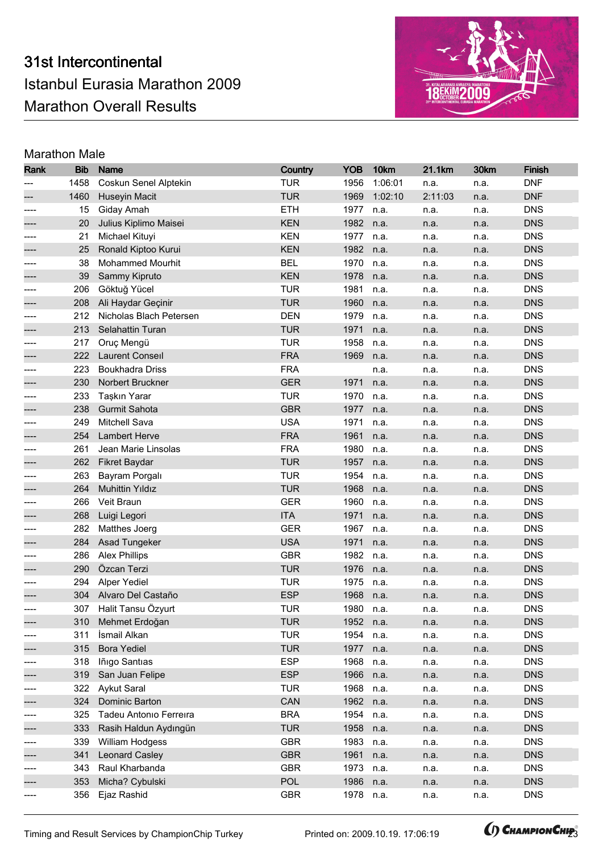

| Rank | <b>Bib</b> | <b>Name</b>             | Country    | <b>YOB</b> | 10km    | 21.1km  | 30km | <b>Finish</b> |
|------|------------|-------------------------|------------|------------|---------|---------|------|---------------|
|      | 1458       | Coskun Senel Alptekin   | <b>TUR</b> | 1956       | 1:06:01 | n.a.    | n.a. | <b>DNF</b>    |
|      | 1460       | Huseyin Macit           | <b>TUR</b> | 1969       | 1:02:10 | 2:11:03 | n.a. | <b>DNF</b>    |
|      | 15         | Giday Amah              | <b>ETH</b> | 1977       | n.a.    | n.a.    | n.a. | <b>DNS</b>    |
|      | 20         | Julius Kiplimo Maisei   | <b>KEN</b> | 1982       | n.a.    | n.a.    | n.a. | <b>DNS</b>    |
| ---- | 21         | Michael Kituyi          | <b>KEN</b> | 1977       | n.a.    | n.a.    | n.a. | <b>DNS</b>    |
|      | 25         | Ronald Kiptoo Kurui     | <b>KEN</b> | 1982       | n.a.    | n.a.    | n.a. | <b>DNS</b>    |
|      | 38         | Mohammed Mourhit        | <b>BEL</b> | 1970       | n.a.    | n.a.    | n.a. | <b>DNS</b>    |
|      | 39         | Sammy Kipruto           | <b>KEN</b> | 1978       | n.a.    | n.a.    | n.a. | <b>DNS</b>    |
| ---- | 206        | Göktuğ Yücel            | <b>TUR</b> | 1981       | n.a.    | n.a.    | n.a. | <b>DNS</b>    |
|      | 208        | Ali Haydar Geçinir      | <b>TUR</b> | 1960       | n.a.    | n.a.    | n.a. | <b>DNS</b>    |
|      | 212        | Nicholas Blach Petersen | <b>DEN</b> | 1979       | n.a.    | n.a.    | n.a. | <b>DNS</b>    |
|      | 213        | Selahattin Turan        | <b>TUR</b> | 1971       | n.a.    | n.a.    | n.a. | <b>DNS</b>    |
|      | 217        | Oruç Mengü              | <b>TUR</b> | 1958       | n.a.    | n.a.    | n.a. | <b>DNS</b>    |
|      | 222        | <b>Laurent Conseil</b>  | <b>FRA</b> | 1969       | n.a.    | n.a.    | n.a. | <b>DNS</b>    |
|      | 223        | <b>Boukhadra Driss</b>  | <b>FRA</b> |            | n.a.    | n.a.    | n.a. | <b>DNS</b>    |
|      | 230        | Norbert Bruckner        | <b>GER</b> | 1971       | n.a.    | n.a.    | n.a. | <b>DNS</b>    |
| ---- | 233        | Taşkın Yarar            | <b>TUR</b> | 1970       | n.a.    | n.a.    | n.a. | <b>DNS</b>    |
|      | 238        | Gurmit Sahota           | <b>GBR</b> | 1977       | n.a.    | n.a.    | n.a. | <b>DNS</b>    |
| ---- | 249        | Mitchell Sava           | <b>USA</b> | 1971       | n.a.    | n.a.    | n.a. | <b>DNS</b>    |
|      | 254        | <b>Lambert Herve</b>    | <b>FRA</b> | 1961       | n.a.    | n.a.    | n.a. | <b>DNS</b>    |
|      | 261        | Jean Marie Linsolas     | <b>FRA</b> | 1980       | n.a.    | n.a.    | n.a. | <b>DNS</b>    |
|      | 262        | Fikret Baydar           | <b>TUR</b> | 1957       | n.a.    | n.a.    | n.a. | <b>DNS</b>    |
|      | 263        | Bayram Porgalı          | <b>TUR</b> | 1954       | n.a.    | n.a.    | n.a. | <b>DNS</b>    |
|      | 264        | <b>Muhittin Yıldız</b>  | <b>TUR</b> | 1968       | n.a.    | n.a.    | n.a. | <b>DNS</b>    |
| ---- | 266        | Veit Braun              | <b>GER</b> | 1960       | n.a.    | n.a.    | n.a. | <b>DNS</b>    |
|      | 268        | Luigi Legori            | <b>ITA</b> | 1971       | n.a.    | n.a.    | n.a. | <b>DNS</b>    |
|      | 282        | Matthes Joerg           | <b>GER</b> | 1967       | n.a.    | n.a.    | n.a. | <b>DNS</b>    |
|      | 284        | Asad Tungeker           | <b>USA</b> | 1971       | n.a.    | n.a.    | n.a. | <b>DNS</b>    |
| ---- | 286        | <b>Alex Phillips</b>    | <b>GBR</b> | 1982       | n.a.    | n.a.    | n.a. | <b>DNS</b>    |
|      | 290        | Özcan Terzi             | <b>TUR</b> | 1976       | n.a.    | n.a.    | n.a. | <b>DNS</b>    |
|      | 294        | <b>Alper Yediel</b>     | <b>TUR</b> | 1975       | n.a.    | n.a.    | n.a. | <b>DNS</b>    |
|      | 304        | Alvaro Del Castaño      | <b>ESP</b> | 1968       | n.a.    | n.a.    | n.a. | <b>DNS</b>    |
| ---- |            | 307 Halit Tansu Özyurt  | TUR        | 1980       | n.a.    | n.a.    | n.a. | <b>DNS</b>    |
|      |            | 310 Mehmet Erdoğan      | <b>TUR</b> | 1952       | n.a.    | n.a.    | n.a. | <b>DNS</b>    |
| ---- | 311        | İsmail Alkan            | <b>TUR</b> | 1954       | n.a.    | n.a.    | n.a. | <b>DNS</b>    |
|      | 315        | <b>Bora Yediel</b>      | <b>TUR</b> | 1977       | n.a.    | n.a.    | n.a. | <b>DNS</b>    |
| ---- | 318        | Iñigo Santias           | <b>ESP</b> | 1968       | n.a.    | n.a.    | n.a. | <b>DNS</b>    |
|      | 319        | San Juan Felipe         | <b>ESP</b> | 1966       | n.a.    | n.a.    | n.a. | <b>DNS</b>    |
|      | 322        | <b>Aykut Saral</b>      | <b>TUR</b> | 1968       | n.a.    | n.a.    | n.a. | <b>DNS</b>    |
|      | 324        | Dominic Barton          | CAN        | 1962       | n.a.    | n.a.    | n.a. | <b>DNS</b>    |
| ---- | 325        | Tadeu Antonio Ferreira  | <b>BRA</b> | 1954       | n.a.    | n.a.    | n.a. | <b>DNS</b>    |
|      | 333        | Rasih Haldun Aydıngün   | <b>TUR</b> | 1958       | n.a.    | n.a.    | n.a. | <b>DNS</b>    |
| ---- | 339        | William Hodgess         | <b>GBR</b> | 1983       | n.a.    | n.a.    | n.a. | <b>DNS</b>    |
|      | 341        | <b>Leonard Casley</b>   | <b>GBR</b> | 1961       | n.a.    | n.a.    | n.a. | <b>DNS</b>    |
| ---- | 343        | Raul Kharbanda          | <b>GBR</b> | 1973       | n.a.    | n.a.    | n.a. | <b>DNS</b>    |
| ---- | 353        | Micha? Cybulski         | <b>POL</b> | 1986       | n.a.    | n.a.    | n.a. | <b>DNS</b>    |
|      | 356        | Ejaz Rashid             | <b>GBR</b> | 1978       | n.a.    | n.a.    | n.a. | <b>DNS</b>    |

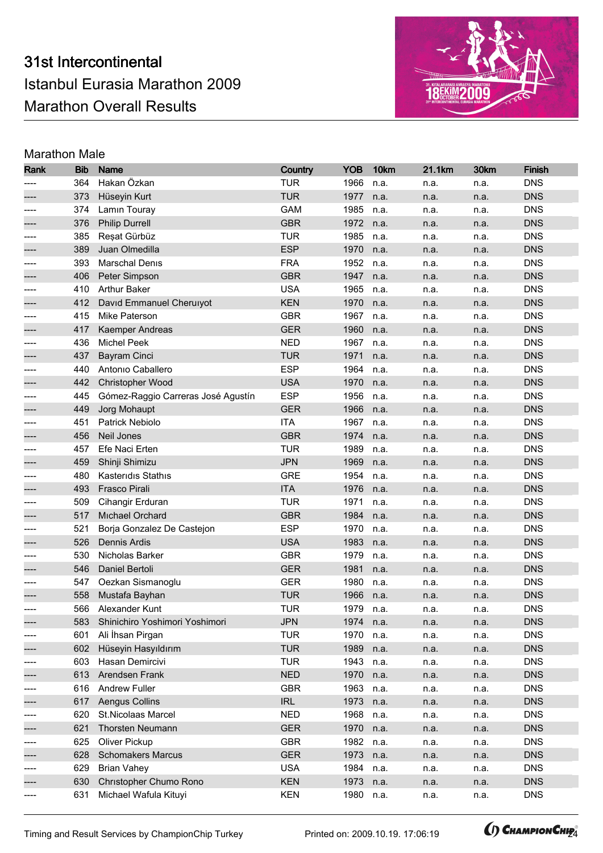# 31st Intercontinental Istanbul Eurasia Marathon 2009 Marathon Overall Results



# Marathon Male

| Rank | <b>Bib</b> | Name                               | Country    | <b>YOB</b> | 10km | 21.1km | 30km | <b>Finish</b> |
|------|------------|------------------------------------|------------|------------|------|--------|------|---------------|
|      | 364        | Hakan Özkan                        | <b>TUR</b> | 1966       | n.a. | n.a.   | n.a. | <b>DNS</b>    |
|      | 373        | Hüseyin Kurt                       | <b>TUR</b> | 1977       | n.a. | n.a.   | n.a. | <b>DNS</b>    |
|      | 374        | Lamin Touray                       | <b>GAM</b> | 1985       | n.a. | n.a.   | n.a. | <b>DNS</b>    |
|      | 376        | <b>Philip Durrell</b>              | <b>GBR</b> | 1972       | n.a. | n.a.   | n.a. | <b>DNS</b>    |
| ---- | 385        | Reșat Gürbüz                       | <b>TUR</b> | 1985       | n.a. | n.a.   | n.a. | <b>DNS</b>    |
|      | 389        | Juan Olmedilla                     | <b>ESP</b> | 1970       | n.a. | n.a.   | n.a. | <b>DNS</b>    |
|      | 393        | <b>Marschal Denis</b>              | <b>FRA</b> | 1952       | n.a. | n.a.   | n.a. | <b>DNS</b>    |
|      | 406        | Peter Simpson                      | <b>GBR</b> | 1947       | n.a. | n.a.   | n.a. | <b>DNS</b>    |
| ---- | 410        | <b>Arthur Baker</b>                | <b>USA</b> | 1965       | n.a. | n.a.   | n.a. | <b>DNS</b>    |
|      | 412        | David Emmanuel Cheruiyot           | <b>KEN</b> | 1970       | n.a. | n.a.   | n.a. | <b>DNS</b>    |
|      | 415        | Mike Paterson                      | <b>GBR</b> | 1967       | n.a. | n.a.   | n.a. | <b>DNS</b>    |
|      | 417        | Kaemper Andreas                    | <b>GER</b> | 1960       | n.a. | n.a.   | n.a. | <b>DNS</b>    |
|      | 436        | <b>Michel Peek</b>                 | <b>NED</b> | 1967       | n.a. | n.a.   | n.a. | <b>DNS</b>    |
|      | 437        | Bayram Cinci                       | <b>TUR</b> | 1971       | n.a. | n.a.   | n.a. | <b>DNS</b>    |
|      | 440        | Antonio Caballero                  | <b>ESP</b> | 1964       | n.a. | n.a.   | n.a. | <b>DNS</b>    |
|      | 442        | Christopher Wood                   | <b>USA</b> | 1970       | n.a. | n.a.   | n.a. | <b>DNS</b>    |
| ---- | 445        | Gómez-Raggio Carreras José Agustín | <b>ESP</b> | 1956       | n.a. | n.a.   | n.a. | <b>DNS</b>    |
|      | 449        | Jorg Mohaupt                       | <b>GER</b> | 1966       | n.a. | n.a.   | n.a. | <b>DNS</b>    |
|      | 451        | Patrick Nebiolo                    | <b>ITA</b> | 1967       | n.a. | n.a.   | n.a. | <b>DNS</b>    |
|      | 456        | Neil Jones                         | <b>GBR</b> | 1974       | n.a. | n.a.   | n.a. | <b>DNS</b>    |
|      | 457        | Efe Naci Erten                     | <b>TUR</b> | 1989       | n.a. | n.a.   | n.a. | <b>DNS</b>    |
|      | 459        | Shinji Shimizu                     | <b>JPN</b> | 1969       | n.a. | n.a.   | n.a. | <b>DNS</b>    |
|      | 480        | Kasteridis Stathis                 | <b>GRE</b> | 1954       | n.a. | n.a.   | n.a. | <b>DNS</b>    |
|      | 493        | Frasco Pirali                      | <b>ITA</b> | 1976       | n.a. | n.a.   | n.a. | <b>DNS</b>    |
| ---- | 509        | Cihangir Erduran                   | <b>TUR</b> | 1971       | n.a. | n.a.   | n.a. | <b>DNS</b>    |
|      | 517        | Michael Orchard                    | <b>GBR</b> | 1984       | n.a. | n.a.   | n.a. | <b>DNS</b>    |
|      | 521        | Borja Gonzalez De Castejon         | <b>ESP</b> | 1970       | n.a. | n.a.   | n.a. | <b>DNS</b>    |
|      | 526        | <b>Dennis Ardis</b>                | <b>USA</b> | 1983       | n.a. | n.a.   | n.a. | <b>DNS</b>    |
|      | 530        | Nicholas Barker                    | <b>GBR</b> | 1979       | n.a. | n.a.   | n.a. | <b>DNS</b>    |
|      | 546        | Daniel Bertoli                     | <b>GER</b> | 1981       | n.a. | n.a.   | n.a. | <b>DNS</b>    |
|      | 547        | Oezkan Sismanoglu                  | <b>GER</b> | 1980       | n.a. | n.a.   | n.a. | <b>DNS</b>    |
|      | 558        | Mustafa Bayhan                     | <b>TUR</b> | 1966       | n.a. | n.a.   | n.a. | <b>DNS</b>    |
| ---- | 566        | Alexander Kunt                     | <b>TUR</b> | 1979       | n.a. | n.a.   | n.a. | <b>DNS</b>    |
|      |            | 583 Shinichiro Yoshimori Yoshimori | <b>JPN</b> | 1974       | n.a. | n.a.   | n.a. | <b>DNS</b>    |
| ---- | 601        | Ali İhsan Pirgan                   | <b>TUR</b> | 1970       | n.a. | n.a.   | n.a. | <b>DNS</b>    |
|      | 602        | Hüseyin Hasyıldırım                | <b>TUR</b> | 1989       | n.a. | n.a.   | n.a. | <b>DNS</b>    |
| ---- | 603        | Hasan Demircivi                    | <b>TUR</b> | 1943       | n.a. | n.a.   | n.a. | <b>DNS</b>    |
|      | 613        | Arendsen Frank                     | <b>NED</b> | 1970       | n.a. | n.a.   | n.a. | <b>DNS</b>    |
|      | 616        | <b>Andrew Fuller</b>               | <b>GBR</b> | 1963       | n.a. | n.a.   | n.a. | <b>DNS</b>    |
|      | 617        | Aengus Collins                     | <b>IRL</b> | 1973       | n.a. | n.a.   | n.a. | <b>DNS</b>    |
| ---- | 620        | St.Nicolaas Marcel                 | <b>NED</b> | 1968       | n.a. | n.a.   | n.a. | <b>DNS</b>    |
|      | 621        | Thorsten Neumann                   | <b>GER</b> | 1970       | n.a. | n.a.   | n.a. | <b>DNS</b>    |
| ---- | 625        | Oliver Pickup                      | <b>GBR</b> | 1982       | n.a. | n.a.   | n.a. | <b>DNS</b>    |
|      | 628        | <b>Schomakers Marcus</b>           | <b>GER</b> | 1973       | n.a. | n.a.   | n.a. | <b>DNS</b>    |
| ---- | 629        | <b>Brian Vahey</b>                 | <b>USA</b> | 1984       | n.a. | n.a.   | n.a. | <b>DNS</b>    |
|      | 630        | Christopher Chumo Rono             | <b>KEN</b> | 1973       | n.a. | n.a.   | n.a. | <b>DNS</b>    |
|      | 631        | Michael Wafula Kituyi              | <b>KEN</b> | 1980       | n.a. | n.a.   | n.a. | <b>DNS</b>    |

Timing and Result Services by ChampionChip Turkey Printed on: 2009.10.19. 17:06:19 **(AMAPIONCHIP** 

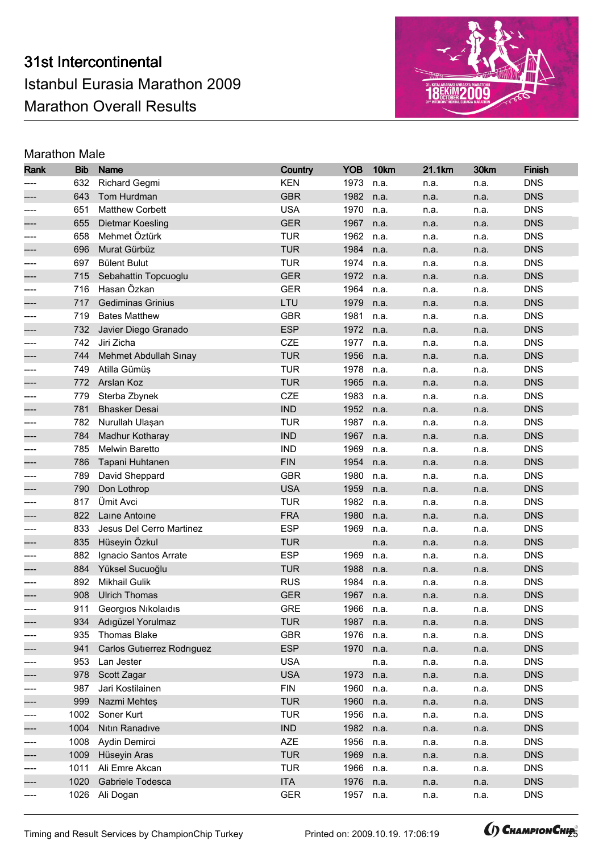

| Rank | <b>Bib</b> | <b>Name</b>                | Country    | <b>YOB</b> | 10km | 21.1km | 30km | <b>Finish</b> |
|------|------------|----------------------------|------------|------------|------|--------|------|---------------|
|      | 632        | <b>Richard Gegmi</b>       | <b>KEN</b> | 1973       | n.a. | n.a.   | n.a. | <b>DNS</b>    |
|      | 643        | Tom Hurdman                | <b>GBR</b> | 1982       | n.a. | n.a.   | n.a. | <b>DNS</b>    |
|      | 651        | <b>Matthew Corbett</b>     | <b>USA</b> | 1970       | n.a. | n.a.   | n.a. | <b>DNS</b>    |
|      | 655        | Dietmar Koesling           | <b>GER</b> | 1967       | n.a. | n.a.   | n.a. | <b>DNS</b>    |
| ---- | 658        | Mehmet Öztürk              | <b>TUR</b> | 1962       | n.a. | n.a.   | n.a. | <b>DNS</b>    |
|      | 696        | Murat Gürbüz               | <b>TUR</b> | 1984       | n.a. | n.a.   | n.a. | <b>DNS</b>    |
|      | 697        | <b>Bülent Bulut</b>        | <b>TUR</b> | 1974       | n.a. | n.a.   | n.a. | <b>DNS</b>    |
|      | 715        | Sebahattin Topcuoglu       | <b>GER</b> | 1972       | n.a. | n.a.   | n.a. | <b>DNS</b>    |
| ---- | 716        | Hasan Özkan                | <b>GER</b> | 1964       | n.a. | n.a.   | n.a. | <b>DNS</b>    |
|      | 717        | <b>Gediminas Grinius</b>   | LTU        | 1979       | n.a. | n.a.   | n.a. | <b>DNS</b>    |
|      | 719        | <b>Bates Matthew</b>       | <b>GBR</b> | 1981       | n.a. | n.a.   | n.a. | <b>DNS</b>    |
|      | 732        | Javier Diego Granado       | <b>ESP</b> | 1972       | n.a. | n.a.   | n.a. | <b>DNS</b>    |
|      | 742        | Jiri Zicha                 | CZE        | 1977       | n.a. | n.a.   | n.a. | <b>DNS</b>    |
|      | 744        | Mehmet Abdullah Sınay      | <b>TUR</b> | 1956       | n.a. | n.a.   | n.a. | <b>DNS</b>    |
|      | 749        | Atilla Gümüş               | <b>TUR</b> | 1978       | n.a. | n.a.   | n.a. | <b>DNS</b>    |
|      | 772        | Arslan Koz                 | <b>TUR</b> | 1965       | n.a. | n.a.   | n.a. | <b>DNS</b>    |
| ---- | 779        | Sterba Zbynek              | CZE        | 1983       | n.a. | n.a.   | n.a. | <b>DNS</b>    |
|      | 781        | <b>Bhasker Desai</b>       | <b>IND</b> | 1952       | n.a. | n.a.   | n.a. | <b>DNS</b>    |
| ---- | 782        | Nurullah Ulaşan            | <b>TUR</b> | 1987       | n.a. | n.a.   | n.a. | <b>DNS</b>    |
|      | 784        | Madhur Kotharay            | <b>IND</b> | 1967       | n.a. | n.a.   | n.a. | <b>DNS</b>    |
|      | 785        | Melwin Baretto             | <b>IND</b> | 1969       | n.a. | n.a.   | n.a. | <b>DNS</b>    |
|      | 786        | Tapani Huhtanen            | <b>FIN</b> | 1954       | n.a. | n.a.   | n.a. | <b>DNS</b>    |
|      | 789        | David Sheppard             | <b>GBR</b> | 1980       | n.a. | n.a.   | n.a. | <b>DNS</b>    |
|      | 790        | Don Lothrop                | <b>USA</b> | 1959       | n.a. | n.a.   | n.a. | <b>DNS</b>    |
| ---- | 817        | Ümit Avci                  | <b>TUR</b> | 1982       | n.a. | n.a.   | n.a. | <b>DNS</b>    |
|      | 822        | Laine Antoine              | <b>FRA</b> | 1980       | n.a. | n.a.   | n.a. | <b>DNS</b>    |
|      | 833        | Jesus Del Cerro Martinez   | <b>ESP</b> | 1969       | n.a. | n.a.   | n.a. | <b>DNS</b>    |
|      | 835        | Hüseyin Özkul              | <b>TUR</b> |            | n.a. | n.a.   | n.a. | <b>DNS</b>    |
|      | 882        | Ignacio Santos Arrate      | <b>ESP</b> | 1969       | n.a. | n.a.   | n.a. | <b>DNS</b>    |
|      | 884        | Yüksel Sucuoğlu            | <b>TUR</b> | 1988       | n.a. | n.a.   | n.a. | <b>DNS</b>    |
|      | 892        | <b>Mikhail Gulik</b>       | <b>RUS</b> | 1984       | n.a. | n.a.   | n.a. | <b>DNS</b>    |
|      | 908        | <b>Ulrich Thomas</b>       | <b>GER</b> | 1967       | n.a. | n.a.   | n.a. | <b>DNS</b>    |
| ---- |            | 911 Georgios Nikolaidis    | <b>GRE</b> | 1966       | n.a. | n.a.   | n.a. | <b>DNS</b>    |
|      |            | 934 Adıgüzel Yorulmaz      | <b>TUR</b> | 1987 n.a.  |      | n.a.   | n.a. | <b>DNS</b>    |
| ---- | 935        | <b>Thomas Blake</b>        | <b>GBR</b> | 1976       | n.a. | n.a.   | n.a. | <b>DNS</b>    |
|      | 941        | Carlos Gutierrez Rodriguez | <b>ESP</b> | 1970       | n.a. | n.a.   | n.a. | <b>DNS</b>    |
| ---- | 953        | Lan Jester                 | <b>USA</b> |            | n.a. | n.a.   | n.a. | <b>DNS</b>    |
|      | 978        | Scott Zagar                | <b>USA</b> | 1973       | n.a. | n.a.   | n.a. | <b>DNS</b>    |
|      | 987        | Jari Kostilainen           | <b>FIN</b> | 1960       | n.a. | n.a.   | n.a. | <b>DNS</b>    |
|      | 999        | Nazmi Mehtes               | <b>TUR</b> | 1960       | n.a. | n.a.   | n.a. | <b>DNS</b>    |
| ---- | 1002       | Soner Kurt                 | <b>TUR</b> | 1956       | n.a. | n.a.   | n.a. | <b>DNS</b>    |
|      | 1004       | Nitin Ranadive             | <b>IND</b> | 1982       | n.a. | n.a.   | n.a. | <b>DNS</b>    |
| ---- | 1008       | Aydin Demirci              | <b>AZE</b> | 1956       | n.a. | n.a.   | n.a. | <b>DNS</b>    |
|      | 1009       | Hüseyin Aras               | <b>TUR</b> | 1969       | n.a. | n.a.   | n.a. | <b>DNS</b>    |
| ---- | 1011       | Ali Emre Akcan             | <b>TUR</b> | 1966       | n.a. | n.a.   | n.a. | <b>DNS</b>    |
| ---- | 1020       | Gabriele Todesca           | <b>ITA</b> | 1976       | n.a. | n.a.   | n.a. | <b>DNS</b>    |
| ---- | 1026       | Ali Dogan                  | <b>GER</b> | 1957       | n.a. | n.a.   | n.a. | <b>DNS</b>    |

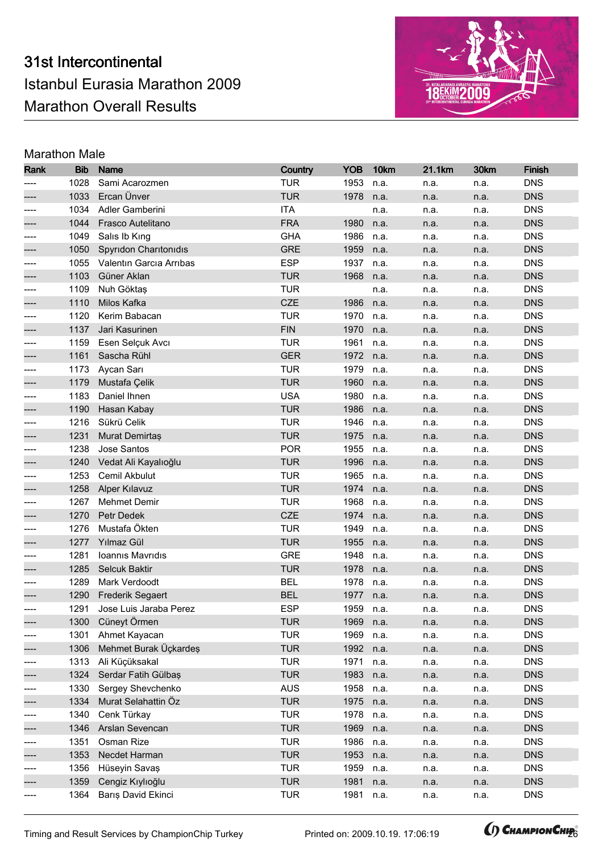

| Rank  | <b>Bib</b> | <b>Name</b>             | <b>Country</b> | <b>YOB</b> | 10km | 21.1km | 30km | <b>Finish</b> |
|-------|------------|-------------------------|----------------|------------|------|--------|------|---------------|
|       | 1028       | Sami Acarozmen          | <b>TUR</b>     | 1953       | n.a. | n.a.   | n.a. | <b>DNS</b>    |
|       | 1033       | Ercan Ünver             | <b>TUR</b>     | 1978       | n.a. | n.a.   | n.a. | <b>DNS</b>    |
|       | 1034       | Adler Gamberini         | <b>ITA</b>     |            | n.a. | n.a.   | n.a. | <b>DNS</b>    |
|       | 1044       | Frasco Autelitano       | <b>FRA</b>     | 1980       | n.a. | n.a.   | n.a. | <b>DNS</b>    |
| ----  | 1049       | Salıs Ib Kıng           | <b>GHA</b>     | 1986       | n.a. | n.a.   | n.a. | <b>DNS</b>    |
|       | 1050       | Spyridon Charitonidis   | <b>GRE</b>     | 1959       | n.a. | n.a.   | n.a. | <b>DNS</b>    |
| ----  | 1055       | Valentin Garcia Arribas | <b>ESP</b>     | 1937       | n.a. | n.a.   | n.a. | <b>DNS</b>    |
| ----  | 1103       | Güner Aklan             | <b>TUR</b>     | 1968       | n.a. | n.a.   | n.a. | <b>DNS</b>    |
| $---$ | 1109       | Nuh Göktaş              | <b>TUR</b>     |            | n.a. | n.a.   | n.a. | <b>DNS</b>    |
|       | 1110       | Milos Kafka             | CZE            | 1986       | n.a. | n.a.   | n.a. | <b>DNS</b>    |
|       | 1120       | Kerim Babacan           | <b>TUR</b>     | 1970       | n.a. | n.a.   | n.a. | <b>DNS</b>    |
|       | 1137       | Jari Kasurinen          | <b>FIN</b>     | 1970       | n.a. | n.a.   | n.a. | <b>DNS</b>    |
|       | 1159       | Esen Selçuk Avcı        | <b>TUR</b>     | 1961       | n.a. | n.a.   | n.a. | <b>DNS</b>    |
|       | 1161       | Sascha Rühl             | <b>GER</b>     | 1972       | n.a. | n.a.   | n.a. | <b>DNS</b>    |
| ----  | 1173       | Aycan Sarı              | <b>TUR</b>     | 1979       | n.a. | n.a.   | n.a. | <b>DNS</b>    |
|       | 1179       | Mustafa Çelik           | <b>TUR</b>     | 1960       | n.a. | n.a.   | n.a. | <b>DNS</b>    |
| ----  | 1183       | Daniel Ihnen            | <b>USA</b>     | 1980       | n.a. | n.a.   | n.a. | <b>DNS</b>    |
|       | 1190       | Hasan Kabay             | <b>TUR</b>     | 1986       | n.a. | n.a.   | n.a. | <b>DNS</b>    |
| ----  | 1216       | Sükrü Celik             | <b>TUR</b>     | 1946       | n.a. | n.a.   | n.a. | <b>DNS</b>    |
|       | 1231       | Murat Demirtas          | <b>TUR</b>     | 1975       | n.a. | n.a.   | n.a. | <b>DNS</b>    |
|       | 1238       | Jose Santos             | <b>POR</b>     | 1955       | n.a. | n.a.   | n.a. | <b>DNS</b>    |
|       | 1240       | Vedat Ali Kayalıoğlu    | <b>TUR</b>     | 1996       | n.a. | n.a.   | n.a. | <b>DNS</b>    |
|       | 1253       | Cemil Akbulut           | <b>TUR</b>     | 1965       | n.a. | n.a.   | n.a. | <b>DNS</b>    |
|       | 1258       | <b>Alper Kılavuz</b>    | <b>TUR</b>     | 1974       | n.a. | n.a.   | n.a. | <b>DNS</b>    |
| ----  | 1267       | <b>Mehmet Demir</b>     | <b>TUR</b>     | 1968       | n.a. | n.a.   | n.a. | <b>DNS</b>    |
|       | 1270       | Petr Dedek              | CZE            | 1974       | n.a. | n.a.   | n.a. | <b>DNS</b>    |
|       | 1276       | Mustafa Ökten           | <b>TUR</b>     | 1949       | n.a. | n.a.   | n.a. | <b>DNS</b>    |
|       | 1277       | Yılmaz Gül              | <b>TUR</b>     | 1955       | n.a. | n.a.   | n.a. | <b>DNS</b>    |
| ----  | 1281       | Ioannis Mavridis        | <b>GRE</b>     | 1948       | n.a. | n.a.   | n.a. | <b>DNS</b>    |
| ----  | 1285       | Selcuk Baktir           | <b>TUR</b>     | 1978       | n.a. | n.a.   | n.a. | <b>DNS</b>    |
| ----  | 1289       | Mark Verdoodt           | <b>BEL</b>     | 1978       | n.a. | n.a.   | n.a. | <b>DNS</b>    |
|       | 1290       | <b>Frederik Segaert</b> | <b>BEL</b>     | 1977       | n.a. | n.a.   | n.a. | <b>DNS</b>    |
| ----  | 1291       | Jose Luis Jaraba Perez  | <b>ESP</b>     | 1959       | n.a. | n.a.   | n.a. | <b>DNS</b>    |
|       |            | 1300 Cüneyt Örmen       | <b>TUR</b>     | 1969 n.a.  |      | n.a.   | n.a. | <b>DNS</b>    |
| $---$ | 1301       | Ahmet Kayacan           | <b>TUR</b>     | 1969       | n.a. | n.a.   | n.a. | <b>DNS</b>    |
|       | 1306       | Mehmet Burak Üçkardeş   | <b>TUR</b>     | 1992       | n.a. | n.a.   | n.a. | <b>DNS</b>    |
| ----  | 1313       | Ali Küçüksakal          | <b>TUR</b>     | 1971       | n.a. | n.a.   | n.a. | <b>DNS</b>    |
| ----  | 1324       | Serdar Fatih Gülbaş     | <b>TUR</b>     | 1983       | n.a. | n.a.   | n.a. | <b>DNS</b>    |
| ----  | 1330       | Sergey Shevchenko       | <b>AUS</b>     | 1958       | n.a. | n.a.   | n.a. | <b>DNS</b>    |
|       | 1334       | Murat Selahattin Öz     | <b>TUR</b>     | 1975       | n.a. | n.a.   | n.a. | <b>DNS</b>    |
| ----  | 1340       | Cenk Türkay             | <b>TUR</b>     | 1978       | n.a. | n.a.   | n.a. | <b>DNS</b>    |
|       | 1346       | Arslan Sevencan         | <b>TUR</b>     | 1969       | n.a. | n.a.   | n.a. | <b>DNS</b>    |
| ----  | 1351       | Osman Rize              | <b>TUR</b>     | 1986       | n.a. | n.a.   | n.a. | <b>DNS</b>    |
|       | 1353       | Necdet Harman           | <b>TUR</b>     | 1953       | n.a. | n.a.   | n.a. | <b>DNS</b>    |
| ----  | 1356       | Hüseyin Savaş           | <b>TUR</b>     | 1959       | n.a. | n.a.   | n.a. | <b>DNS</b>    |
| ----  | 1359       | Cengiz Kıylıoğlu        | <b>TUR</b>     | 1981       | n.a. | n.a.   | n.a. | <b>DNS</b>    |
| ----  | 1364       | Barış David Ekinci      | <b>TUR</b>     | 1981       | n.a. | n.a.   | n.a. | <b>DNS</b>    |